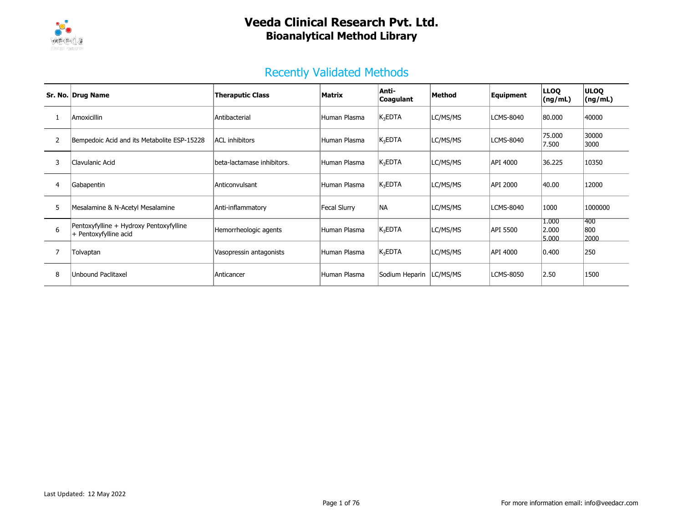

### Recently Validated Methods

|                | Sr. No. Drug Name                                                | <b>Theraputic Class</b>    | Matrix       | Anti-<br>Coagulant | Method   | Equipment        | <b>LLOO</b><br>(ng/mL)  | <b>ULOO</b><br>(ng/mL) |
|----------------|------------------------------------------------------------------|----------------------------|--------------|--------------------|----------|------------------|-------------------------|------------------------|
|                | Amoxicillin                                                      | Antibacterial              | Human Plasma | $K_3EDTA$          | LC/MS/MS | LCMS-8040        | 80.000                  | 40000                  |
| $\overline{2}$ | Bempedoic Acid and its Metabolite ESP-15228                      | <b>ACL</b> inhibitors      | Human Plasma | $K_3EDTA$          | LC/MS/MS | <b>LCMS-8040</b> | 75.000<br>7.500         | 30000<br>3000          |
| 3              | Clavulanic Acid                                                  | beta-lactamase inhibitors. | Human Plasma | $K_3EDTA$          | LC/MS/MS | API 4000         | 36.225                  | 10350                  |
| 4              | Gabapentin                                                       | Anticonvulsant             | Human Plasma | $K_3EDTA$          | LC/MS/MS | API 2000         | 40.00                   | 12000                  |
| 5              | Mesalamine & N-Acetyl Mesalamine                                 | Anti-inflammatory          | Fecal Slurry | <b>INA</b>         | LC/MS/MS | LCMS-8040        | 1000                    | 1000000                |
| 6              | Pentoxyfylline + Hydroxy Pentoxyfylline<br>+ Pentoxyfylline acid | Hemorrheologic agents      | Human Plasma | $K_3EDTA$          | LC/MS/MS | API 5500         | 1.000<br>2.000<br>5.000 | 1400<br>800<br>2000    |
|                | Tolvaptan                                                        | Vasopressin antagonists    | Human Plasma | $K_3EDTA$          | LC/MS/MS | API 4000         | 0.400                   | 250                    |
| 8              | <b>Unbound Paclitaxel</b>                                        | Anticancer                 | Human Plasma | Sodium Heparin     | LC/MS/MS | LCMS-8050        | 2.50                    | 1500                   |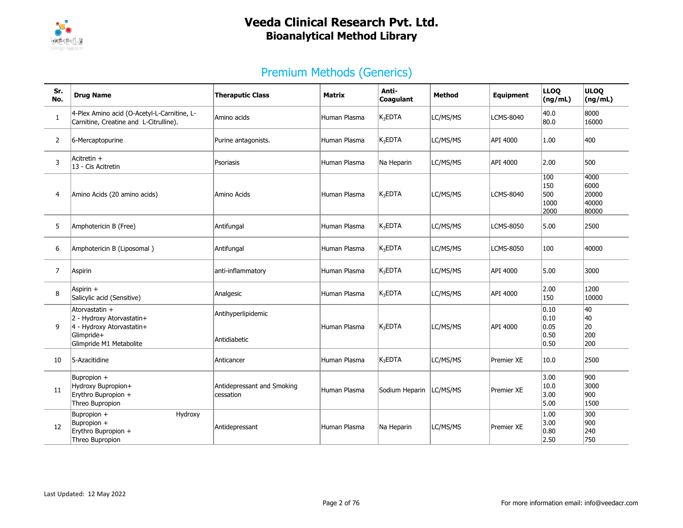

| Sr.<br>No.     | <b>Drug Name</b>                                                                                                  | <b>Theraputic Class</b>                 | Matrix       | Anti-<br>Coagulant  | <b>Method</b> | Equipment  | <b>LLOO</b><br>(ng/mL)                  | <b>ULOQ</b><br>(ng/mL)                  |
|----------------|-------------------------------------------------------------------------------------------------------------------|-----------------------------------------|--------------|---------------------|---------------|------------|-----------------------------------------|-----------------------------------------|
| $\mathbf{1}$   | 4-Plex Amino acid (O-Acetyl-L-Carnitine, L-<br>Carnitine, Creatine and L-Citrulline).                             | Amino acids                             | Human Plasma | $K_3$ EDTA          | LC/MS/MS      | LCMS-8040  | 40.0<br> 80.0                           | 8000<br>16000                           |
| $\overline{2}$ | 6-Mercaptopurine                                                                                                  | Purine antagonists.                     | Human Plasma | K <sub>3</sub> EDTA | LC/MS/MS      | API 4000   | 1.00                                    | 400                                     |
| 3              | Acitretin +<br>13 - Cis Acitretin                                                                                 | Psoriasis                               | Human Plasma | Na Heparin          | LC/MS/MS      | API 4000   | 2.00                                    | 500                                     |
| 4              | Amino Acids (20 amino acids)                                                                                      | Amino Acids                             | Human Plasma | $\mathsf{K}_3$ EDTA | LC/MS/MS      | LCMS-8040  | 100<br>150<br>500<br>1000<br>2000       | 4000<br>6000<br>20000<br>40000<br>80000 |
| 5              | Amphotericin B (Free)                                                                                             | Antifungal                              | Human Plasma | K <sub>3</sub> EDTA | LC/MS/MS      | LCMS-8050  | 5.00                                    | 2500                                    |
| 6              | Amphotericin B (Liposomal)                                                                                        | Antifungal                              | Human Plasma | $K_3$ EDTA          | LC/MS/MS      | LCMS-8050  | 100                                     | 40000                                   |
| $\overline{7}$ | Aspirin                                                                                                           | anti-inflammatory                       | Human Plasma | K <sub>3</sub> EDTA | LC/MS/MS      | API 4000   | 5.00                                    | 3000                                    |
| 8              | Aspirin +<br>Salicylic acid (Sensitive)                                                                           | Analgesic                               | Human Plasma | K <sub>3</sub> EDTA | LC/MS/MS      | API 4000   | 2.00<br>150                             | 1200<br>10000                           |
| 9              | Atorvastatin +<br>2 - Hydroxy Atorvastatin+<br>4 - Hydroxy Atorvastatin+<br>Glimpride+<br>Glimpride M1 Metabolite | Antihyperlipidemic<br>Antidiabetic      | Human Plasma | $K_3$ EDTA          | LC/MS/MS      | API 4000   | 0.10<br> 0.10<br>0.05<br> 0.50<br> 0.50 | 40<br>40<br>20<br>200<br>200            |
| 10             | 5-Azacitidine                                                                                                     | Anticancer                              | Human Plasma | $K_3$ EDTA          | LC/MS/MS      | Premier XE | 10.0                                    | 2500                                    |
| 11             | Bupropion +<br>Hydroxy Bupropion+<br>Erythro Bupropion +<br>Threo Bupropion                                       | Antidepressant and Smoking<br>cessation | Human Plasma | Sodium Heparin      | LC/MS/MS      | Premier XE | 3.00<br>10.0<br>3.00<br>5.00            | 900<br>3000<br>900<br>1500              |
| 12             | Bupropion +<br>Hydroxy<br>Bupropion +<br>Erythro Bupropion +<br>Threo Bupropion                                   | Antidepressant                          | Human Plasma | Na Heparin          | LC/MS/MS      | Premier XE | 1.00<br>3.00<br>0.80<br>2.50            | 300<br>900<br>240<br>750                |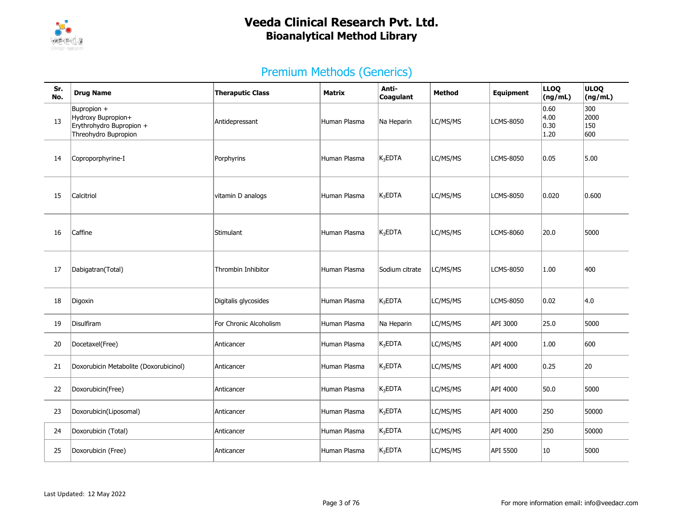

| Sr.<br>No. | <b>Drug Name</b>                                                                      | <b>Theraputic Class</b> | Matrix       | Anti-<br><b>Coagulant</b> | <b>Method</b> | Equipment        | <b>LLOQ</b><br>(ng/mL)       | <b>ULOQ</b><br>(ng/mL)    |
|------------|---------------------------------------------------------------------------------------|-------------------------|--------------|---------------------------|---------------|------------------|------------------------------|---------------------------|
| 13         | Bupropion +<br>Hydroxy Bupropion+<br>Erythrohydro Bupropion +<br>Threohydro Bupropion | Antidepressant          | Human Plasma | Na Heparin                | LC/MS/MS      | <b>LCMS-8050</b> | 0.60<br>4.00<br>0.30<br>1.20 | 300<br>2000<br>150<br>600 |
| 14         | Coproporphyrine-I                                                                     | Porphyrins              | Human Plasma | $K_3$ EDTA                | LC/MS/MS      | <b>LCMS-8050</b> | 0.05                         | 5.00                      |
| 15         | Calcitriol                                                                            | vitamin D analogs       | Human Plasma | $K_3EDTA$                 | LC/MS/MS      | LCMS-8050        | 0.020                        | 0.600                     |
| 16         | Caffine                                                                               | Stimulant               | Human Plasma | $K_3$ EDTA                | LC/MS/MS      | <b>LCMS-8060</b> | 20.0                         | 5000                      |
| 17         | Dabigatran(Total)                                                                     | Thrombin Inhibitor      | Human Plasma | Sodium citrate            | LC/MS/MS      | LCMS-8050        | 1.00                         | 400                       |
| 18         | Digoxin                                                                               | Digitalis glycosides    | Human Plasma | $\mathsf{K}_3$ EDTA       | LC/MS/MS      | <b>LCMS-8050</b> | 0.02                         | 4.0                       |
| 19         | Disulfiram                                                                            | For Chronic Alcoholism  | Human Plasma | Na Heparin                | LC/MS/MS      | API 3000         | 25.0                         | 5000                      |
| 20         | Docetaxel(Free)                                                                       | Anticancer              | Human Plasma | $K_3$ EDTA                | LC/MS/MS      | API 4000         | 1.00                         | 600                       |
| 21         | Doxorubicin Metabolite (Doxorubicinol)                                                | Anticancer              | Human Plasma | $K_3EDTA$                 | LC/MS/MS      | API 4000         | 0.25                         | 20                        |
| 22         | Doxorubicin(Free)                                                                     | Anticancer              | Human Plasma | $K_3$ EDTA                | LC/MS/MS      | API 4000         | 50.0                         | 5000                      |
| 23         | Doxorubicin(Liposomal)                                                                | Anticancer              | Human Plasma | $K_3EDTA$                 | LC/MS/MS      | API 4000         | 250                          | 50000                     |
| 24         | Doxorubicin (Total)                                                                   | Anticancer              | Human Plasma | $K_3$ EDTA                | LC/MS/MS      | API 4000         | 250                          | 50000                     |
| 25         | Doxorubicin (Free)                                                                    | Anticancer              | Human Plasma | $K_3$ EDTA                | LC/MS/MS      | API 5500         | 10                           | 5000                      |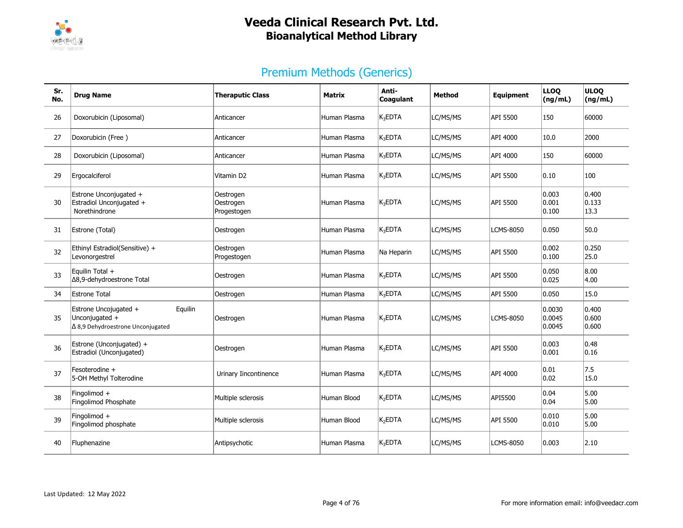

| Sr.<br>No. | <b>Drug Name</b>                                                                               | <b>Theraputic Class</b>               | <b>Matrix</b> | Anti-<br><b>Coagulant</b> | <b>Method</b> | Equipment        | <b>LLOQ</b><br>(ng/mL)      | <b>ULOQ</b><br>(ng/mL)   |
|------------|------------------------------------------------------------------------------------------------|---------------------------------------|---------------|---------------------------|---------------|------------------|-----------------------------|--------------------------|
| 26         | Doxorubicin (Liposomal)                                                                        | Anticancer                            | Human Plasma  | $K_3EDTA$                 | LC/MS/MS      | API 5500         | 150                         | 60000                    |
| 27         | Doxorubicin (Free)                                                                             | Anticancer                            | Human Plasma  | $K_3$ EDTA                | LC/MS/MS      | API 4000         | 10.0                        | 2000                     |
| 28         | Doxorubicin (Liposomal)                                                                        | Anticancer                            | Human Plasma  | $K_3EDTA$                 | LC/MS/MS      | API 4000         | 150                         | 60000                    |
| 29         | Ergocalciferol                                                                                 | Vitamin D2                            | Human Plasma  | $K_3$ EDTA                | LC/MS/MS      | API 5500         | 0.10                        | 100                      |
| 30         | Estrone Unconjugated +<br>Estradiol Unconjugated +<br>Norethindrone                            | Oestrogen<br>Oestrogen<br>Progestogen | Human Plasma  | K <sub>3</sub> EDTA       | LC/MS/MS      | API 5500         | 0.003<br> 0.001<br> 0.100   | 0.400<br> 0.133<br>13.3  |
| 31         | Estrone (Total)                                                                                | Oestrogen                             | Human Plasma  | $K_3EDTA$                 | LC/MS/MS      | <b>LCMS-8050</b> | 0.050                       | 50.0                     |
| 32         | Ethinyl Estradiol(Sensitive) +<br>Levonorgestrel                                               | Oestrogen<br>Progestogen              | Human Plasma  | Na Heparin                | LC/MS/MS      | API 5500         | 0.002<br> 0.100             | 0.250<br>25.0            |
| 33         | Equilin Total +<br>∆8,9-dehydroestrone Total                                                   | Oestrogen                             | Human Plasma  | $K_3EDTA$                 | LC/MS/MS      | API 5500         | 0.050<br>0.025              | 8.00<br>4.00             |
| 34         | Estrone Total                                                                                  | Oestrogen                             | Human Plasma  | $K_3EDTA$                 | LC/MS/MS      | API 5500         | 0.050                       | 15.0                     |
| 35         | Estrone Uncojugated +<br>Equilin<br>Unconjugated +<br>$\Delta$ 8,9 Dehydroestrone Unconjugated | Oestrogen                             | Human Plasma  | $K_3EDTA$                 | LC/MS/MS      | LCMS-8050        | 0.0030<br>0.0045<br> 0.0045 | 0.400<br>0.600<br> 0.600 |
| 36         | Estrone (Unconjugated) +<br>Estradiol (Unconjugated)                                           | Oestrogen                             | Human Plasma  | $K_3EDTA$                 | LC/MS/MS      | API 5500         | 0.003<br> 0.001             | 0.48<br>0.16             |
| 37         | Fesoterodine +<br>5-OH Methyl Tolterodine                                                      | Urinary Iincontinence                 | Human Plasma  | K <sub>3</sub> EDTA       | LC/MS/MS      | API 4000         | 0.01<br> 0.02               | 7.5<br>15.0              |
| 38         | Fingolimod +<br>Fingolimod Phosphate                                                           | Multiple sclerosis                    | Human Blood   | K <sub>2</sub> EDTA       | LC/MS/MS      | API5500          | 0.04<br> 0.04               | 5.00<br>5.00             |
| 39         | Fingolimod +<br>Fingolimod phosphate                                                           | Multiple sclerosis                    | Human Blood   | K <sub>2</sub> EDTA       | LC/MS/MS      | API 5500         | 0.010<br> 0.010             | 5.00<br>5.00             |
| 40         | Fluphenazine                                                                                   | Antipsychotic                         | Human Plasma  | K <sub>3</sub> EDTA       | LC/MS/MS      | <b>LCMS-8050</b> | 0.003                       | 2.10                     |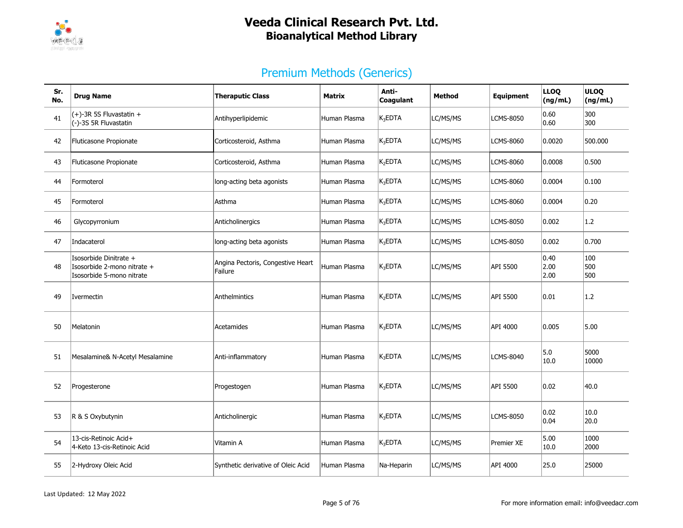

| Sr.<br>No. | <b>Drug Name</b>                                                                   | <b>Theraputic Class</b>                      | <b>Matrix</b> | Anti-<br>Coagulant  | <b>Method</b> | Equipment        | <b>LLOQ</b><br>(ng/mL) | <b>ULOQ</b><br>(ng/mL) |
|------------|------------------------------------------------------------------------------------|----------------------------------------------|---------------|---------------------|---------------|------------------|------------------------|------------------------|
| 41         | $(+)$ -3R 5S Fluvastatin +<br>(-)-3S 5R Fluvastatin                                | Antihyperlipidemic                           | Human Plasma  | $K_3$ EDTA          | LC/MS/MS      | LCMS-8050        | 0.60<br> 0.60          | 300<br>300             |
| 42         | Fluticasone Propionate                                                             | Corticosteroid, Asthma                       | Human Plasma  | $K_3$ EDTA          | LC/MS/MS      | LCMS-8060        | 0.0020                 | 500.000                |
| 43         | Fluticasone Propionate                                                             | Corticosteroid, Asthma                       | Human Plasma  | K <sub>2</sub> EDTA | LC/MS/MS      | <b>LCMS-8060</b> | 0.0008                 | 0.500                  |
| 44         | Formoterol                                                                         | long-acting beta agonists                    | Human Plasma  | $K_3$ EDTA          | LC/MS/MS      | LCMS-8060        | 0.0004                 | 0.100                  |
| 45         | Formoterol                                                                         | Asthma                                       | Human Plasma  | $K_3$ EDTA          | LC/MS/MS      | LCMS-8060        | 0.0004                 | 0.20                   |
| 46         | Glycopyrronium                                                                     | Anticholinergics                             | Human Plasma  | $K_3EDTA$           | LC/MS/MS      | <b>LCMS-8050</b> | 0.002                  | 1.2                    |
| 47         | Indacaterol                                                                        | long-acting beta agonists                    | Human Plasma  | $K_3$ EDTA          | LC/MS/MS      | <b>LCMS-8050</b> | 0.002                  | 0.700                  |
| 48         | Isosorbide Dinitrate +<br>Isosorbide 2-mono nitrate +<br>Isosorbide 5-mono nitrate | Angina Pectoris, Congestive Heart<br>Failure | Human Plasma  | K <sub>3</sub> EDTA | LC/MS/MS      | API 5500         | 0.40<br> 2.00<br> 2.00 | 100<br>500<br>500      |
| 49         | Ivermectin                                                                         | Anthelmintics                                | Human Plasma  | K <sub>2</sub> EDTA | LC/MS/MS      | API 5500         | 0.01                   | 1.2                    |
| 50         | Melatonin                                                                          | Acetamides                                   | Human Plasma  | K <sub>3</sub> EDTA | LC/MS/MS      | API 4000         | 0.005                  | 5.00                   |
| 51         | Mesalamine& N-Acetyl Mesalamine                                                    | Anti-inflammatory                            | Human Plasma  | $K_3$ EDTA          | LC/MS/MS      | LCMS-8040        | 5.0<br>10.0            | 5000<br>10000          |
| 52         | Progesterone                                                                       | Progestogen                                  | Human Plasma  | $K_3$ EDTA          | LC/MS/MS      | API 5500         | 0.02                   | 40.0                   |
| 53         | R & S Oxybutynin                                                                   | Anticholinergic                              | Human Plasma  | $K_3$ EDTA          | LC/MS/MS      | <b>LCMS-8050</b> | 0.02<br> 0.04          | 10.0<br>20.0           |
| 54         | 13-cis-Retinoic Acid+<br>4-Keto 13-cis-Retinoic Acid                               | Vitamin A                                    | Human Plasma  | $K_3$ EDTA          | LC/MS/MS      | Premier XE       | 5.00<br>10.0           | 1000<br>2000           |
| 55         | 2-Hydroxy Oleic Acid                                                               | Synthetic derivative of Oleic Acid           | Human Plasma  | Na-Heparin          | LC/MS/MS      | API 4000         | 25.0                   | 25000                  |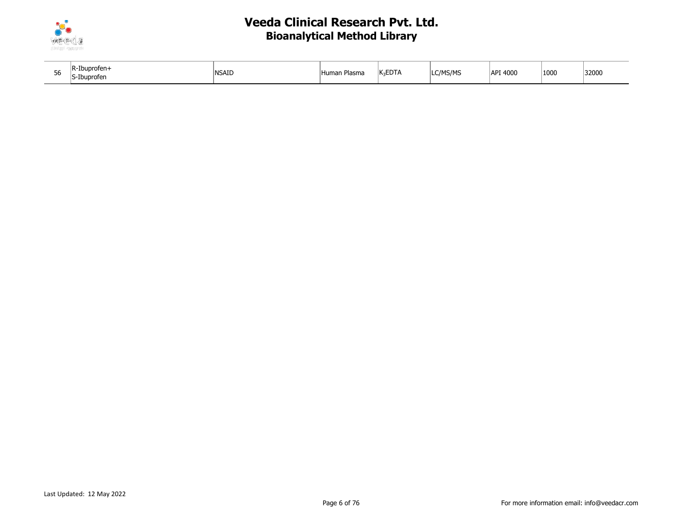

| - -<br>CC. | -Ibuprofen<br>IS-Ibuprofen | nsaid | --<br>'Human Plasma | $\nu$ cnt $\nu$<br>$ K_2EU A$ | C/MS/MS | API 4000 | 1000 | 32000 |
|------------|----------------------------|-------|---------------------|-------------------------------|---------|----------|------|-------|
|------------|----------------------------|-------|---------------------|-------------------------------|---------|----------|------|-------|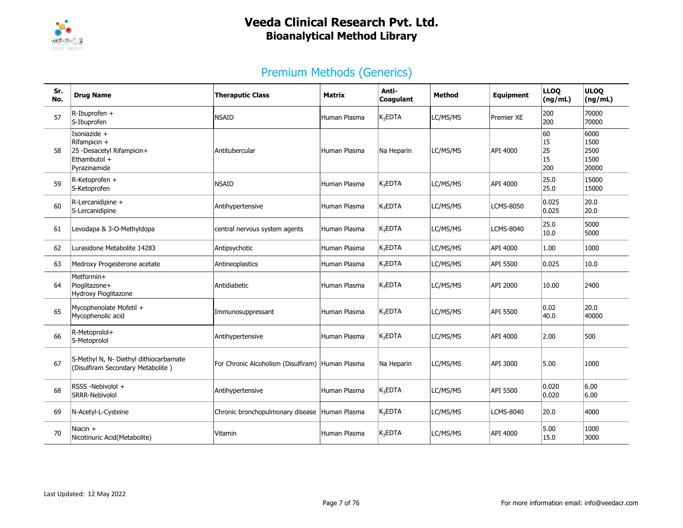

| Sr.<br>No. | <b>Drug Name</b>                                                                          | <b>Theraputic Class</b>                          | Matrix       | Anti-<br><b>Coagulant</b> | Method   | Equipment         | <b>LLOO</b><br>(ng/mL)      | <b>ULOO</b><br>(ng/mL)                |
|------------|-------------------------------------------------------------------------------------------|--------------------------------------------------|--------------|---------------------------|----------|-------------------|-----------------------------|---------------------------------------|
| 57         | $R$ -Ibuprofen +<br>S-Ibuprofen                                                           | <b>NSAID</b>                                     | Human Plasma | $K_3$ EDTA                | LC/MS/MS | <b>Premier XE</b> | 200<br>200                  | 70000<br>70000                        |
| 58         | Isoniazide +<br>Rifampicin +<br>25 -Desacetyl Rifampicin+<br>Ethambutol +<br>Pyrazinamide | Antitubercular                                   | Human Plasma | Na Heparin                | LC/MS/MS | API 4000          | 60<br>15<br>25<br>15<br>200 | 6000<br>1500<br>2500<br>1500<br>20000 |
| 59         | R-Ketoprofen +<br>S-Ketoprofen                                                            | <b>NSAID</b>                                     | Human Plasma | K <sub>3</sub> EDTA       | LC/MS/MS | API 4000          | 25.0<br>25.0                | 15000<br>15000                        |
| 60         | $R$ -Lercanidipine +<br>S-Lercanidipine                                                   | Antihypertensive                                 | Human Plasma | $K_3$ EDTA                | LC/MS/MS | LCMS-8050         | 0.025<br>0.025              | 20.0<br>20.0                          |
| 61         | Levodapa & 3-O-Methyldopa                                                                 | central nervous system agents                    | Human Plasma | $K_3$ EDTA                | LC/MS/MS | LCMS-8040         | 25.0<br>10.0                | 5000<br>5000                          |
| 62         | Lurasidone Metabolite 14283                                                               | Antipsychotic                                    | Human Plasma | $K_3$ EDTA                | LC/MS/MS | API 4000          | 1.00                        | 1000                                  |
| 63         | Medroxy Progesterone acetate                                                              | Antineoplastics                                  | Human Plasma | $K_3$ EDTA                | LC/MS/MS | API 5500          | 0.025                       | 10.0                                  |
| 64         | Metformin+<br>Pioglitazone+<br><b>Hydroxy Pioglitazone</b>                                | Antidiabetic                                     | Human Plasma | K <sub>3</sub> EDTA       | LC/MS/MS | API 2000          | 10.00                       | 2400                                  |
| 65         | Mycophenolate Mofetil +<br>Mycophenolic acid                                              | Immunosuppressant                                | Human Plasma | K <sub>3</sub> EDTA       | LC/MS/MS | API 5500          | 0.02<br>40.0                | 20.0<br>40000                         |
| 66         | R-Metoprolol+<br>S-Metoprolol                                                             | Antihypertensive                                 | Human Plasma | K <sub>3</sub> EDTA       | LC/MS/MS | API 4000          | 2.00                        | 500                                   |
| 67         | S-Methyl N, N- Diethyl dithiocarbamate<br>(Disulfiram Secondary Metabolite)               | For Chronic Alcoholism (Disulfiram) Human Plasma |              | Na Heparin                | LC/MS/MS | API 3000          | 5.00                        | 1000                                  |
| 68         | RSSS -Nebivolol +<br>SRRR-Nebivolol                                                       | Antihypertensive                                 | Human Plasma | $K_3$ EDTA                | LC/MS/MS | API 5500          | 0.020<br> 0.020             | 6.00<br>6.00                          |
| 69         | N-Acetyl-L-Cysteine                                                                       | Chronic bronchopulmonary disease Human Plasma    |              | K <sub>3</sub> EDTA       | LC/MS/MS | LCMS-8040         | 20.0                        | 4000                                  |
| 70         | Niacin $+$<br>Nicotinuric Acid(Metabolite)                                                | Vitamin                                          | Human Plasma | K <sub>3</sub> EDTA       | LC/MS/MS | API 4000          | 5.00<br>15.0                | 1000<br>3000                          |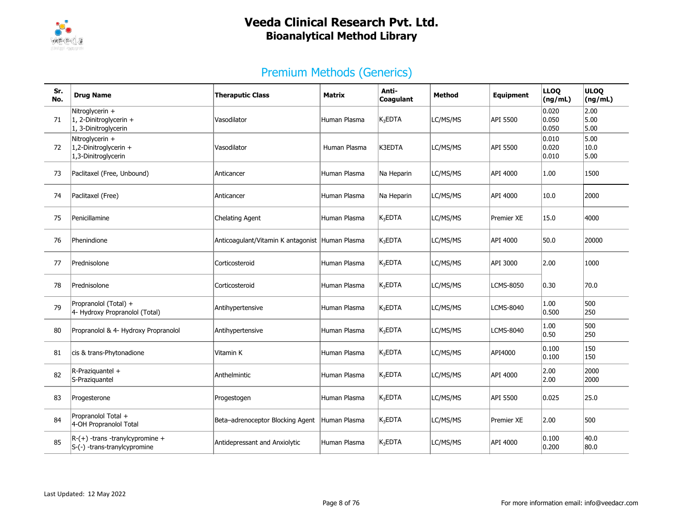

| Sr.<br>No. | <b>Drug Name</b>                                                      | <b>Theraputic Class</b>                         | Matrix       | Anti-<br>Coaqulant       | <b>Method</b> | Equipment        | <b>LLOQ</b><br>(ng/mL)    | <b>ULOQ</b><br>(ng/mL) |
|------------|-----------------------------------------------------------------------|-------------------------------------------------|--------------|--------------------------|---------------|------------------|---------------------------|------------------------|
| 71         | Nitroglycerin +<br>$ 1, 2$ -Dinitroglycerin +<br>1, 3-Dinitroglycerin | Vasodilator                                     | Human Plasma | $K_3$ EDTA               | LC/MS/MS      | API 5500         | 0.020<br>0.050<br> 0.050  | 2.00<br>5.00<br>5.00   |
| 72         | Nitroglycerin +<br>$ 1,2$ -Dinitroglycerin +<br>1,3-Dinitroglycerin   | Vasodilator                                     | Human Plasma | K3EDTA                   | LC/MS/MS      | API 5500         | 0.010<br> 0.020<br> 0.010 | 5.00<br>10.0<br>5.00   |
| 73         | Paclitaxel (Free, Unbound)                                            | Anticancer                                      | Human Plasma | Na Heparin               | LC/MS/MS      | API 4000         | 1.00                      | 1500                   |
| 74         | Paclitaxel (Free)                                                     | Anticancer                                      | Human Plasma | Na Heparin               | LC/MS/MS      | API 4000         | 10.0                      | 2000                   |
| 75         | Penicillamine                                                         | Chelating Agent                                 | Human Plasma | K <sub>3</sub> EDTA      | LC/MS/MS      | Premier XE       | 15.0                      | 4000                   |
| 76         | Phenindione                                                           | Anticoagulant/Vitamin K antagonist Human Plasma |              | $K_3$ EDTA               | LC/MS/MS      | API 4000         | 50.0                      | 20000                  |
| 77         | Prednisolone                                                          | Corticosteroid                                  | Human Plasma | <b>K<sub>3</sub>EDTA</b> | LC/MS/MS      | API 3000         | 2.00                      | 1000                   |
| 78         | Prednisolone                                                          | Corticosteroid                                  | Human Plasma | $K_3$ EDTA               | LC/MS/MS      | <b>LCMS-8050</b> | 0.30                      | 70.0                   |
| 79         | Propranolol (Total) +<br>4- Hydroxy Propranolol (Total)               | Antihypertensive                                | Human Plasma | $K_3$ EDTA               | LC/MS/MS      | LCMS-8040        | 1.00<br> 0.500            | 500<br>250             |
| 80         | Propranolol & 4- Hydroxy Propranolol                                  | Antihypertensive                                | Human Plasma | $K_3$ EDTA               | LC/MS/MS      | LCMS-8040        | 1.00<br> 0.50             | 500<br>250             |
| 81         | cis & trans-Phytonadione                                              | Vitamin K                                       | Human Plasma | $K_3$ EDTA               | LC/MS/MS      | API4000          | 0.100<br> 0.100           | 150<br>150             |
| 82         | R-Praziquantel +<br>S-Praziquantel                                    | Anthelmintic                                    | Human Plasma | $K_3$ EDTA               | LC/MS/MS      | API 4000         | 2.00<br>2.00              | 2000<br>2000           |
| 83         | Progesterone                                                          | Progestogen                                     | Human Plasma | $K_3EDTA$                | LC/MS/MS      | API 5500         | 0.025                     | 25.0                   |
| 84         | Propranolol Total +<br>4-OH Propranolol Total                         | Beta-adrenoceptor Blocking Agent                | Human Plasma | $K_3EDTA$                | LC/MS/MS      | Premier XE       | 2.00                      | 500                    |
| 85         | $R-(+)$ -trans -tranylcypromine +<br>S-(-) -trans-tranylcypromine     | Antidepressant and Anxiolytic                   | Human Plasma | $K_3EDTA$                | LC/MS/MS      | API 4000         | 0.100<br> 0.200           | 40.0<br>80.0           |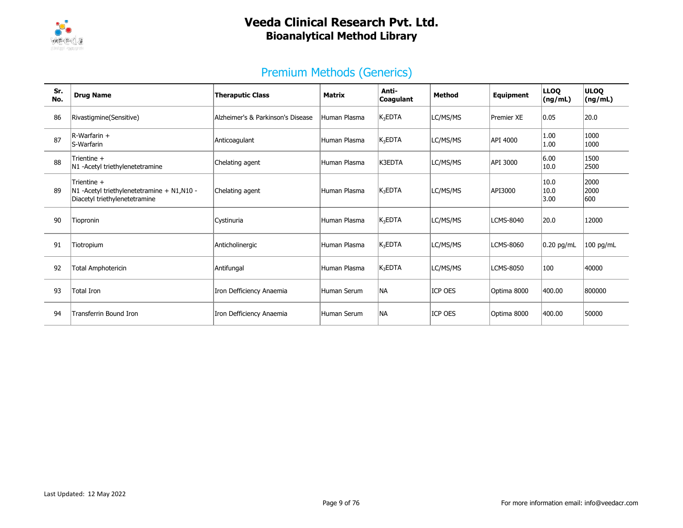

| Sr.<br>No. | <b>Drug Name</b>                                                                           | <b>Theraputic Class</b>           | <b>Matrix</b> | Anti-<br>Coagulant | <b>Method</b> | <b>Equipment</b> | <b>LLOQ</b><br>(ng/mL) | <b>ULOO</b><br>(ng/mL) |
|------------|--------------------------------------------------------------------------------------------|-----------------------------------|---------------|--------------------|---------------|------------------|------------------------|------------------------|
| 86         | Rivastigmine(Sensitive)                                                                    | Alzheimer's & Parkinson's Disease | Human Plasma  | $K_3$ EDTA         | LC/MS/MS      | Premier XE       | 0.05                   | 20.0                   |
| 87         | $R-Warfarin +$<br>S-Warfarin                                                               | Anticoagulant                     | Human Plasma  | $K_3$ EDTA         | LC/MS/MS      | API 4000         | 1.00<br>1.00           | 1000<br>1000           |
| 88         | Trientine +<br>N1 -Acetyl triethylenetetramine                                             | Chelating agent                   | Human Plasma  | K3EDTA             | LC/MS/MS      | API 3000         | 6.00<br>10.0           | 1500<br>2500           |
| 89         | Trientine +<br>N1 -Acetyl triethylenetetramine + N1,N10 -<br>Diacetyl triethylenetetramine | Chelating agent                   | Human Plasma  | $K_3$ EDTA         | LC/MS/MS      | API3000          | 10.0<br>10.0<br>3.00   | 2000<br>2000<br>600    |
| 90         | Tiopronin                                                                                  | Cystinuria                        | Human Plasma  | $K_3EDTA$          | LC/MS/MS      | <b>LCMS-8040</b> | 20.0                   | 12000                  |
| 91         | Tiotropium                                                                                 | Anticholinergic                   | Human Plasma  | $K_3EDTA$          | LC/MS/MS      | <b>LCMS-8060</b> | $0.20$ pg/mL           | $100$ pg/mL            |
| 92         | <b>Total Amphotericin</b>                                                                  | Antifungal                        | Human Plasma  | $K_3EDTA$          | LC/MS/MS      | <b>LCMS-8050</b> | 100                    | 40000                  |
| 93         | Total Iron                                                                                 | Iron Defficiency Anaemia          | Human Serum   | <b>NA</b>          | ICP OES       | Optima 8000      | 400.00                 | 800000                 |
| 94         | Transferrin Bound Iron                                                                     | Iron Defficiency Anaemia          | Human Serum   | <b>NA</b>          | ICP OES       | Optima 8000      | 400.00                 | 50000                  |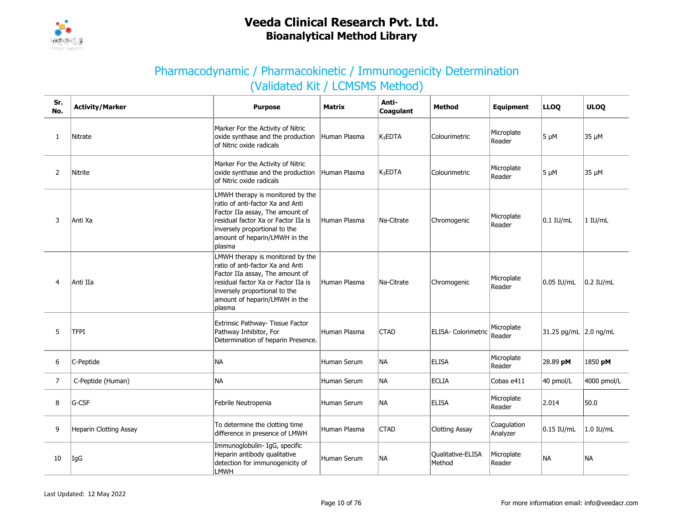

### Pharmacodynamic / Pharmacokinetic / Immunogenicity Determination (Validated Kit / LCMSMS Method)

| Sr.<br>No.     | <b>Activity/Marker</b> | <b>Purpose</b>                                                                                                                                                                                                             | Matrix       | Anti-<br>Coagulant | <b>Method</b>               | Equipment               | <b>LLOQ</b>           | <b>ULOQ</b> |
|----------------|------------------------|----------------------------------------------------------------------------------------------------------------------------------------------------------------------------------------------------------------------------|--------------|--------------------|-----------------------------|-------------------------|-----------------------|-------------|
| $\mathbf{1}$   | Nitrate                | Marker For the Activity of Nitric<br>oxide synthase and the production<br>of Nitric oxide radicals                                                                                                                         | Human Plasma | $K_3$ EDTA         | Colourimetric               | Microplate<br>Reader    | $5 \mu M$             | 35 µM       |
| $\overline{2}$ | Nitrite                | Marker For the Activity of Nitric<br>oxide synthase and the production<br>of Nitric oxide radicals                                                                                                                         | Human Plasma | $K_3$ EDTA         | Colourimetric               | Microplate<br>Reader    | $5 \mu M$             | 35 µM       |
| 3              | Anti Xa                | LMWH therapy is monitored by the<br>ratio of anti-factor Xa and Anti<br>Factor IIa assay, The amount of<br>residual factor Xa or Factor IIa is<br>inversely proportional to the<br>amount of heparin/LMWH in the<br>plasma | Human Plasma | Na-Citrate         | Chromogenic                 | Microplate<br>Reader    | $0.1$ IU/mL           | 1 IU/mL     |
| 4              | Anti IIa               | LMWH therapy is monitored by the<br>ratio of anti-factor Xa and Anti<br>Factor IIa assay, The amount of<br>residual factor Xa or Factor IIa is<br>inversely proportional to the<br>amount of heparin/LMWH in the<br>plasma | Human Plasma | Na-Citrate         | Chromogenic                 | Microplate<br>Reader    | 0.05 IU/mL            | 0.2 IU/mL   |
| 5              | <b>TFPI</b>            | Extrinsic Pathway- Tissue Factor<br>Pathway Inhibitor, For<br>Determination of heparin Presence.                                                                                                                           | Human Plasma | <b>CTAD</b>        | ELISA- Colorimetric         | Microplate<br>Reader    | 31.25 pg/mL 2.0 ng/mL |             |
| 6              | C-Peptide              | NA                                                                                                                                                                                                                         | Human Serum  | NA                 | <b>ELISA</b>                | Microplate<br>Reader    | 28.89 pM              | 1850 pM     |
| $\overline{7}$ | C-Peptide (Human)      | <b>NA</b>                                                                                                                                                                                                                  | Human Serum  | <b>NA</b>          | <b>ECLIA</b>                | Cobas e411              | 40 pmol/L             | 4000 pmol/L |
| 8              | G-CSF                  | Febrile Neutropenia                                                                                                                                                                                                        | Human Serum  | NA                 | <b>ELISA</b>                | Microplate<br>Reader    | 2.014                 | 50.0        |
| 9              | Heparin Clotting Assay | To determine the clotting time<br>difference in presence of LMWH                                                                                                                                                           | Human Plasma | <b>CTAD</b>        | <b>Clotting Assay</b>       | Coagulation<br>Analyzer | 0.15 IU/mL            | 1.0 IU/mL   |
| 10             | IgG                    | Immunoglobulin- IgG, specific<br>Heparin antibody qualitative<br>detection for immunogenicity of<br><b>LMWH</b>                                                                                                            | Human Serum  | NA                 | Qualitative-ELISA<br>Method | Microplate<br>Reader    | <b>NA</b>             | <b>NA</b>   |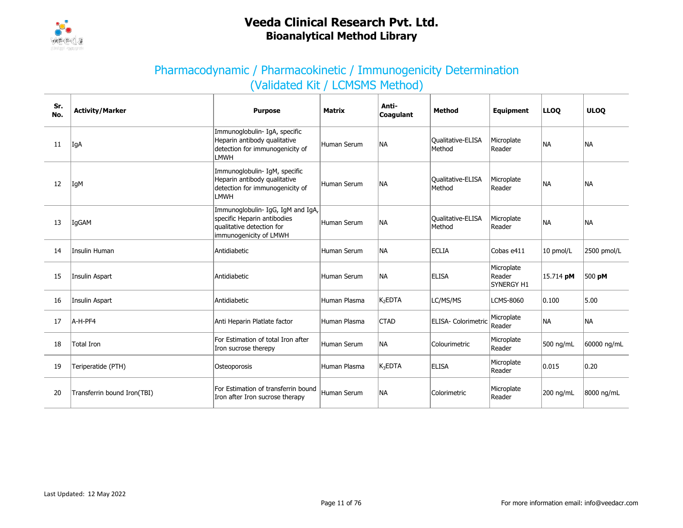

### Pharmacodynamic / Pharmacokinetic / Immunogenicity Determination (Validated Kit / LCMSMS Method)

| Sr.<br>No. | <b>Activity/Marker</b>      | <b>Purpose</b>                                                                                                          | <b>Matrix</b> | Anti-<br>Coagulant  | <b>Method</b>                      | Equipment                                 | <b>LLOO</b> | <b>ULOO</b> |
|------------|-----------------------------|-------------------------------------------------------------------------------------------------------------------------|---------------|---------------------|------------------------------------|-------------------------------------------|-------------|-------------|
| 11         | IgA                         | Immunoglobulin- IgA, specific<br>Heparin antibody qualitative<br>detection for immunogenicity of<br>LMWH                | Human Serum   | <b>NA</b>           | <b>Qualitative-ELISA</b><br>Method | Microplate<br>Reader                      | NA.         | <b>NA</b>   |
| 12         | IgM                         | Immunoglobulin- IgM, specific<br>Heparin antibody qualitative<br>detection for immunogenicity of<br><b>LMWH</b>         | Human Serum   | <b>NA</b>           | <b>Qualitative-ELISA</b><br>Method | Microplate<br>Reader                      | <b>NA</b>   | <b>NA</b>   |
| 13         | IgGAM                       | Immunoglobulin- IgG, IgM and IgA,<br>specific Heparin antibodies<br>qualitative detection for<br>immunogenicity of LMWH | Human Serum   | <b>NA</b>           | <b>Qualitative-ELISA</b><br>Method | Microplate<br>Reader                      | <b>NA</b>   | <b>NA</b>   |
| 14         | Insulin Human               | Antidiabetic                                                                                                            | Human Serum   | <b>NA</b>           | <b>ECLIA</b>                       | Cobas e411                                | $10$ pmol/L | 2500 pmol/L |
| 15         | Insulin Aspart              | Antidiabetic                                                                                                            | Human Serum   | <b>NA</b>           | <b>ELISA</b>                       | Microplate<br>Reader<br><b>SYNERGY H1</b> | 15.714 pM   | 500 pM      |
| 16         | Insulin Aspart              | Antidiabetic                                                                                                            | Human Plasma  | K <sub>2</sub> EDTA | LC/MS/MS                           | <b>LCMS-8060</b>                          | 0.100       | 5.00        |
| 17         | A-H-PF4                     | Anti Heparin Platlate factor                                                                                            | Human Plasma  | <b>CTAD</b>         | ELISA- Colorimetric                | Microplate<br>Reader                      | <b>NA</b>   | <b>NA</b>   |
| 18         | <b>Total Iron</b>           | For Estimation of total Iron after<br>Iron sucrose therepy                                                              | Human Serum   | <b>NA</b>           | Colourimetric                      | Microplate<br>Reader                      | 500 ng/mL   | 60000 ng/mL |
| 19         | Teriperatide (PTH)          | Osteoporosis                                                                                                            | Human Plasma  | $K_3$ EDTA          | ELISA                              | Microplate<br>Reader                      | 0.015       | 0.20        |
| 20         | Transferrin bound Iron(TBI) | For Estimation of transferrin bound<br>Iron after Iron sucrose therapy                                                  | Human Serum   | <b>NA</b>           | Colorimetric                       | Microplate<br>Reader                      | 200 ng/mL   | 8000 ng/mL  |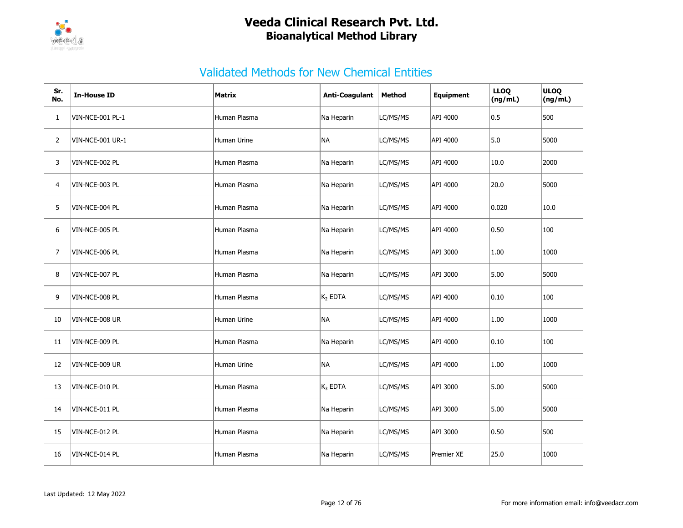

| Sr.<br>No.     | <b>In-House ID</b>      | <b>Matrix</b> | <b>Anti-Coagulant</b> | Method   | <b>Equipment</b> | <b>LLOQ</b><br>(ng/mL) | ULOQ<br>(ng/mL) |
|----------------|-------------------------|---------------|-----------------------|----------|------------------|------------------------|-----------------|
| $\mathbf{1}$   | VIN-NCE-001 PL-1        | Human Plasma  | Na Heparin            | LC/MS/MS | API 4000         | 0.5                    | 500             |
| $\overline{2}$ | <b>VIN-NCE-001 UR-1</b> | Human Urine   | NA                    | LC/MS/MS | API 4000         | 5.0                    | 5000            |
| 3              | VIN-NCE-002 PL          | Human Plasma  | Na Heparin            | LC/MS/MS | API 4000         | 10.0                   | 2000            |
| 4              | VIN-NCE-003 PL          | Human Plasma  | Na Heparin            | LC/MS/MS | API 4000         | 20.0                   | 5000            |
| 5              | VIN-NCE-004 PL          | Human Plasma  | Na Heparin            | LC/MS/MS | API 4000         | 0.020                  | 10.0            |
| 6              | VIN-NCE-005 PL          | Human Plasma  | Na Heparin            | LC/MS/MS | API 4000         | 0.50                   | 100             |
| 7              | VIN-NCE-006 PL          | Human Plasma  | Na Heparin            | LC/MS/MS | API 3000         | 1.00                   | 1000            |
| 8              | VIN-NCE-007 PL          | Human Plasma  | Na Heparin            | LC/MS/MS | API 3000         | 5.00                   | 5000            |
| 9              | VIN-NCE-008 PL          | Human Plasma  | $K_2$ EDTA            | LC/MS/MS | API 4000         | $ 0.10\rangle$         | 100             |
| 10             | VIN-NCE-008 UR          | Human Urine   | NA                    | LC/MS/MS | API 4000         | 1.00                   | 1000            |
| 11             | VIN-NCE-009 PL          | Human Plasma  | Na Heparin            | LC/MS/MS | API 4000         | 0.10                   | 100             |
| 12             | VIN-NCE-009 UR          | Human Urine   | NA                    | LC/MS/MS | API 4000         | 1.00                   | 1000            |
| 13             | VIN-NCE-010 PL          | Human Plasma  | $K_3$ EDTA            | LC/MS/MS | API 3000         | 5.00                   | 5000            |
| 14             | VIN-NCE-011 PL          | Human Plasma  | Na Heparin            | LC/MS/MS | API 3000         | 5.00                   | 5000            |
| 15             | VIN-NCE-012 PL          | Human Plasma  | Na Heparin            | LC/MS/MS | API 3000         | 0.50                   | 500             |
| 16             | VIN-NCE-014 PL          | Human Plasma  | Na Heparin            | LC/MS/MS | Premier XE       | 25.0                   | 1000            |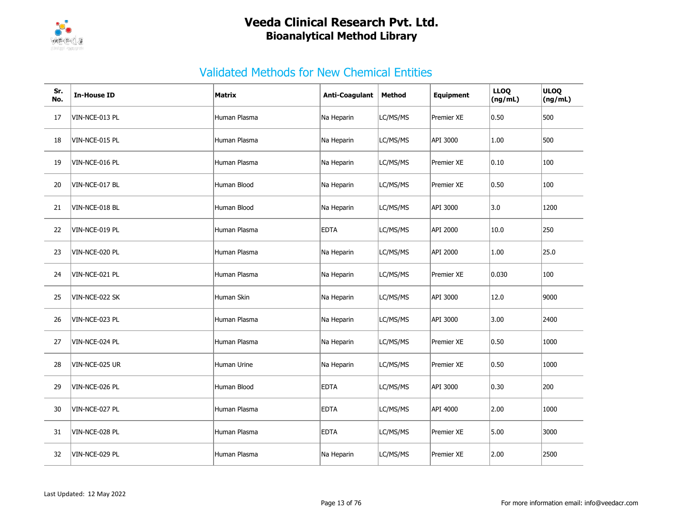

| Sr.<br>No. | <b>In-House ID</b> | Matrix       | <b>Anti-Coagulant</b> | <b>Method</b> | <b>Equipment</b> | <b>LLOQ</b><br>(ng/mL) | ULOQ<br>(ng/mL) |
|------------|--------------------|--------------|-----------------------|---------------|------------------|------------------------|-----------------|
| 17         | VIN-NCE-013 PL     | Human Plasma | Na Heparin            | LC/MS/MS      | Premier XE       | 0.50                   | 500             |
| 18         | VIN-NCE-015 PL     | Human Plasma | Na Heparin            | LC/MS/MS      | API 3000         | 1.00                   | 500             |
| 19         | VIN-NCE-016 PL     | Human Plasma | Na Heparin            | LC/MS/MS      | Premier XE       | 0.10                   | 100             |
| 20         | VIN-NCE-017 BL     | Human Blood  | Na Heparin            | LC/MS/MS      | Premier XE       | 0.50                   | 100             |
| 21         | VIN-NCE-018 BL     | Human Blood  | Na Heparin            | LC/MS/MS      | API 3000         | 3.0                    | 1200            |
| 22         | VIN-NCE-019 PL     | Human Plasma | <b>EDTA</b>           | LC/MS/MS      | API 2000         | 10.0                   | 250             |
| 23         | VIN-NCE-020 PL     | Human Plasma | Na Heparin            | LC/MS/MS      | API 2000         | 1.00                   | 25.0            |
| 24         | VIN-NCE-021 PL     | Human Plasma | Na Heparin            | LC/MS/MS      | Premier XE       | 0.030                  | 100             |
| 25         | VIN-NCE-022 SK     | Human Skin   | Na Heparin            | LC/MS/MS      | API 3000         | 12.0                   | 9000            |
| 26         | VIN-NCE-023 PL     | Human Plasma | Na Heparin            | LC/MS/MS      | API 3000         | 3.00                   | 2400            |
| 27         | VIN-NCE-024 PL     | Human Plasma | Na Heparin            | LC/MS/MS      | Premier XE       | 0.50                   | 1000            |
| 28         | VIN-NCE-025 UR     | Human Urine  | Na Heparin            | LC/MS/MS      | Premier XE       | 0.50                   | 1000            |
| 29         | VIN-NCE-026 PL     | Human Blood  | <b>EDTA</b>           | LC/MS/MS      | API 3000         | $ 0.30\rangle$         | 200             |
| 30         | VIN-NCE-027 PL     | Human Plasma | <b>EDTA</b>           | LC/MS/MS      | API 4000         | 2.00                   | 1000            |
| 31         | VIN-NCE-028 PL     | Human Plasma | <b>EDTA</b>           | LC/MS/MS      | Premier XE       | 5.00                   | 3000            |
| 32         | VIN-NCE-029 PL     | Human Plasma | Na Heparin            | LC/MS/MS      | Premier XE       | 2.00                   | 2500            |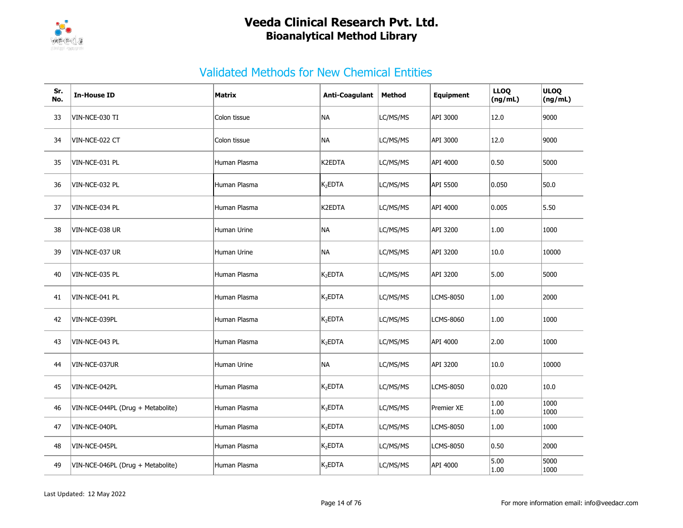

| Sr.<br>No. | <b>In-House ID</b>                | Matrix       | <b>Anti-Coagulant</b> | Method   | <b>Equipment</b> | <b>LLOQ</b><br>(ng/mL) | ULOQ<br>(ng/mL) |
|------------|-----------------------------------|--------------|-----------------------|----------|------------------|------------------------|-----------------|
| 33         | VIN-NCE-030 TI                    | Colon tissue | NA                    | LC/MS/MS | API 3000         | 12.0                   | 9000            |
| 34         | VIN-NCE-022 CT                    | Colon tissue | NA                    | LC/MS/MS | API 3000         | 12.0                   | 9000            |
| 35         | VIN-NCE-031 PL                    | Human Plasma | K2EDTA                | LC/MS/MS | API 4000         | 0.50                   | 5000            |
| 36         | VIN-NCE-032 PL                    | Human Plasma | K <sub>2</sub> EDTA   | LC/MS/MS | API 5500         | 0.050                  | 50.0            |
| 37         | VIN-NCE-034 PL                    | Human Plasma | K2EDTA                | LC/MS/MS | API 4000         | 0.005                  | 5.50            |
| 38         | VIN-NCE-038 UR                    | Human Urine  | NA                    | LC/MS/MS | API 3200         | 1.00                   | 1000            |
| 39         | VIN-NCE-037 UR                    | Human Urine  | <b>NA</b>             | LC/MS/MS | API 3200         | 10.0                   | 10000           |
| 40         | VIN-NCE-035 PL                    | Human Plasma | $K_2EDTA$             | LC/MS/MS | API 3200         | 5.00                   | 5000            |
| 41         | VIN-NCE-041 PL                    | Human Plasma | $K_3EDTA$             | LC/MS/MS | <b>LCMS-8050</b> | 1.00                   | 2000            |
| 42         | VIN-NCE-039PL                     | Human Plasma | $K_2EDTA$             | LC/MS/MS | <b>LCMS-8060</b> | 1.00                   | 1000            |
| 43         | VIN-NCE-043 PL                    | Human Plasma | $K_2EDTA$             | LC/MS/MS | API 4000         | 2.00                   | 1000            |
| 44         | VIN-NCE-037UR                     | Human Urine  | NA                    | LC/MS/MS | API 3200         | 10.0                   | 10000           |
| 45         | VIN-NCE-042PL                     | Human Plasma | $K_2EDTA$             | LC/MS/MS | <b>LCMS-8050</b> | 0.020                  | 10.0            |
| 46         | VIN-NCE-044PL (Drug + Metabolite) | Human Plasma | $K_3EDTA$             | LC/MS/MS | Premier XE       | 1.00<br>1.00           | 1000<br>1000    |
| 47         | VIN-NCE-040PL                     | Human Plasma | $K_2EDTA$             | LC/MS/MS | <b>LCMS-8050</b> | 1.00                   | 1000            |
| 48         | VIN-NCE-045PL                     | Human Plasma | $K_2$ EDTA            | LC/MS/MS | <b>LCMS-8050</b> | 0.50                   | 2000            |
| 49         | VIN-NCE-046PL (Drug + Metabolite) | Human Plasma | $K_3EDTA$             | LC/MS/MS | API 4000         | 5.00<br>1.00           | 5000<br>1000    |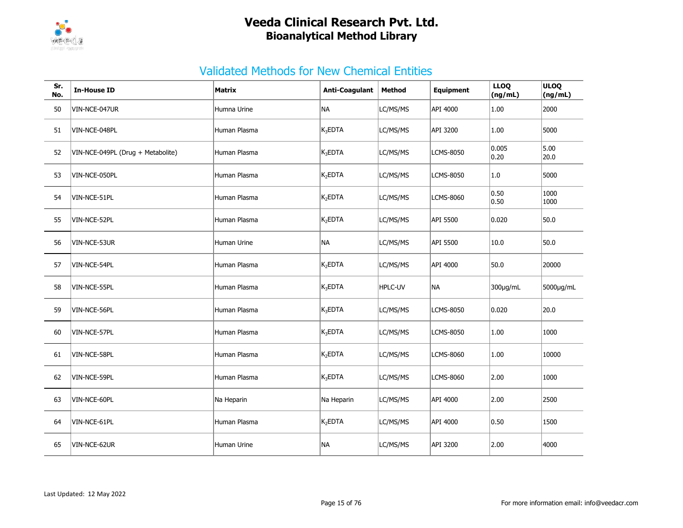

| Sr.<br>No. | <b>In-House ID</b>                | <b>Matrix</b>      | Anti-Coagulant      | <b>Method</b>  | <b>Equipment</b> | <b>LLOQ</b><br>(ng/mL) | <b>ULOQ</b><br>(ng/mL) |
|------------|-----------------------------------|--------------------|---------------------|----------------|------------------|------------------------|------------------------|
| 50         | VIN-NCE-047UR                     | Humna Urine        | <b>NA</b>           | LC/MS/MS       | API 4000         | 1.00                   | 2000                   |
| 51         | VIN-NCE-048PL                     | Human Plasma       | $K_3$ EDTA          | LC/MS/MS       | API 3200         | 1.00                   | 5000                   |
| 52         | VIN-NCE-049PL (Drug + Metabolite) | Human Plasma       | $K_3$ EDTA          | LC/MS/MS       | <b>LCMS-8050</b> | 0.005<br> 0.20         | 5.00<br>20.0           |
| 53         | VIN-NCE-050PL                     | Human Plasma       | K <sub>2</sub> EDTA | LC/MS/MS       | <b>LCMS-8050</b> | 1.0                    | 5000                   |
| 54         | VIN-NCE-51PL                      | Human Plasma       | K <sub>2</sub> EDTA | LC/MS/MS       | <b>LCMS-8060</b> | 0.50<br> 0.50          | 1000<br>1000           |
| 55         | VIN-NCE-52PL                      | Human Plasma       | K <sub>2</sub> EDTA | LC/MS/MS       | API 5500         | 0.020                  | 50.0                   |
| 56         | VIN-NCE-53UR                      | <b>Human Urine</b> | NA)                 | LC/MS/MS       | API 5500         | 10.0                   | 50.0                   |
| 57         | VIN-NCE-54PL                      | Human Plasma       | K <sub>2</sub> EDTA | LC/MS/MS       | API 4000         | 50.0                   | 20000                  |
| 58         | VIN-NCE-55PL                      | Human Plasma       | K <sub>3</sub> EDTA | <b>HPLC-UV</b> | <b>NA</b>        | 300µg/mL               | 5000µg/mL              |
| 59         | VIN-NCE-56PL                      | Human Plasma       | $K_3$ EDTA          | LC/MS/MS       | <b>LCMS-8050</b> | 0.020                  | 20.0                   |
| 60         | VIN-NCE-57PL                      | Human Plasma       | $K_3$ EDTA          | LC/MS/MS       | <b>LCMS-8050</b> | 1.00                   | 1000                   |
| 61         | VIN-NCE-58PL                      | Human Plasma       | K <sub>2</sub> EDTA | LC/MS/MS       | <b>LCMS-8060</b> | 1.00                   | 10000                  |
| 62         | VIN-NCE-59PL                      | Human Plasma       | $K_3$ EDTA          | LC/MS/MS       | <b>LCMS-8060</b> | 2.00                   | 1000                   |
| 63         | VIN-NCE-60PL                      | Na Heparin         | Na Heparin          | LC/MS/MS       | API 4000         | 2.00                   | 2500                   |
| 64         | VIN-NCE-61PL                      | Human Plasma       | K <sub>2</sub> EDTA | LC/MS/MS       | API 4000         | 0.50                   | 1500                   |
| 65         | VIN-NCE-62UR                      | Human Urine        | NA                  | LC/MS/MS       | API 3200         | 2.00                   | 4000                   |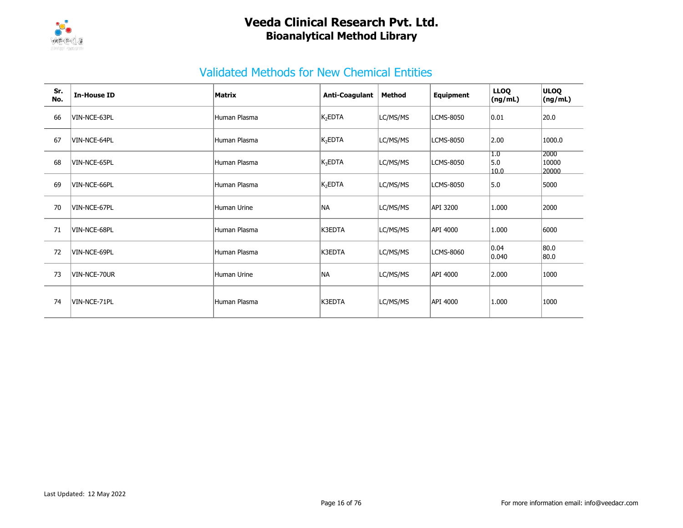

| Sr.<br>No. | <b>In-House ID</b> | Matrix       | <b>Anti-Coagulant</b> | <b>Method</b> | Equipment        | <b>LLOQ</b><br>(ng/mL)  | <b>ULOQ</b><br>(ng/mL) |
|------------|--------------------|--------------|-----------------------|---------------|------------------|-------------------------|------------------------|
| 66         | VIN-NCE-63PL       | Human Plasma | $K_2EDTA$             | LC/MS/MS      | <b>LCMS-8050</b> | $ 0.01\rangle$          | 20.0                   |
| 67         | VIN-NCE-64PL       | Human Plasma | $K_2EDTA$             | LC/MS/MS      | LCMS-8050        | 2.00                    | 1000.0                 |
| 68         | VIN-NCE-65PL       | Human Plasma | $K_3$ EDTA            | LC/MS/MS      | <b>LCMS-8050</b> | 1.0<br>5.0<br>10.0      | 2000<br>10000<br>20000 |
| 69         | VIN-NCE-66PL       | Human Plasma | $K_2EDTA$             | LC/MS/MS      | <b>LCMS-8050</b> | 5.0                     | 5000                   |
| 70         | VIN-NCE-67PL       | Human Urine  | <b>NA</b>             | LC/MS/MS      | API 3200         | 1.000                   | 2000                   |
| 71         | VIN-NCE-68PL       | Human Plasma | K3EDTA                | LC/MS/MS      | API 4000         | 1.000                   | 6000                   |
| 72         | VIN-NCE-69PL       | Human Plasma | K3EDTA                | LC/MS/MS      | LCMS-8060        | $ 0.04\rangle$<br>0.040 | 80.0<br>80.0           |
| 73         | VIN-NCE-70UR       | Human Urine  | <b>NA</b>             | LC/MS/MS      | API 4000         | 2.000                   | 1000                   |
| 74         | VIN-NCE-71PL       | Human Plasma | K3EDTA                | LC/MS/MS      | API 4000         | 1.000                   | 1000                   |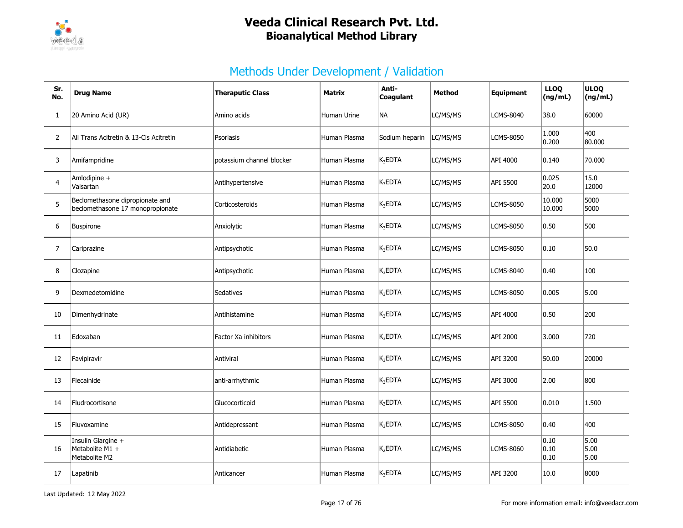

# Methods Under Development / Validation

| Sr.<br>No.     | <b>Drug Name</b>                                                    | <b>Theraputic Class</b>   | <b>Matrix</b>      | Anti-<br>Coagulant  | <b>Method</b> | Equipment        | <b>LLOQ</b><br>(ng/mL)                    | <b>ULOQ</b><br>(ng/mL) |
|----------------|---------------------------------------------------------------------|---------------------------|--------------------|---------------------|---------------|------------------|-------------------------------------------|------------------------|
| 1              | 20 Amino Acid (UR)                                                  | Amino acids               | <b>Human Urine</b> | NA                  | LC/MS/MS      | LCMS-8040        | 38.0                                      | 60000                  |
| 2              | All Trans Acitretin & 13-Cis Acitretin                              | Psoriasis                 | Human Plasma       | Sodium heparin      | LC/MS/MS      | <b>LCMS-8050</b> | 1.000<br> 0.200                           | 400<br>80.000          |
| 3              | Amifampridine                                                       | potassium channel blocker | Human Plasma       | $K_3$ EDTA          | LC/MS/MS      | API 4000         | 0.140                                     | 70.000                 |
| $\overline{4}$ | Amlodipine +<br>Valsartan                                           | Antihypertensive          | Human Plasma       | $K_3EDTA$           | LC/MS/MS      | API 5500         | 0.025<br>20.0                             | 15.0<br>12000          |
| 5              | Beclomethasone dipropionate and<br>beclomethasone 17 monopropionate | Corticosteroids           | Human Plasma       | $K_3EDTA$           | LC/MS/MS      | LCMS-8050        | 10.000<br>10.000                          | 5000<br>5000           |
| 6              | Buspirone                                                           | Anxiolytic                | Human Plasma       | $K_3EDTA$           | LC/MS/MS      | LCMS-8050        | 0.50                                      | 500                    |
| $\overline{7}$ | Cariprazine                                                         | Antipsychotic             | Human Plasma       | $K_3$ EDTA          | LC/MS/MS      | LCMS-8050        | 0.10                                      | 50.0                   |
| 8              | Clozapine                                                           | Antipsychotic             | Human Plasma       | $K_3$ EDTA          | LC/MS/MS      | LCMS-8040        | 0.40                                      | 100                    |
| 9              | Dexmedetomidine                                                     | Sedatives                 | Human Plasma       | $K_3$ EDTA          | LC/MS/MS      | LCMS-8050        | 0.005                                     | 5.00                   |
| 10             | Dimenhydrinate                                                      | Antihistamine             | Human Plasma       | $K_3$ EDTA          | LC/MS/MS      | API 4000         | 0.50                                      | 200                    |
| 11             | Edoxaban                                                            | Factor Xa inhibitors      | Human Plasma       | $K_3$ EDTA          | LC/MS/MS      | API 2000         | 3.000                                     | 720                    |
| 12             | Favipiravir                                                         | Antiviral                 | Human Plasma       | $K_3$ EDTA          | LC/MS/MS      | API 3200         | 50.00                                     | 20000                  |
| 13             | Flecainide                                                          | anti-arrhythmic           | Human Plasma       | $K_3$ EDTA          | LC/MS/MS      | API 3000         | 2.00                                      | 800                    |
| 14             | Fludrocortisone                                                     | Glucocorticoid            | Human Plasma       | $K_3$ EDTA          | LC/MS/MS      | API 5500         | 0.010                                     | 1.500                  |
| 15             | Fluvoxamine                                                         | Antidepressant            | Human Plasma       | K <sub>3</sub> EDTA | LC/MS/MS      | <b>LCMS-8050</b> | 0.40                                      | 400                    |
| 16             | Insulin Glargine +<br>Metabolite M1 +<br>Metabolite M2              | Antidiabetic              | Human Plasma       | K <sub>2</sub> EDTA | LC/MS/MS      | LCMS-8060        | $ 0.10\rangle$<br>$ 0.10\rangle$<br> 0.10 | 5.00<br>5.00<br>5.00   |
| 17             | Lapatinib                                                           | Anticancer                | Human Plasma       | $K_3EDTA$           | LC/MS/MS      | API 3200         | 10.0                                      | 8000                   |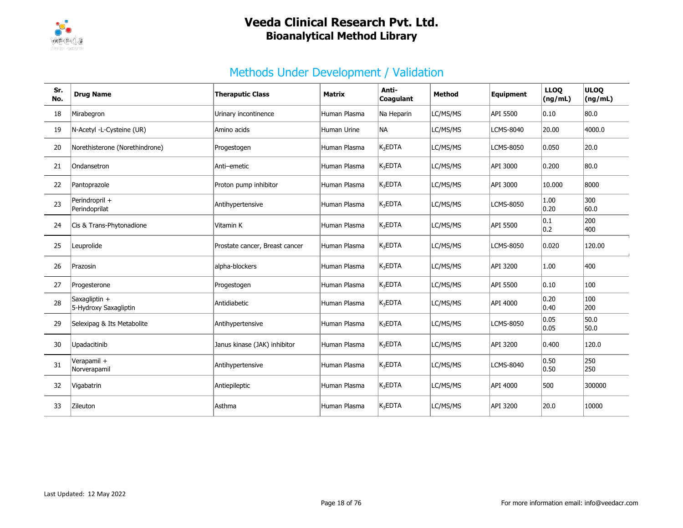

# Methods Under Development / Validation

| Sr.<br>No. | <b>Drug Name</b>                       | <b>Theraputic Class</b>        | <b>Matrix</b> | Anti-<br>Coagulant  | <b>Method</b> | Equipment        | <b>LLOQ</b><br>(ng/mL) | <b>ULOQ</b><br>(ng/mL) |
|------------|----------------------------------------|--------------------------------|---------------|---------------------|---------------|------------------|------------------------|------------------------|
| 18         | Mirabegron                             | Urinary incontinence           | Human Plasma  | Na Heparin          | LC/MS/MS      | API 5500         | 0.10                   | 80.0                   |
| 19         | N-Acetyl -L-Cysteine (UR)              | Amino acids                    | Human Urine   | NA.                 | LC/MS/MS      | <b>LCMS-8040</b> | 20.00                  | 4000.0                 |
| 20         | Norethisterone (Norethindrone)         | Progestogen                    | Human Plasma  | K <sub>3</sub> EDTA | LC/MS/MS      | <b>LCMS-8050</b> | 0.050                  | 20.0                   |
| 21         | Ondansetron                            | Anti-emetic                    | Human Plasma  | $K_3$ EDTA          | LC/MS/MS      | API 3000         | 0.200                  | 80.0                   |
| 22         | Pantoprazole                           | Proton pump inhibitor          | Human Plasma  | K <sub>3</sub> EDTA | LC/MS/MS      | API 3000         | 10.000                 | 8000                   |
| 23         | Perindropril +<br>Perindoprilat        | Antihypertensive               | Human Plasma  | K <sub>3</sub> EDTA | LC/MS/MS      | <b>LCMS-8050</b> | 1.00<br>0.20           | 300<br>60.0            |
| 24         | Cis & Trans-Phytonadione               | Vitamin K                      | Human Plasma  | $K_3$ EDTA          | LC/MS/MS      | API 5500         | 0.1<br>0.2             | 200<br>400             |
| 25         | Leuprolide                             | Prostate cancer, Breast cancer | Human Plasma  | K <sub>3</sub> EDTA | LC/MS/MS      | LCMS-8050        | 0.020                  | 120.00                 |
| 26         | Prazosin                               | alpha-blockers                 | Human Plasma  | K <sub>3</sub> EDTA | LC/MS/MS      | API 3200         | 1.00                   | 400                    |
| 27         | Progesterone                           | Progestogen                    | Human Plasma  | $K_3EDTA$           | LC/MS/MS      | API 5500         | 0.10                   | 100                    |
| 28         | Saxagliptin +<br>5-Hydroxy Saxagliptin | Antidiabetic                   | Human Plasma  | $K_3$ EDTA          | LC/MS/MS      | API 4000         | 0.20<br>0.40           | 100<br>200             |
| 29         | Selexipag & Its Metabolite             | Antihypertensive               | Human Plasma  | K <sub>3</sub> EDTA | LC/MS/MS      | <b>LCMS-8050</b> | 0.05<br>0.05           | 50.0<br>50.0           |
| 30         | Upadacitinib                           | Janus kinase (JAK) inhibitor   | Human Plasma  | K <sub>3</sub> EDTA | LC/MS/MS      | API 3200         | 0.400                  | 120.0                  |
| 31         | Verapamil +<br>Norverapamil            | Antihypertensive               | Human Plasma  | K <sub>3</sub> EDTA | LC/MS/MS      | <b>LCMS-8040</b> | 0.50<br>0.50           | 250<br>250             |
| 32         | Vigabatrin                             | Antiepileptic                  | Human Plasma  | $K_3$ EDTA          | LC/MS/MS      | API 4000         | 500                    | 300000                 |
| 33         | Zileuton                               | Asthma                         | Human Plasma  | K <sub>3</sub> EDTA | LC/MS/MS      | API 3200         | 20.0                   | 10000                  |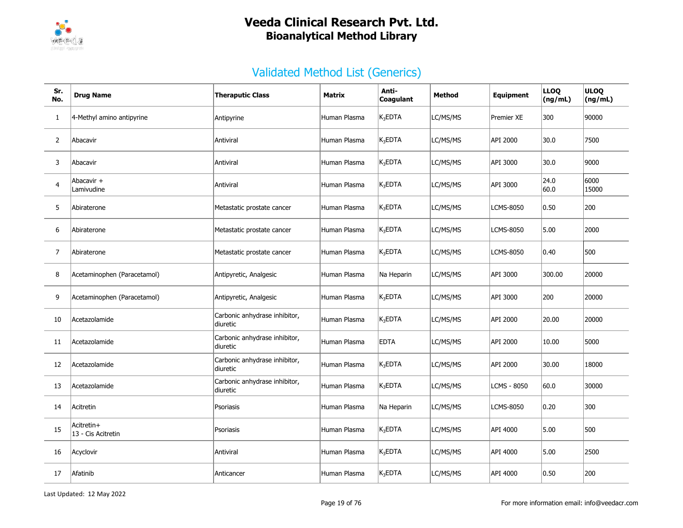

| Sr.<br>No.     | <b>Drug Name</b>                 | <b>Theraputic Class</b>                   | <b>Matrix</b> | Anti-<br>Coagulant  | Method   | <b>Equipment</b>   | <b>LLOQ</b><br>(ng/mL) | <b>ULOQ</b><br>(ng/mL) |
|----------------|----------------------------------|-------------------------------------------|---------------|---------------------|----------|--------------------|------------------------|------------------------|
| $\mathbf{1}$   | 4-Methyl amino antipyrine        | Antipyrine                                | Human Plasma  | $K_3$ EDTA          | LC/MS/MS | <b>Premier XE</b>  | 300                    | 90000                  |
| $\overline{2}$ | Abacavir                         | Antiviral                                 | Human Plasma  | K <sub>3</sub> EDTA | LC/MS/MS | API 2000           | 30.0                   | 7500                   |
| 3              | Abacavir                         | Antiviral                                 | Human Plasma  | $K_3$ EDTA          | LC/MS/MS | API 3000           | 30.0                   | 9000                   |
| $\overline{4}$ | Abacavir +<br>Lamivudine         | Antiviral                                 | Human Plasma  | $K_3EDTA$           | LC/MS/MS | API 3000           | 24.0<br>60.0           | 6000<br>15000          |
| 5              | Abiraterone                      | Metastatic prostate cancer                | Human Plasma  | $K_3$ EDTA          | LC/MS/MS | LCMS-8050          | 0.50                   | 200                    |
| 6              | Abiraterone                      | Metastatic prostate cancer                | Human Plasma  | $K_3EDTA$           | LC/MS/MS | LCMS-8050          | 5.00                   | 2000                   |
| 7              | Abiraterone                      | Metastatic prostate cancer                | Human Plasma  | $K_3EDTA$           | LC/MS/MS | <b>LCMS-8050</b>   | 0.40                   | 500                    |
| 8              | Acetaminophen (Paracetamol)      | Antipyretic, Analgesic                    | Human Plasma  | Na Heparin          | LC/MS/MS | API 3000           | 300.00                 | 20000                  |
| 9              | Acetaminophen (Paracetamol)      | Antipyretic, Analgesic                    | Human Plasma  | $K_3EDTA$           | LC/MS/MS | API 3000           | 200                    | 20000                  |
| 10             | Acetazolamide                    | Carbonic anhydrase inhibitor,<br>diuretic | Human Plasma  | $K_3$ EDTA          | LC/MS/MS | API 2000           | 20.00                  | 20000                  |
| 11             | Acetazolamide                    | Carbonic anhydrase inhibitor,<br>diuretic | Human Plasma  | <b>EDTA</b>         | LC/MS/MS | API 2000           | 10.00                  | 5000                   |
| 12             | Acetazolamide                    | Carbonic anhydrase inhibitor,<br>diuretic | Human Plasma  | $K_3$ EDTA          | LC/MS/MS | API 2000           | 30.00                  | 18000                  |
| 13             | Acetazolamide                    | Carbonic anhydrase inhibitor,<br>diuretic | Human Plasma  | $K_3$ EDTA          | LC/MS/MS | <b>LCMS - 8050</b> | 60.0                   | 30000                  |
| 14             | Acitretin                        | Psoriasis                                 | Human Plasma  | Na Heparin          | LC/MS/MS | <b>LCMS-8050</b>   | 0.20                   | 300                    |
| 15             | Acitretin+<br>13 - Cis Acitretin | Psoriasis                                 | Human Plasma  | $K_3EDTA$           | LC/MS/MS | API 4000           | 5.00                   | 500                    |
| 16             | Acyclovir                        | Antiviral                                 | Human Plasma  | K <sub>3</sub> EDTA | LC/MS/MS | API 4000           | 5.00                   | 2500                   |
| 17             | Afatinib                         | Anticancer                                | Human Plasma  | $K_3$ EDTA          | LC/MS/MS | API 4000           | 0.50                   | 200                    |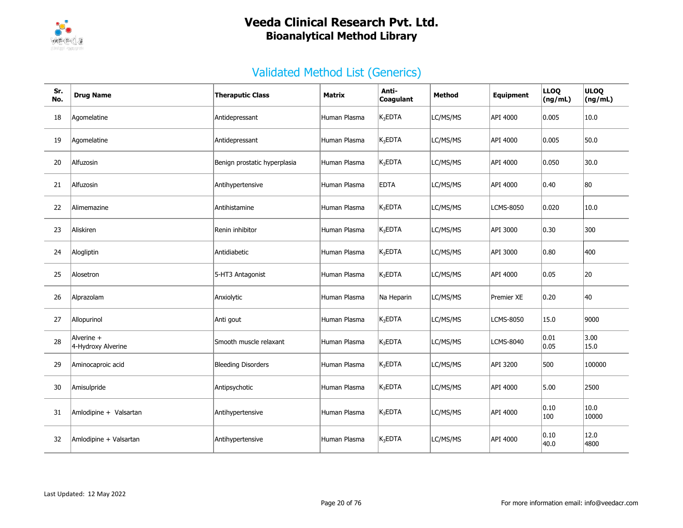

| Sr.<br>No. | <b>Drug Name</b>                 | <b>Theraputic Class</b>      | Matrix       | Anti-<br>Coagulant | <b>Method</b> | <b>Equipment</b> | <b>LLOQ</b><br>(ng/mL) | <b>ULOQ</b><br>(ng/mL) |
|------------|----------------------------------|------------------------------|--------------|--------------------|---------------|------------------|------------------------|------------------------|
| 18         | Agomelatine                      | Antidepressant               | Human Plasma | $K_3$ EDTA         | LC/MS/MS      | API 4000         | 0.005                  | 10.0                   |
| 19         | Agomelatine                      | Antidepressant               | Human Plasma | $K_3$ EDTA         | LC/MS/MS      | API 4000         | 0.005                  | 50.0                   |
| 20         | Alfuzosin                        | Benign prostatic hyperplasia | Human Plasma | $K_3$ EDTA         | LC/MS/MS      | API 4000         | 0.050                  | 30.0                   |
| 21         | Alfuzosin                        | Antihypertensive             | Human Plasma | <b>EDTA</b>        | LC/MS/MS      | API 4000         | 0.40                   | 80                     |
| 22         | Alimemazine                      | Antihistamine                | Human Plasma | $\rm\,K_{3}$ EDTA  | LC/MS/MS      | LCMS-8050        | 0.020                  | 10.0                   |
| 23         | Aliskiren                        | Renin inhibitor              | Human Plasma | $K_3EDTA$          | LC/MS/MS      | API 3000         | 0.30                   | 300                    |
| 24         | Alogliptin                       | Antidiabetic                 | Human Plasma | $K_3$ EDTA         | LC/MS/MS      | API 3000         | 0.80                   | 400                    |
| 25         | Alosetron                        | 5-HT3 Antagonist             | Human Plasma | $K_3$ EDTA         | LC/MS/MS      | API 4000         | 0.05                   | 20                     |
| 26         | Alprazolam                       | Anxiolytic                   | Human Plasma | Na Heparin         | LC/MS/MS      | Premier XE       | 0.20                   | 40                     |
| 27         | Allopurinol                      | Anti gout                    | Human Plasma | $K_3$ EDTA         | LC/MS/MS      | LCMS-8050        | 15.0                   | 9000                   |
| 28         | Alverine +<br>4-Hydroxy Alverine | Smooth muscle relaxant       | Human Plasma | $K_3$ EDTA         | LC/MS/MS      | LCMS-8040        | 0.01<br> 0.05          | 3.00<br>15.0           |
| 29         | Aminocaproic acid                | <b>Bleeding Disorders</b>    | Human Plasma | $K_3$ EDTA         | LC/MS/MS      | API 3200         | 500                    | 100000                 |
| 30         | Amisulpride                      | Antipsychotic                | Human Plasma | $K_3$ EDTA         | LC/MS/MS      | API 4000         | 5.00                   | 2500                   |
| 31         | Amlodipine + Valsartan           | Antihypertensive             | Human Plasma | $K_3$ EDTA         | LC/MS/MS      | API 4000         | 0.10<br>100            | 10.0<br>10000          |
| 32         | Amlodipine + Valsartan           | Antihypertensive             | Human Plasma | $K_3$ EDTA         | LC/MS/MS      | API 4000         | 0.10<br>40.0           | 12.0<br>4800           |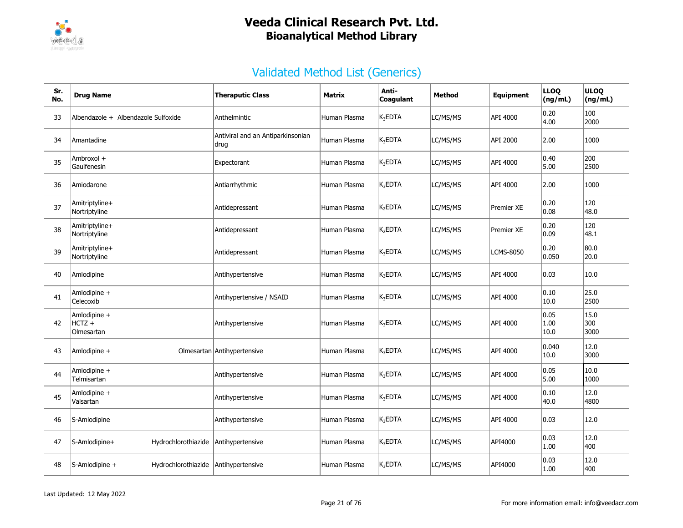

| Sr.<br>No. | <b>Drug Name</b>                         | <b>Theraputic Class</b>                   | Matrix       | Anti-<br>Coagulant  | Method   | Equipment        | <b>LLOQ</b><br>(ng/mL) | <b>ULOQ</b><br>(ng/mL) |
|------------|------------------------------------------|-------------------------------------------|--------------|---------------------|----------|------------------|------------------------|------------------------|
| 33         | Albendazole + Albendazole Sulfoxide      | Anthelmintic                              | Human Plasma | $K_3EDTA$           | LC/MS/MS | API 4000         | 0.20<br>4.00           | 100<br>2000            |
| 34         | Amantadine                               | Antiviral and an Antiparkinsonian<br>drug | Human Plasma | $K_3$ EDTA          | LC/MS/MS | API 2000         | 2.00                   | 1000                   |
| 35         | Ambroxol +<br>Gauifenesin                | Expectorant                               | Human Plasma | $K_3$ EDTA          | LC/MS/MS | API 4000         | 0.40<br>5.00           | 200<br>2500            |
| 36         | Amiodarone                               | Antiarrhythmic                            | Human Plasma | $K_3$ EDTA          | LC/MS/MS | API 4000         | 2.00                   | 1000                   |
| 37         | Amitriptyline+<br>Nortriptyline          | Antidepressant                            | Human Plasma | K <sub>2</sub> EDTA | LC/MS/MS | Premier XE       | 0.20<br> 0.08          | 120<br>48.0            |
| 38         | Amitriptyline+<br>Nortriptyline          | Antidepressant                            | Human Plasma | K <sub>2</sub> EDTA | LC/MS/MS | Premier XE       | 0.20<br> 0.09          | 120<br>48.1            |
| 39         | Amitriptyline+<br>Nortriptyline          | Antidepressant                            | Human Plasma | $K_3$ EDTA          | LC/MS/MS | <b>LCMS-8050</b> | 0.20<br> 0.050         | 80.0<br>20.0           |
| 40         | Amlodipine                               | Antihypertensive                          | Human Plasma | K <sub>3</sub> EDTA | LC/MS/MS | API 4000         | 0.03                   | 10.0                   |
| 41         | Amlodipine +<br>Celecoxib                | Antihypertensive / NSAID                  | Human Plasma | $K_3$ EDTA          | LC/MS/MS | API 4000         | 0.10<br> 10.0          | 25.0<br>2500           |
| 42         | Amlodipine +<br>$HCTZ +$<br>Olmesartan   | Antihypertensive                          | Human Plasma | $K_3$ EDTA          | LC/MS/MS | API 4000         | 0.05<br> 1.00<br> 10.0 | 15.0<br>300<br>3000    |
| 43         | Amlodipine +                             | Olmesartan Antihypertensive               | Human Plasma | K <sub>3</sub> EDTA | LC/MS/MS | API 4000         | 0.040<br> 10.0         | 12.0<br>3000           |
| 44         | Amlodipine +<br>Telmisartan              | Antihypertensive                          | Human Plasma | $K_3$ EDTA          | LC/MS/MS | API 4000         | 0.05<br>5.00           | 10.0<br>1000           |
| 45         | Amlodipine +<br>Valsartan                | Antihypertensive                          | Human Plasma | $K_3$ EDTA          | LC/MS/MS | API 4000         | 0.10<br>40.0           | 12.0<br>4800           |
| 46         | S-Amlodipine                             | Antihypertensive                          | Human Plasma | $K_3$ EDTA          | LC/MS/MS | API 4000         | 0.03                   | 12.0                   |
| 47         | S-Amlodipine+<br>Hydrochlorothiazide     | Antihypertensive                          | Human Plasma | K <sub>3</sub> EDTA | LC/MS/MS | API4000          | 0.03<br> 1.00          | 12.0<br>400            |
| 48         | $ S-Amlodipine +$<br>Hydrochlorothiazide | Antihypertensive                          | Human Plasma | K <sub>3</sub> EDTA | LC/MS/MS | API4000          | 0.03<br> 1.00          | 12.0<br>400            |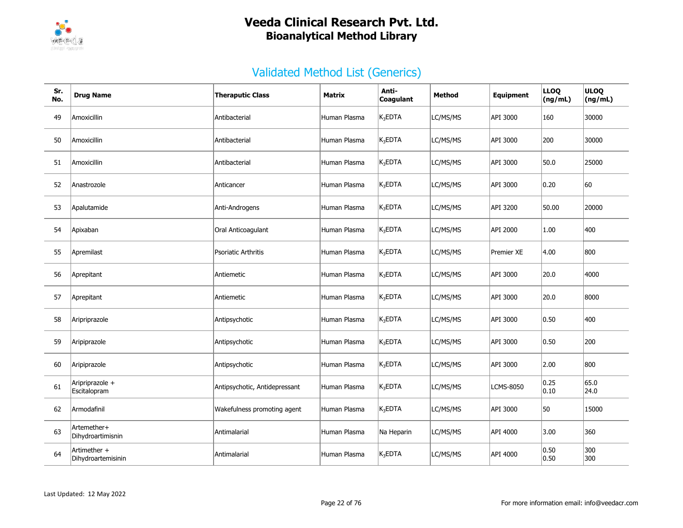

| Sr.<br>No. | <b>Drug Name</b>                   | <b>Theraputic Class</b>       | <b>Matrix</b> | Anti-<br>Coagulant  | Method   | Equipment         | <b>LLOQ</b><br>(ng/mL) | <b>ULOQ</b><br>(ng/mL) |
|------------|------------------------------------|-------------------------------|---------------|---------------------|----------|-------------------|------------------------|------------------------|
| 49         | Amoxicillin                        | Antibacterial                 | Human Plasma  | $K_3$ EDTA          | LC/MS/MS | API 3000          | 160                    | 30000                  |
| 50         | Amoxicillin                        | Antibacterial                 | Human Plasma  | $K_3EDTA$           | LC/MS/MS | API 3000          | 200                    | 30000                  |
| 51         | Amoxicillin                        | Antibacterial                 | Human Plasma  | $K_3EDTA$           | LC/MS/MS | API 3000          | 50.0                   | 25000                  |
| 52         | Anastrozole                        | Anticancer                    | Human Plasma  | K <sub>3</sub> EDTA | LC/MS/MS | API 3000          | 0.20                   | 60                     |
| 53         | Apalutamide                        | Anti-Androgens                | Human Plasma  | $K_3$ EDTA          | LC/MS/MS | API 3200          | 50.00                  | 20000                  |
| 54         | Apixaban                           | Oral Anticoagulant            | Human Plasma  | $K_3EDTA$           | LC/MS/MS | API 2000          | 1.00                   | 400                    |
| 55         | Apremilast                         | <b>Psoriatic Arthritis</b>    | Human Plasma  | $K_3$ EDTA          | LC/MS/MS | <b>Premier XE</b> | 4.00                   | 800                    |
| 56         | Aprepitant                         | Antiemetic                    | Human Plasma  | $K_3EDTA$           | LC/MS/MS | API 3000          | 20.0                   | 4000                   |
| 57         | Aprepitant                         | Antiemetic                    | Human Plasma  | $K_3EDTA$           | LC/MS/MS | API 3000          | 20.0                   | 8000                   |
| 58         | Aripriprazole                      | Antipsychotic                 | Human Plasma  | $K_3EDTA$           | LC/MS/MS | API 3000          | 0.50                   | 400                    |
| 59         | Aripiprazole                       | Antipsychotic                 | Human Plasma  | $K_3EDTA$           | LC/MS/MS | API 3000          | 0.50                   | 200                    |
| 60         | Aripiprazole                       | Antipsychotic                 | Human Plasma  | K <sub>3</sub> EDTA | LC/MS/MS | API 3000          | 2.00                   | 800                    |
| 61         | Aripriprazole +<br>Escitalopram    | Antipsychotic, Antidepressant | Human Plasma  | $K_3$ EDTA          | LC/MS/MS | <b>LCMS-8050</b>  | 0.25<br> 0.10          | 65.0<br>24.0           |
| 62         | Armodafinil                        | Wakefulness promoting agent   | Human Plasma  | $K_3EDTA$           | LC/MS/MS | API 3000          | 50                     | 15000                  |
| 63         | Artemether+<br>Dihydroartimisnin   | Antimalarial                  | Human Plasma  | Na Heparin          | LC/MS/MS | API 4000          | 3.00                   | 360                    |
| 64         | Artimether +<br>Dihydroartemisinin | Antimalarial                  | Human Plasma  | $K_3$ EDTA          | LC/MS/MS | API 4000          | 0.50<br> 0.50          | 300<br>300             |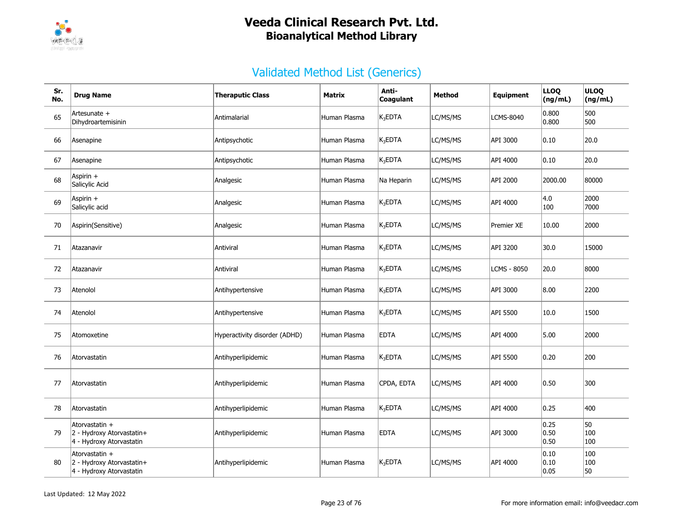

| Sr.<br>No. | <b>Drug Name</b>                                                        | <b>Theraputic Class</b>       | Matrix       | Anti-<br><b>Coagulant</b> | Method   | <b>Equipment</b> | <b>LLOQ</b><br>(ng/mL) | <b>ULOQ</b><br>(ng/mL) |
|------------|-------------------------------------------------------------------------|-------------------------------|--------------|---------------------------|----------|------------------|------------------------|------------------------|
| 65         | Artesunate +<br>Dihydroartemisinin                                      | Antimalarial                  | Human Plasma | $K_3$ EDTA                | LC/MS/MS | <b>LCMS-8040</b> | 0.800<br>0.800         | 500<br>500             |
| 66         | Asenapine                                                               | Antipsychotic                 | Human Plasma | $K_3EDTA$                 | LC/MS/MS | API 3000         | 0.10                   | 20.0                   |
| 67         | Asenapine                                                               | Antipsychotic                 | Human Plasma | $K_3$ EDTA                | LC/MS/MS | API 4000         | 0.10                   | 20.0                   |
| 68         | Aspirin +<br>Salicylic Acid                                             | Analgesic                     | Human Plasma | Na Heparin                | LC/MS/MS | API 2000         | 2000.00                | 80000                  |
| 69         | Aspirin +<br>Salicylic acid                                             | Analgesic                     | Human Plasma | $K_3$ EDTA                | LC/MS/MS | API 4000         | 4.0<br>100             | 2000<br>7000           |
| 70         | Aspirin(Sensitive)                                                      | Analgesic                     | Human Plasma | $K_3$ EDTA                | LC/MS/MS | Premier XE       | 10.00                  | 2000                   |
| 71         | Atazanavir                                                              | Antiviral                     | Human Plasma | $K_3$ EDTA                | LC/MS/MS | API 3200         | 30.0                   | 15000                  |
| 72         | Atazanavir                                                              | Antiviral                     | Human Plasma | $K_3EDTA$                 | LC/MS/MS | LCMS - 8050      | 20.0                   | 8000                   |
| 73         | Atenolol                                                                | Antihypertensive              | Human Plasma | $K_3EDTA$                 | LC/MS/MS | API 3000         | 8.00                   | 2200                   |
| 74         | Atenolol                                                                | Antihypertensive              | Human Plasma | $K_3EDTA$                 | LC/MS/MS | API 5500         | 10.0                   | 1500                   |
| 75         | Atomoxetine                                                             | Hyperactivity disorder (ADHD) | Human Plasma | <b>EDTA</b>               | LC/MS/MS | API 4000         | 5.00                   | 2000                   |
| 76         | Atorvastatin                                                            | Antihyperlipidemic            | Human Plasma | $K_3$ EDTA                | LC/MS/MS | API 5500         | 0.20                   | 200                    |
| 77         | Atorvastatin                                                            | Antihyperlipidemic            | Human Plasma | CPDA, EDTA                | LC/MS/MS | API 4000         | 0.50                   | 300                    |
| 78         | Atorvastatin                                                            | Antihyperlipidemic            | Human Plasma | $K_3$ EDTA                | LC/MS/MS | API 4000         | 0.25                   | 400                    |
| 79         | Atorvastatin +<br>2 - Hydroxy Atorvastatin+<br>4 - Hydroxy Atorvastatin | Antihyperlipidemic            | Human Plasma | <b>EDTA</b>               | LC/MS/MS | API 3000         | 0.25<br> 0.50<br>0.50  | 50<br>100<br>100       |
| 80         | Atorvastatin +<br>2 - Hydroxy Atorvastatin+<br>4 - Hydroxy Atorvastatin | Antihyperlipidemic            | Human Plasma | $K_3$ EDTA                | LC/MS/MS | API 4000         | 0.10<br>0.10<br>0.05   | 100<br>100<br>50       |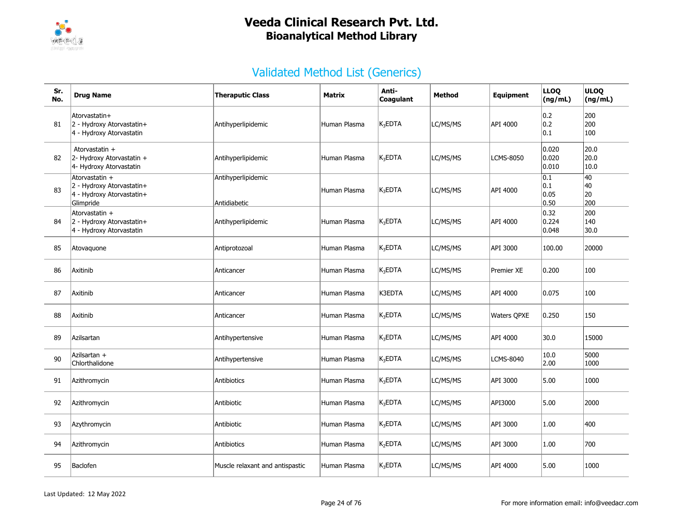

| Sr.<br>No. | <b>Drug Name</b>                                                                      | <b>Theraputic Class</b>            | <b>Matrix</b> | Anti-<br><b>Coagulant</b> | Method   | Equipment          | <b>LLOQ</b><br>(ng/mL)                      | <b>ULOQ</b><br>(ng/mL)             |
|------------|---------------------------------------------------------------------------------------|------------------------------------|---------------|---------------------------|----------|--------------------|---------------------------------------------|------------------------------------|
| 81         | Atorvastatin+<br>2 - Hydroxy Atorvastatin+<br>4 - Hydroxy Atorvastatin                | Antihyperlipidemic                 | Human Plasma  | $K_3$ EDTA                | LC/MS/MS | API 4000           | 0.2 <br> 0.2 <br> 0.1                       | 200<br>200<br>100                  |
| 82         | Atorvastatin +<br>2- Hydroxy Atorvastatin +<br>4- Hydroxy Atorvastatin                | Antihyperlipidemic                 | Human Plasma  | $K_3EDTA$                 | LC/MS/MS | LCMS-8050          | 0.020<br>0.020<br>0.010                     | 20.0<br>20.0<br>10.0               |
| 83         | Atorvastatin +<br>2 - Hydroxy Atorvastatin+<br>4 - Hydroxy Atorvastatin+<br>Glimpride | Antihyperlipidemic<br>Antidiabetic | Human Plasma  | K <sub>3</sub> EDTA       | LC/MS/MS | API 4000           | $\overline{0.1}$<br> 0.1 <br> 0.05<br> 0.50 | $\overline{40}$<br>40<br>20<br>200 |
| 84         | Atorvastatin +<br>2 - Hydroxy Atorvastatin+<br>4 - Hydroxy Atorvastatin               | Antihyperlipidemic                 | Human Plasma  | $K_3$ EDTA                | LC/MS/MS | API 4000           | 0.32 <br> 0.224<br> 0.048                   | 200<br>140<br>30.0                 |
| 85         | Atovaguone                                                                            | Antiprotozoal                      | Human Plasma  | K <sub>3</sub> EDTA       | LC/MS/MS | API 3000           | 100.00                                      | 20000                              |
| 86         | Axitinib                                                                              | Anticancer                         | Human Plasma  | $K_3$ EDTA                | LC/MS/MS | Premier XE         | 0.200                                       | 100                                |
| 87         | Axitinib                                                                              | Anticancer                         | Human Plasma  | K3EDTA                    | LC/MS/MS | API 4000           | 0.075                                       | 100                                |
| 88         | Axitinib                                                                              | Anticancer                         | Human Plasma  | $K_3EDTA$                 | LC/MS/MS | <b>Waters QPXE</b> | 0.250                                       | 150                                |
| 89         | Azilsartan                                                                            | Antihypertensive                   | Human Plasma  | $K_3$ EDTA                | LC/MS/MS | API 4000           | 30.0                                        | 15000                              |
| 90         | Azilsartan +<br>Chlorthalidone                                                        | Antihypertensive                   | Human Plasma  | $K_3EDTA$                 | LC/MS/MS | <b>LCMS-8040</b>   | 10.0<br> 2.00                               | 5000<br>1000                       |
| 91         | Azithromycin                                                                          | Antibiotics                        | Human Plasma  | $K_3EDTA$                 | LC/MS/MS | API 3000           | 5.00                                        | 1000                               |
| 92         | Azithromycin                                                                          | Antibiotic                         | Human Plasma  | $K_3EDTA$                 | LC/MS/MS | API3000            | 5.00                                        | 2000                               |
| 93         | Azythromycin                                                                          | Antibiotic                         | Human Plasma  | $K_3$ EDTA                | LC/MS/MS | API 3000           | 1.00                                        | 400                                |
| 94         | Azithromycin                                                                          | Antibiotics                        | Human Plasma  | K <sub>2</sub> EDTA       | LC/MS/MS | API 3000           | 1.00                                        | 700                                |
| 95         | Baclofen                                                                              | Muscle relaxant and antispastic    | Human Plasma  | $K_3$ EDTA                | LC/MS/MS | API 4000           | 5.00                                        | 1000                               |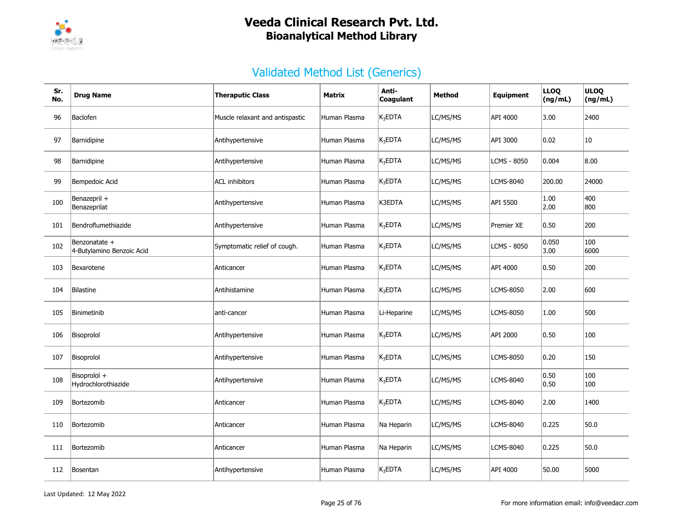

| Sr.<br>No. | <b>Drug Name</b>                           | <b>Theraputic Class</b>         | <b>Matrix</b> | Anti-<br>Coagulant | Method   | <b>Equipment</b> | <b>LLOQ</b><br>(ng/mL) | <b>ULOQ</b><br>(ng/mL) |
|------------|--------------------------------------------|---------------------------------|---------------|--------------------|----------|------------------|------------------------|------------------------|
| 96         | Baclofen                                   | Muscle relaxant and antispastic | Human Plasma  | $K_3$ EDTA         | LC/MS/MS | API 4000         | 3.00                   | 2400                   |
| 97         | Barnidipine                                | Antihypertensive                | Human Plasma  | $K_3$ EDTA         | LC/MS/MS | API 3000         | 0.02                   | 10                     |
| 98         | Barnidipine                                | Antihypertensive                | Human Plasma  | $K_3$ EDTA         | LC/MS/MS | LCMS - 8050      | 0.004                  | 8.00                   |
| 99         | Bempedoic Acid                             | <b>ACL</b> inhibitors           | Human Plasma  | $K_3$ EDTA         | LC/MS/MS | <b>LCMS-8040</b> | 200.00                 | 24000                  |
| 100        | Benazepril +<br>Benazeprilat               | Antihypertensive                | Human Plasma  | K3EDTA             | LC/MS/MS | API 5500         | 1.00<br>2.00           | 400<br>800             |
| 101        | Bendroflumethiazide                        | Antihypertensive                | Human Plasma  | $K_3$ EDTA         | LC/MS/MS | Premier XE       | 0.50                   | 200                    |
| 102        | Benzonatate +<br>4-Butylamino Benzoic Acid | Symptomatic relief of cough.    | Human Plasma  | $K_3$ EDTA         | LC/MS/MS | LCMS - 8050      | 0.050<br>3.00          | 100<br>6000            |
| 103        | Bexarotene                                 | Anticancer                      | Human Plasma  | $K_3$ EDTA         | LC/MS/MS | API 4000         | 0.50                   | 200                    |
| 104        | Bilastine                                  | Antihistamine                   | Human Plasma  | $K_3$ EDTA         | LC/MS/MS | <b>LCMS-8050</b> | 2.00                   | 600                    |
| 105        | Binimetinib                                | anti-cancer                     | Human Plasma  | Li-Heparine        | LC/MS/MS | <b>LCMS-8050</b> | 1.00                   | 500                    |
| 106        | Bisoprolol                                 | Antihypertensive                | Human Plasma  | $K_3$ EDTA         | LC/MS/MS | API 2000         | 0.50                   | 100                    |
| 107        | Bisoprolol                                 | Antihypertensive                | Human Plasma  | $K_3EDTA$          | LC/MS/MS | LCMS-8050        | 0.20                   | 150                    |
| 108        | Bisoprolol +<br>Hydrochlorothiazide        | Antihypertensive                | Human Plasma  | $K_3EDTA$          | LC/MS/MS | LCMS-8040        | 0.50<br>0.50           | 100<br>100             |
| 109        | Bortezomib                                 | Anticancer                      | Human Plasma  | $K_3$ EDTA         | LC/MS/MS | <b>LCMS-8040</b> | 2.00                   | 1400                   |
| 110        | Bortezomib                                 | Anticancer                      | Human Plasma  | Na Heparin         | LC/MS/MS | <b>LCMS-8040</b> | 0.225                  | 50.0                   |
| 111        | Bortezomib                                 | Anticancer                      | Human Plasma  | Na Heparin         | LC/MS/MS | <b>LCMS-8040</b> | 0.225                  | 50.0                   |
| 112        | Bosentan                                   | Antihypertensive                | Human Plasma  | $K_3$ EDTA         | LC/MS/MS | API 4000         | 50.00                  | 5000                   |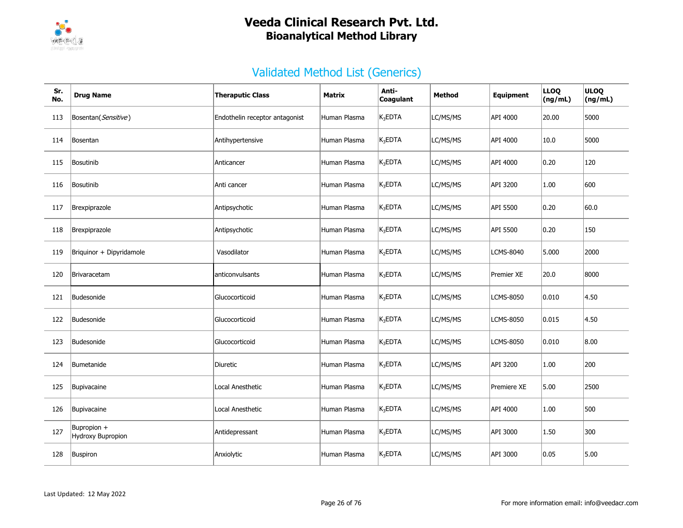

| Sr.<br>No. | <b>Drug Name</b>                 | <b>Theraputic Class</b>        | Matrix       | Anti-<br>Coagulant  | <b>Method</b> | Equipment         | <b>LLOQ</b><br>(ng/mL) | <b>ULOQ</b><br>(ng/mL) |
|------------|----------------------------------|--------------------------------|--------------|---------------------|---------------|-------------------|------------------------|------------------------|
| 113        | Bosentan(Sensitive)              | Endothelin receptor antagonist | Human Plasma | $K_3$ EDTA          | LC/MS/MS      | API 4000          | 20.00                  | 5000                   |
| 114        | Bosentan                         | Antihypertensive               | Human Plasma | $K_3EDTA$           | LC/MS/MS      | API 4000          | 10.0                   | 5000                   |
| 115        | Bosutinib                        | Anticancer                     | Human Plasma | $K_3EDTA$           | LC/MS/MS      | API 4000          | 0.20                   | 120                    |
| 116        | Bosutinib                        | Anti cancer                    | Human Plasma | $K_3EDTA$           | LC/MS/MS      | API 3200          | 1.00                   | 600                    |
| 117        | Brexpiprazole                    | Antipsychotic                  | Human Plasma | $K_3EDTA$           | LC/MS/MS      | API 5500          | 0.20                   | 60.0                   |
| 118        | Brexpiprazole                    | Antipsychotic                  | Human Plasma | K <sub>3</sub> EDTA | LC/MS/MS      | API 5500          | 0.20                   | 150                    |
| 119        | Briquinor + Dipyridamole         | Vasodilator                    | Human Plasma | K <sub>2</sub> EDTA | LC/MS/MS      | <b>LCMS-8040</b>  | 5.000                  | 2000                   |
| 120        | Brivaracetam                     | anticonvulsants                | Human Plasma | K <sub>3</sub> EDTA | LC/MS/MS      | <b>Premier XE</b> | 20.0                   | 8000                   |
| 121        | Budesonide                       | Glucocorticoid                 | Human Plasma | $K_3$ EDTA          | LC/MS/MS      | <b>LCMS-8050</b>  | 0.010                  | 4.50                   |
| 122        | Budesonide                       | Glucocorticoid                 | Human Plasma | K <sub>3</sub> EDTA | LC/MS/MS      | <b>LCMS-8050</b>  | 0.015                  | 4.50                   |
| 123        | Budesonide                       | Glucocorticoid                 | Human Plasma | K <sub>3</sub> EDTA | LC/MS/MS      | <b>LCMS-8050</b>  | 0.010                  | 8.00                   |
| 124        | Bumetanide                       | Diuretic                       | Human Plasma | $K_3$ EDTA          | LC/MS/MS      | API 3200          | 1.00                   | 200                    |
| 125        | Bupivacaine                      | Local Anesthetic               | Human Plasma | $K_3EDTA$           | LC/MS/MS      | Premiere XE       | 5.00                   | 2500                   |
| 126        | Bupivacaine                      | Local Anesthetic               | Human Plasma | $K_3$ EDTA          | LC/MS/MS      | API 4000          | 1.00                   | 500                    |
| 127        | Bupropion +<br>Hydroxy Bupropion | Antidepressant                 | Human Plasma | $K_3EDTA$           | LC/MS/MS      | API 3000          | 1.50                   | 300                    |
| 128        | Buspiron                         | Anxiolytic                     | Human Plasma | $K_3$ EDTA          | LC/MS/MS      | API 3000          | 0.05                   | 5.00                   |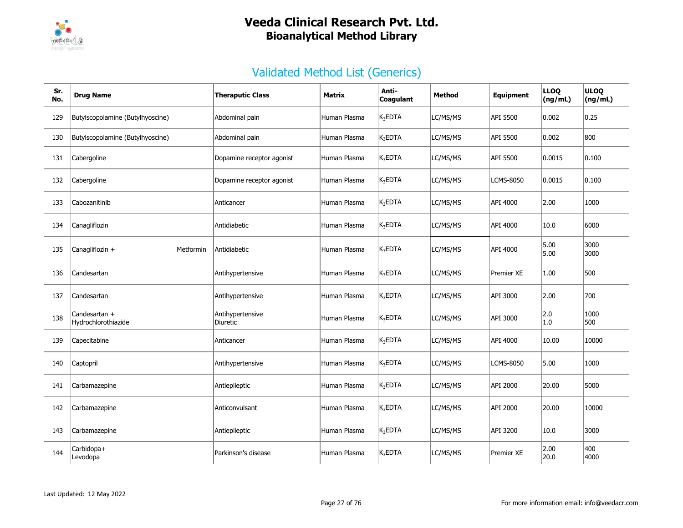

| Sr.<br>No. | <b>Drug Name</b>                     | <b>Theraputic Class</b>      | <b>Matrix</b> | Anti-<br>Coagulant  | <b>Method</b> | Equipment         | <b>LLOQ</b><br>(ng/mL) | <b>ULOQ</b><br>(ng/mL) |
|------------|--------------------------------------|------------------------------|---------------|---------------------|---------------|-------------------|------------------------|------------------------|
| 129        | Butylscopolamine (Butylhyoscine)     | Abdominal pain               | Human Plasma  | K <sub>3</sub> EDTA | LC/MS/MS      | API 5500          | 0.002                  | 0.25                   |
| 130        | Butylscopolamine (Butylhyoscine)     | Abdominal pain               | Human Plasma  | $K_3$ EDTA          | LC/MS/MS      | API 5500          | 0.002                  | 800                    |
| 131        | Cabergoline                          | Dopamine receptor agonist    | Human Plasma  | $K_3$ EDTA          | LC/MS/MS      | API 5500          | 0.0015                 | 0.100                  |
| 132        | Cabergoline                          | Dopamine receptor agonist    | Human Plasma  | $K_3$ EDTA          | LC/MS/MS      | <b>LCMS-8050</b>  | 0.0015                 | 0.100                  |
| 133        | Cabozanitinib                        | Anticancer                   | Human Plasma  | K <sub>3</sub> EDTA | LC/MS/MS      | API 4000          | 2.00                   | 1000                   |
| 134        | Canagliflozin                        | Antidiabetic                 | Human Plasma  | K <sub>3</sub> EDTA | LC/MS/MS      | API 4000          | 10.0                   | 6000                   |
| 135        | Canagliflozin +<br>Metformin         | Antidiabetic                 | Human Plasma  | $K_3$ EDTA          | LC/MS/MS      | API 4000          | 5.00<br>5.00           | 3000<br>3000           |
| 136        | Candesartan                          | Antihypertensive             | Human Plasma  | K <sub>3</sub> EDTA | LC/MS/MS      | <b>Premier XE</b> | 1.00                   | 500                    |
| 137        | Candesartan                          | Antihypertensive             | Human Plasma  | $K_3$ EDTA          | LC/MS/MS      | API 3000          | 2.00                   | 700                    |
| 138        | Candesartan +<br>Hydrochlorothiazide | Antihypertensive<br>Diuretic | Human Plasma  | $K_3$ EDTA          | LC/MS/MS      | API 3000          | 2.0<br>$1.0\,$         | 1000<br>500            |
| 139        | Capecitabine                         | Anticancer                   | Human Plasma  | $K_3$ EDTA          | LC/MS/MS      | API 4000          | 10.00                  | 10000                  |
| 140        | Captopril                            | Antihypertensive             | Human Plasma  | K <sub>3</sub> EDTA | LC/MS/MS      | <b>LCMS-8050</b>  | 5.00                   | 1000                   |
| 141        | Carbamazepine                        | Antiepileptic                | Human Plasma  | K <sub>3</sub> EDTA | LC/MS/MS      | API 2000          | 20.00                  | 5000                   |
| 142        | Carbamazepine                        | Anticonvulsant               | Human Plasma  | $K_3$ EDTA          | LC/MS/MS      | API 2000          | 20.00                  | 10000                  |
| 143        | Carbamazepine                        | Antiepileptic                | Human Plasma  | K <sub>3</sub> EDTA | LC/MS/MS      | API 3200          | 10.0                   | 3000                   |
| 144        | Carbidopa+<br>Levodopa               | Parkinson's disease          | Human Plasma  | $K_3$ EDTA          | LC/MS/MS      | Premier XE        | 2.00<br>20.0           | 400<br>4000            |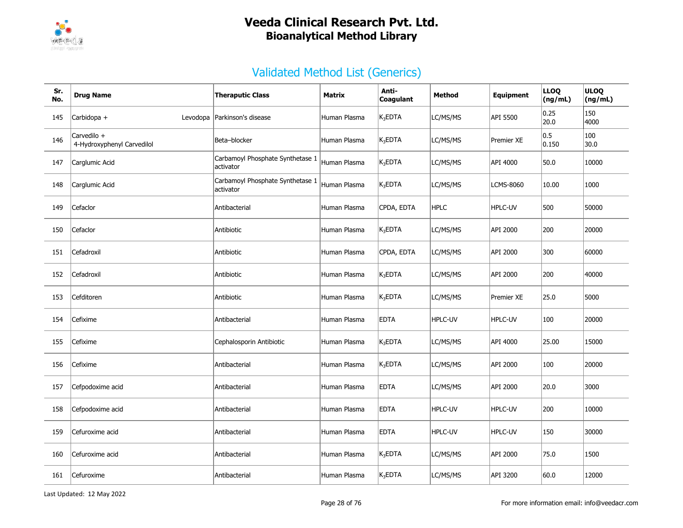

| Sr.<br>No. | <b>Drug Name</b>                          | <b>Theraputic Class</b>                       | <b>Matrix</b> | Anti-<br><b>Coagulant</b> | <b>Method</b>  | <b>Equipment</b> | <b>LLOQ</b><br>(ng/mL) | <b>ULOQ</b><br>(ng/mL) |
|------------|-------------------------------------------|-----------------------------------------------|---------------|---------------------------|----------------|------------------|------------------------|------------------------|
| 145        | Carbidopa +<br>Levodopa                   | Parkinson's disease                           | Human Plasma  | $K_3$ EDTA                | LC/MS/MS       | API 5500         | 0.25<br>20.0           | 150<br>4000            |
| 146        | Carvedilo +<br>4-Hydroxyphenyl Carvedilol | Beta-blocker                                  | Human Plasma  | $K_3$ EDTA                | LC/MS/MS       | Premier XE       | 0.5 <br>0.150          | 100<br>30.0            |
| 147        | Carglumic Acid                            | Carbamoyl Phosphate Synthetase 1<br>activator | Human Plasma  | $K_3$ EDTA                | LC/MS/MS       | API 4000         | 50.0                   | 10000                  |
| 148        | Carglumic Acid                            | Carbamoyl Phosphate Synthetase 1<br>activator | Human Plasma  | $K_3$ EDTA                | LC/MS/MS       | LCMS-8060        | 10.00                  | 1000                   |
| 149        | Cefaclor                                  | Antibacterial                                 | Human Plasma  | CPDA, EDTA                | <b>HPLC</b>    | HPLC-UV          | 500                    | 50000                  |
| 150        | Cefaclor                                  | Antibiotic                                    | Human Plasma  | $K_3$ EDTA                | LC/MS/MS       | API 2000         | 200                    | 20000                  |
| 151        | Cefadroxil                                | Antibiotic                                    | Human Plasma  | CPDA, EDTA                | LC/MS/MS       | API 2000         | 300                    | 60000                  |
| 152        | Cefadroxil                                | Antibiotic                                    | Human Plasma  | $K_3$ EDTA                | LC/MS/MS       | API 2000         | 200                    | 40000                  |
| 153        | Cefditoren                                | Antibiotic                                    | Human Plasma  | $K_3$ EDTA                | LC/MS/MS       | Premier XE       | 25.0                   | 5000                   |
| 154        | Cefixime                                  | Antibacterial                                 | Human Plasma  | <b>EDTA</b>               | <b>HPLC-UV</b> | HPLC-UV          | 100                    | 20000                  |
| 155        | Cefixime                                  | Cephalosporin Antibiotic                      | Human Plasma  | $K_3EDTA$                 | LC/MS/MS       | API 4000         | 25.00                  | 15000                  |
| 156        | Cefixime                                  | Antibacterial                                 | Human Plasma  | $K_3$ EDTA                | LC/MS/MS       | API 2000         | 100                    | 20000                  |
| 157        | Cefpodoxime acid                          | Antibacterial                                 | Human Plasma  | <b>EDTA</b>               | LC/MS/MS       | API 2000         | 20.0                   | 3000                   |
| 158        | Cefpodoxime acid                          | Antibacterial                                 | Human Plasma  | <b>EDTA</b>               | <b>HPLC-UV</b> | <b>HPLC-UV</b>   | 200                    | 10000                  |
| 159        | Cefuroxime acid                           | Antibacterial                                 | Human Plasma  | <b>EDTA</b>               | HPLC-UV        | <b>HPLC-UV</b>   | 150                    | 30000                  |
| 160        | Cefuroxime acid                           | Antibacterial                                 | Human Plasma  | $K_3EDTA$                 | LC/MS/MS       | API 2000         | 75.0                   | 1500                   |
| 161        | Cefuroxime                                | Antibacterial                                 | Human Plasma  | $K_3$ EDTA                | LC/MS/MS       | API 3200         | 60.0                   | 12000                  |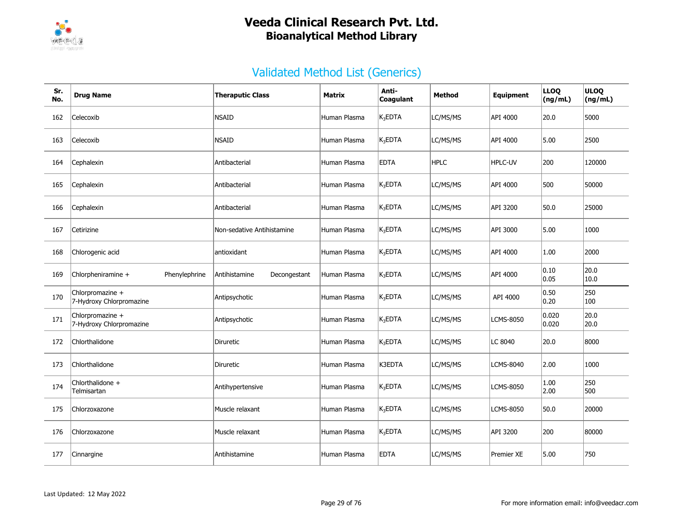

| Sr.<br>No. | <b>Drug Name</b>                             | <b>Theraputic Class</b>       | <b>Matrix</b> | Anti-<br>Coagulant  | Method      | Equipment         | <b>LLOQ</b><br>(ng/mL) | <b>ULOQ</b><br>(ng/mL) |
|------------|----------------------------------------------|-------------------------------|---------------|---------------------|-------------|-------------------|------------------------|------------------------|
| 162        | Celecoxib                                    | <b>NSAID</b>                  | Human Plasma  | $K_3$ EDTA          | LC/MS/MS    | API 4000          | 20.0                   | 5000                   |
| 163        | Celecoxib                                    | <b>NSAID</b>                  | Human Plasma  | $K_3EDTA$           | LC/MS/MS    | API 4000          | 5.00                   | 2500                   |
| 164        | Cephalexin                                   | Antibacterial                 | Human Plasma  | <b>EDTA</b>         | <b>HPLC</b> | <b>HPLC-UV</b>    | 200                    | 120000                 |
| 165        | Cephalexin                                   | Antibacterial                 | Human Plasma  | K <sub>3</sub> EDTA | LC/MS/MS    | API 4000          | 500                    | 50000                  |
| 166        | Cephalexin                                   | Antibacterial                 | Human Plasma  | K <sub>3</sub> EDTA | LC/MS/MS    | API 3200          | 50.0                   | 25000                  |
| 167        | Cetirizine                                   | Non-sedative Antihistamine    | Human Plasma  | $K_3$ EDTA          | LC/MS/MS    | API 3000          | 5.00                   | 1000                   |
| 168        | Chlorogenic acid                             | antioxidant                   | Human Plasma  | $K_3$ EDTA          | LC/MS/MS    | API 4000          | 1.00                   | 2000                   |
| 169        | Chlorpheniramine +<br>Phenylephrine          | Antihistamine<br>Decongestant | Human Plasma  | $K_3EDTA$           | LC/MS/MS    | API 4000          | 0.10<br> 0.05          | 20.0<br>10.0           |
| 170        | Chlorpromazine +<br>7-Hydroxy Chlorpromazine | Antipsychotic                 | Human Plasma  | $K_3$ EDTA          | LC/MS/MS    | API 4000          | 0.50<br> 0.20          | 250<br>100             |
| 171        | Chlorpromazine +<br>7-Hydroxy Chlorpromazine | Antipsychotic                 | Human Plasma  | K <sub>3</sub> EDTA | LC/MS/MS    | LCMS-8050         | 0.020<br>0.020         | 20.0<br>20.0           |
| 172        | Chlorthalidone                               | Diruretic                     | Human Plasma  | $K_3EDTA$           | LC/MS/MS    | LC 8040           | 20.0                   | 8000                   |
| 173        | Chlorthalidone                               | <b>Diruretic</b>              | Human Plasma  | K3EDTA              | LC/MS/MS    | <b>LCMS-8040</b>  | 2.00                   | 1000                   |
| 174        | Chlorthalidone +<br>Telmisartan              | Antihypertensive              | Human Plasma  | K <sub>3</sub> EDTA | LC/MS/MS    | <b>LCMS-8050</b>  | 1.00<br> 2.00          | 250<br>500             |
| 175        | Chlorzoxazone                                | Muscle relaxant               | Human Plasma  | $K_3$ EDTA          | LC/MS/MS    | <b>LCMS-8050</b>  | 50.0                   | 20000                  |
| 176        | Chlorzoxazone                                | Muscle relaxant               | Human Plasma  | $K_3$ EDTA          | LC/MS/MS    | API 3200          | 200                    | 80000                  |
| 177        | Cinnargine                                   | Antihistamine                 | Human Plasma  | <b>EDTA</b>         | LC/MS/MS    | <b>Premier XE</b> | 5.00                   | 750                    |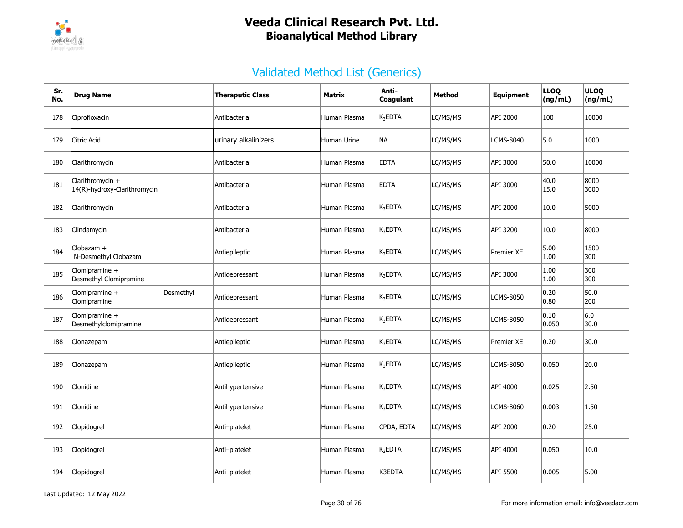

| Sr.<br>No. | <b>Drug Name</b>                                 | <b>Theraputic Class</b> | Matrix       | Anti-<br>Coagulant | Method   | <b>Equipment</b> | <b>LLOQ</b><br>(ng/mL)  | <b>ULOQ</b><br>(ng/mL) |
|------------|--------------------------------------------------|-------------------------|--------------|--------------------|----------|------------------|-------------------------|------------------------|
| 178        | Ciprofloxacin                                    | Antibacterial           | Human Plasma | $K_3$ EDTA         | LC/MS/MS | API 2000         | 100                     | 10000                  |
| 179        | Citric Acid                                      | urinary alkalinizers    | Human Urine  | NА                 | LC/MS/MS | <b>LCMS-8040</b> | 5.0                     | 1000                   |
| 180        | Clarithromycin                                   | Antibacterial           | Human Plasma | <b>EDTA</b>        | LC/MS/MS | API 3000         | 50.0                    | 10000                  |
| 181        | Clarithromycin +<br>14(R)-hydroxy-Clarithromycin | Antibacterial           | Human Plasma | <b>EDTA</b>        | LC/MS/MS | API 3000         | 40.0<br>15.0            | 8000<br>3000           |
| 182        | Clarithromycin                                   | Antibacterial           | Human Plasma | $K_3EDTA$          | LC/MS/MS | API 2000         | 10.0                    | 5000                   |
| 183        | Clindamycin                                      | Antibacterial           | Human Plasma | $K_3EDTA$          | LC/MS/MS | API 3200         | 10.0                    | 8000                   |
| 184        | Clobazam +<br>N-Desmethyl Clobazam               | Antiepileptic           | Human Plasma | $K_3$ EDTA         | LC/MS/MS | Premier XE       | 5.00<br>1.00            | 1500<br>300            |
| 185        | Clomipramine $+$<br>Desmethyl Clomipramine       | Antidepressant          | Human Plasma | $K_3EDTA$          | LC/MS/MS | API 3000         | 1.00<br>1.00            | 300<br>300             |
| 186        | Desmethyl<br>Clomipramine +<br>Clomipramine      | Antidepressant          | Human Plasma | $K_3$ EDTA         | LC/MS/MS | <b>LCMS-8050</b> | 0.20<br> 0.80           | 50.0<br>200            |
| 187        | Clomipramine +<br>Desmethylclomipramine          | Antidepressant          | Human Plasma | $K_3$ EDTA         | LC/MS/MS | <b>LCMS-8050</b> | $ 0.10\rangle$<br>0.050 | 6.0<br>30.0            |
| 188        | Clonazepam                                       | Antiepileptic           | Human Plasma | $K_3$ EDTA         | LC/MS/MS | Premier XE       | 0.20                    | 30.0                   |
| 189        | Clonazepam                                       | Antiepileptic           | Human Plasma | $K_3$ EDTA         | LC/MS/MS | <b>LCMS-8050</b> | 0.050                   | 20.0                   |
| 190        | Clonidine                                        | Antihypertensive        | Human Plasma | $K_3$ EDTA         | LC/MS/MS | API 4000         | 0.025                   | 2.50                   |
| 191        | Clonidine                                        | Antihypertensive        | Human Plasma | $K_3$ EDTA         | LC/MS/MS | <b>LCMS-8060</b> | 0.003                   | 1.50                   |
| 192        | Clopidogrel                                      | Anti-platelet           | Human Plasma | CPDA, EDTA         | LC/MS/MS | API 2000         | $ 0.20\rangle$          | 25.0                   |
| 193        | Clopidogrel                                      | Anti-platelet           | Human Plasma | $K_3$ EDTA         | LC/MS/MS | API 4000         | 0.050                   | 10.0                   |
| 194        | Clopidogrel                                      | Anti-platelet           | Human Plasma | K3EDTA             | LC/MS/MS | API 5500         | 0.005                   | 5.00                   |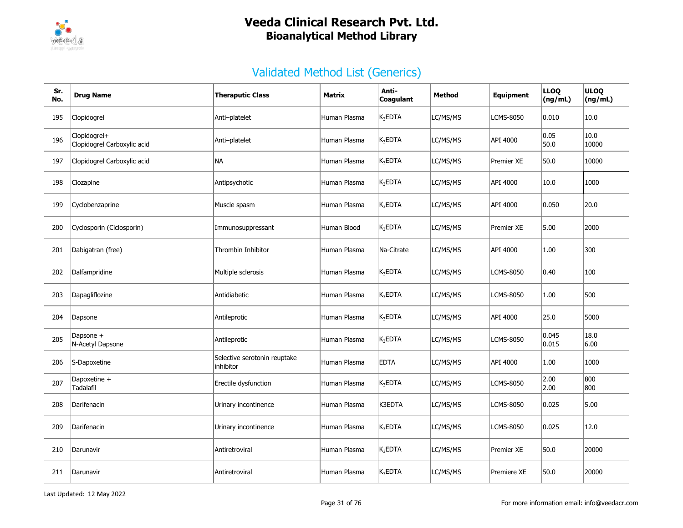

| Sr.<br>No. | <b>Drug Name</b>                            | <b>Theraputic Class</b>                   | Matrix       | Anti-<br>Coagulant  | <b>Method</b> | <b>Equipment</b> | <b>LLOQ</b><br>(ng/mL) | <b>ULOQ</b><br>(ng/mL) |
|------------|---------------------------------------------|-------------------------------------------|--------------|---------------------|---------------|------------------|------------------------|------------------------|
| 195        | Clopidogrel                                 | Anti-platelet                             | Human Plasma | $K_3$ EDTA          | LC/MS/MS      | <b>LCMS-8050</b> | 0.010                  | 10.0                   |
| 196        | Clopidogrel+<br>Clopidogrel Carboxylic acid | Anti-platelet                             | Human Plasma | $K_3$ EDTA          | LC/MS/MS      | API 4000         | 0.05<br>50.0           | 10.0<br>10000          |
| 197        | Clopidogrel Carboxylic acid                 | NА                                        | Human Plasma | K <sub>3</sub> EDTA | LC/MS/MS      | Premier XE       | 50.0                   | 10000                  |
| 198        | Clozapine                                   | Antipsychotic                             | Human Plasma | K <sub>3</sub> EDTA | LC/MS/MS      | API 4000         | 10.0                   | 1000                   |
| 199        | Cyclobenzaprine                             | Muscle spasm                              | Human Plasma | K <sub>3</sub> EDTA | LC/MS/MS      | API 4000         | 0.050                  | 20.0                   |
| 200        | Cyclosporin (Ciclosporin)                   | Immunosuppressant                         | Human Blood  | $K_3EDTA$           | LC/MS/MS      | Premier XE       | 5.00                   | 2000                   |
| 201        | Dabigatran (free)                           | Thrombin Inhibitor                        | Human Plasma | Na-Citrate          | LC/MS/MS      | API 4000         | 1.00                   | 300                    |
| 202        | Dalfampridine                               | Multiple sclerosis                        | Human Plasma | $K_3$ EDTA          | LC/MS/MS      | LCMS-8050        | 0.40                   | 100                    |
| 203        | Dapagliflozine                              | Antidiabetic                              | Human Plasma | $K_3$ EDTA          | LC/MS/MS      | LCMS-8050        | 1.00                   | 500                    |
| 204        | Dapsone                                     | Antileprotic                              | Human Plasma | $K_3$ EDTA          | LC/MS/MS      | API 4000         | 25.0                   | 5000                   |
| 205        | Dapsone +<br>N-Acetyl Dapsone               | Antileprotic                              | Human Plasma | $K_3$ EDTA          | LC/MS/MS      | LCMS-8050        | 0.045<br> 0.015        | 18.0<br>6.00           |
| 206        | S-Dapoxetine                                | Selective serotonin reuptake<br>inhibitor | Human Plasma | <b>EDTA</b>         | LC/MS/MS      | API 4000         | 1.00                   | 1000                   |
| 207        | Dapoxetine +<br>Tadalafil                   | Erectile dysfunction                      | Human Plasma | K <sub>3</sub> EDTA | LC/MS/MS      | LCMS-8050        | 2.00<br>2.00           | 800<br>800             |
| 208        | Darifenacin                                 | Urinary incontinence                      | Human Plasma | K3EDTA              | LC/MS/MS      | LCMS-8050        | 0.025                  | 5.00                   |
| 209        | Darifenacin                                 | Urinary incontinence                      | Human Plasma | $K_3$ EDTA          | LC/MS/MS      | <b>LCMS-8050</b> | 0.025                  | 12.0                   |
| 210        | Darunavir                                   | Antiretroviral                            | Human Plasma | $K_3$ EDTA          | LC/MS/MS      | Premier XE       | 50.0                   | 20000                  |
| 211        | Darunavir                                   | Antiretroviral                            | Human Plasma | $K_3$ EDTA          | LC/MS/MS      | Premiere XE      | 50.0                   | 20000                  |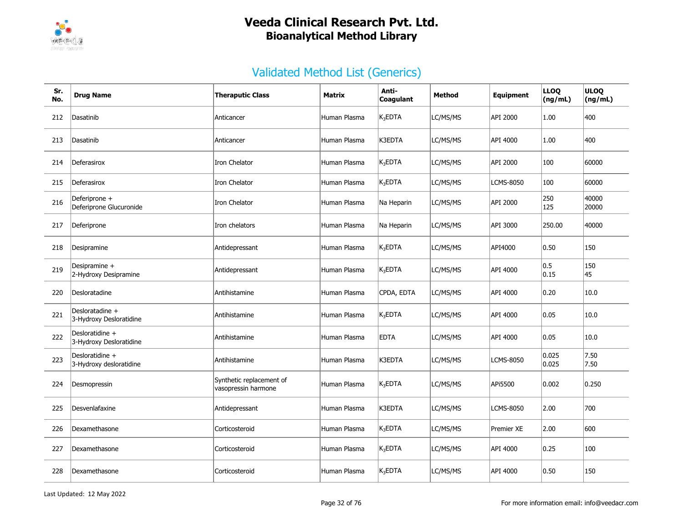

| Sr.<br>No. | <b>Drug Name</b>                           | <b>Theraputic Class</b>                         | Matrix       | Anti-<br>Coagulant  | <b>Method</b> | <b>Equipment</b>  | <b>LLOQ</b><br>(ng/mL) | <b>ULOQ</b><br>(ng/mL) |
|------------|--------------------------------------------|-------------------------------------------------|--------------|---------------------|---------------|-------------------|------------------------|------------------------|
| 212        | Dasatinib                                  | Anticancer                                      | Human Plasma | K <sub>3</sub> EDTA | LC/MS/MS      | API 2000          | 1.00                   | 400                    |
| 213        | Dasatinib                                  | Anticancer                                      | Human Plasma | K3EDTA              | LC/MS/MS      | API 4000          | 1.00                   | 400                    |
| 214        | Deferasirox                                | Iron Chelator                                   | Human Plasma | $K_3EDTA$           | LC/MS/MS      | API 2000          | 100                    | 60000                  |
| 215        | Deferasirox                                | Iron Chelator                                   | Human Plasma | $K_3$ EDTA          | LC/MS/MS      | <b>LCMS-8050</b>  | 100                    | 60000                  |
| 216        | Deferiprone +<br>Deferiprone Glucuronide   | Iron Chelator                                   | Human Plasma | Na Heparin          | LC/MS/MS      | API 2000          | 250<br>125             | 40000<br>20000         |
| 217        | Deferiprone                                | Iron chelators                                  | Human Plasma | Na Heparin          | LC/MS/MS      | API 3000          | 250.00                 | 40000                  |
| 218        | Desipramine                                | Antidepressant                                  | Human Plasma | $K_3$ EDTA          | LC/MS/MS      | API4000           | 0.50                   | 150                    |
| 219        | Desipramine +<br>2-Hydroxy Desipramine     | Antidepressant                                  | Human Plasma | $K_3$ EDTA          | LC/MS/MS      | API 4000          | 0.5 <br>0.15           | 150<br>45              |
| 220        | Desloratadine                              | Antihistamine                                   | Human Plasma | CPDA, EDTA          | LC/MS/MS      | API 4000          | 0.20                   | 10.0                   |
| 221        | Desloratadine +<br>3-Hydroxy Desloratidine | Antihistamine                                   | Human Plasma | $K_3EDTA$           | LC/MS/MS      | API 4000          | 0.05                   | 10.0                   |
| 222        | Desloratidine +<br>3-Hydroxy Desloratidine | Antihistamine                                   | Human Plasma | <b>EDTA</b>         | LC/MS/MS      | API 4000          | 0.05                   | 10.0                   |
| 223        | Desloratidine +<br>3-Hydroxy desloratidine | Antihistamine                                   | Human Plasma | K3EDTA              | LC/MS/MS      | LCMS-8050         | 0.025<br>0.025         | 7.50<br>7.50           |
| 224        | Desmopressin                               | Synthetic replacement of<br>vasopressin harmone | Human Plasma | $K_3$ EDTA          | LC/MS/MS      | APi5500           | 0.002                  | 0.250                  |
| 225        | Desvenlafaxine                             | Antidepressant                                  | Human Plasma | K3EDTA              | LC/MS/MS      | <b>LCMS-8050</b>  | 2.00                   | 700                    |
| 226        | Dexamethasone                              | Corticosteroid                                  | Human Plasma | $K_3$ EDTA          | LC/MS/MS      | <b>Premier XE</b> | 2.00                   | 600                    |
| 227        | Dexamethasone                              | Corticosteroid                                  | Human Plasma | $K_3$ EDTA          | LC/MS/MS      | API 4000          | 0.25                   | 100                    |
| 228        | Dexamethasone                              | Corticosteroid                                  | Human Plasma | $K_3$ EDTA          | LC/MS/MS      | API 4000          | 0.50                   | 150                    |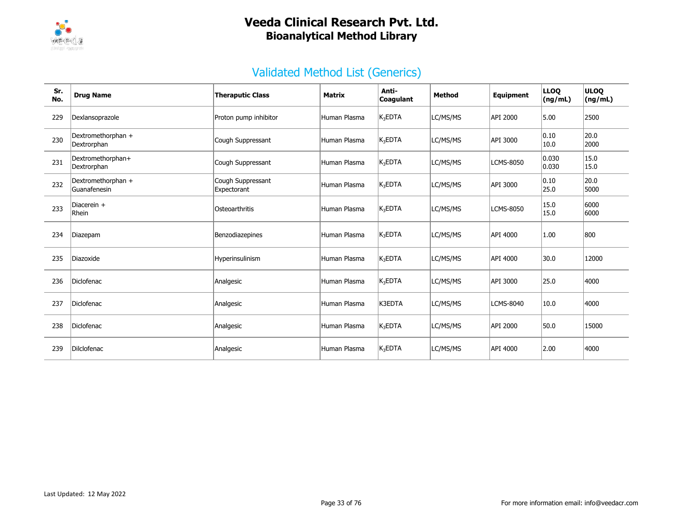

| Sr.<br>No. | <b>Drug Name</b>                   | <b>Theraputic Class</b>          | <b>Matrix</b> | Anti-<br>Coagulant  | <b>Method</b> | <b>Equipment</b> | <b>LLOQ</b><br>(ng/mL) | <b>ULOO</b><br>(ng/mL) |
|------------|------------------------------------|----------------------------------|---------------|---------------------|---------------|------------------|------------------------|------------------------|
| 229        | Dexlansoprazole                    | Proton pump inhibitor            | Human Plasma  | K <sub>3</sub> EDTA | LC/MS/MS      | API 2000         | 5.00                   | 2500                   |
| 230        | Dextromethorphan +<br>Dextrorphan  | Cough Suppressant                | Human Plasma  | K <sub>3</sub> EDTA | LC/MS/MS      | API 3000         | $ 0.10\rangle$<br>10.0 | 20.0<br>2000           |
| 231        | Dextromethorphan+<br>Dextrorphan   | Cough Suppressant                | Human Plasma  | K <sub>3</sub> EDTA | LC/MS/MS      | <b>LCMS-8050</b> | 0.030<br> 0.030        | 15.0<br>15.0           |
| 232        | Dextromethorphan +<br>Guanafenesin | Cough Suppressant<br>Expectorant | Human Plasma  | K <sub>3</sub> EDTA | LC/MS/MS      | API 3000         | $ 0.10\rangle$<br>25.0 | 20.0<br>5000           |
| 233        | Diacerein +<br>Rhein               | Osteoarthritis                   | Human Plasma  | K <sub>3</sub> EDTA | LC/MS/MS      | <b>LCMS-8050</b> | 15.0<br>15.0           | 6000<br>6000           |
| 234        | Diazepam                           | Benzodiazepines                  | Human Plasma  | $K_3$ EDTA          | LC/MS/MS      | API 4000         | 1.00                   | 800                    |
| 235        | Diazoxide                          | Hyperinsulinism                  | Human Plasma  | K <sub>3</sub> EDTA | LC/MS/MS      | API 4000         | 30.0                   | 12000                  |
| 236        | <b>Diclofenac</b>                  | Analgesic                        | Human Plasma  | K <sub>3</sub> EDTA | LC/MS/MS      | API 3000         | 25.0                   | 4000                   |
| 237        | Diclofenac                         | Analgesic                        | Human Plasma  | K3EDTA              | LC/MS/MS      | <b>LCMS-8040</b> | 10.0                   | 4000                   |
| 238        | Diclofenac                         | Analgesic                        | Human Plasma  | $K_3EDTA$           | LC/MS/MS      | API 2000         | 50.0                   | 15000                  |
| 239        | Dilclofenac                        | Analgesic                        | Human Plasma  | $K_3EDTA$           | LC/MS/MS      | API 4000         | 2.00                   | 4000                   |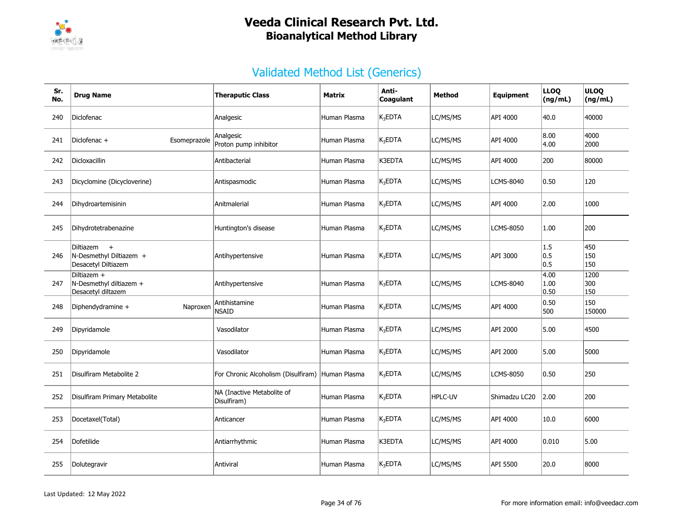

| Sr.<br>No. | <b>Drug Name</b>                                                   | <b>Theraputic Class</b>                   | Matrix       | Anti-<br>Coagulant  | Method   | Equipment        | <b>LLOQ</b><br>(ng/mL) | <b>ULOQ</b><br>(ng/mL) |
|------------|--------------------------------------------------------------------|-------------------------------------------|--------------|---------------------|----------|------------------|------------------------|------------------------|
| 240        | Diclofenac                                                         | Analgesic                                 | Human Plasma | $K_3EDTA$           | LC/MS/MS | API 4000         | 40.0                   | 40000                  |
| 241        | Diclofenac +<br>Esomeprazole                                       | Analgesic<br>Proton pump inhibitor        | Human Plasma | $K_3$ EDTA          | LC/MS/MS | API 4000         | 8.00<br>4.00           | 4000<br>2000           |
| 242        | Dicloxacillin                                                      | Antibacterial                             | Human Plasma | K3EDTA              | LC/MS/MS | API 4000         | 200                    | 80000                  |
| 243        | Dicyclomine (Dicycloverine)                                        | Antispasmodic                             | Human Plasma | $K_3EDTA$           | LC/MS/MS | <b>LCMS-8040</b> | 0.50                   | 120                    |
| 244        | Dihydroartemisinin                                                 | Anitmalerial                              | Human Plasma | K <sub>3</sub> EDTA | LC/MS/MS | API 4000         | 2.00                   | 1000                   |
| 245        | Dihydrotetrabenazine                                               | Huntington's disease                      | Human Plasma | $K_3$ EDTA          | LC/MS/MS | <b>LCMS-8050</b> | 1.00                   | 200                    |
| 246        | Diltiazem<br>$+$<br>N-Desmethyl Diltiazem +<br>Desacetyl Diltiazem | Antihypertensive                          | Human Plasma | K <sub>3</sub> EDTA | LC/MS/MS | API 3000         | 1.5<br> 0.5<br> 0.5    | 450<br>150<br>150      |
| 247        | Diltiazem +<br>N-Desmethyl diltiazem +<br>Desacetyl diltazem       | Antihypertensive                          | Human Plasma | K <sub>3</sub> EDTA | LC/MS/MS | <b>LCMS-8040</b> | 4.00<br> 1.00<br> 0.50 | 1200<br>300<br>150     |
| 248        | Diphendydramine +<br>Naproxen                                      | Antihistamine<br><b>NSAID</b>             | Human Plasma | $K_3$ EDTA          | LC/MS/MS | API 4000         | 0.50<br>500            | 150<br>150000          |
| 249        | Dipyridamole                                                       | Vasodilator                               | Human Plasma | $K_3$ EDTA          | LC/MS/MS | API 2000         | 5.00                   | 4500                   |
| 250        | Dipyridamole                                                       | Vasodilator                               | Human Plasma | K <sub>3</sub> EDTA | LC/MS/MS | API 2000         | 5.00                   | 5000                   |
| 251        | Disulfiram Metabolite 2                                            | For Chronic Alcoholism (Disulfiram)       | Human Plasma | $K_3$ EDTA          | LC/MS/MS | <b>LCMS-8050</b> | 0.50                   | 250                    |
| 252        | Disulfiram Primary Metabolite                                      | NA (Inactive Metabolite of<br>Disulfiram) | Human Plasma | $K_3EDTA$           | HPLC-UV  | Shimadzu LC20    | 2.00                   | 200                    |
| 253        | Docetaxel(Total)                                                   | Anticancer                                | Human Plasma | $K_3$ EDTA          | LC/MS/MS | API 4000         | 10.0                   | 6000                   |
| 254        | Dofetilide                                                         | Antiarrhythmic                            | Human Plasma | K3EDTA              | LC/MS/MS | API 4000         | 0.010                  | 5.00                   |
| 255        | Dolutegravir                                                       | Antiviral                                 | Human Plasma | $K_3EDTA$           | LC/MS/MS | API 5500         | 20.0                   | 8000                   |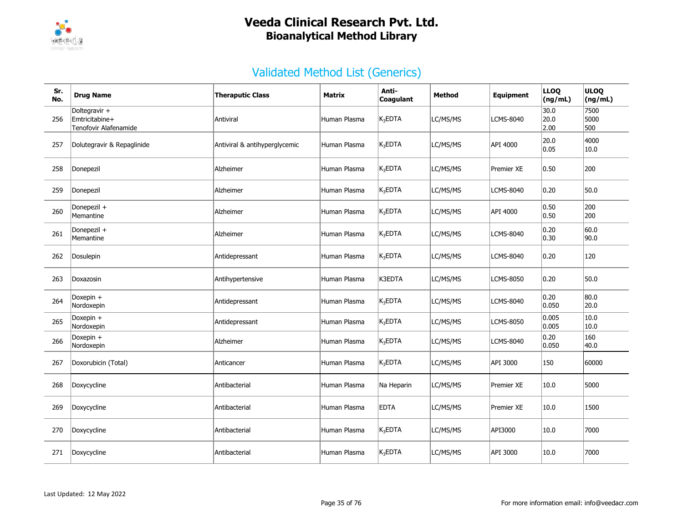

| Sr.<br>No. | <b>Drug Name</b>                                         | <b>Theraputic Class</b>       | <b>Matrix</b> | Anti-<br>Coagulant  | <b>Method</b> | Equipment         | <b>LLOQ</b><br>(ng/mL) | <b>ULOQ</b><br>(ng/mL) |
|------------|----------------------------------------------------------|-------------------------------|---------------|---------------------|---------------|-------------------|------------------------|------------------------|
| 256        | Doltegravir +<br>Emtricitabine+<br>Tenofovir Alafenamide | Antiviral                     | Human Plasma  | $K_3$ EDTA          | LC/MS/MS      | <b>LCMS-8040</b>  | 30.0<br>20.0<br>2.00   | 7500<br>5000<br>500    |
| 257        | Dolutegravir & Repaglinide                               | Antiviral & antihyperglycemic | Human Plasma  | K <sub>3</sub> EDTA | LC/MS/MS      | API 4000          | 20.0<br>0.05           | 4000<br>10.0           |
| 258        | Donepezil                                                | Alzheimer                     | Human Plasma  | $K_3$ EDTA          | LC/MS/MS      | Premier XE        | 0.50                   | 200                    |
| 259        | Donepezil                                                | Alzheimer                     | Human Plasma  | K <sub>3</sub> EDTA | LC/MS/MS      | <b>LCMS-8040</b>  | 0.20                   | 50.0                   |
| 260        | Donepezil +<br>Memantine                                 | Alzheimer                     | Human Plasma  | $K_3$ EDTA          | LC/MS/MS      | API 4000          | 0.50<br>0.50           | 200<br>200             |
| 261        | Donepezil +<br>Memantine                                 | Alzheimer                     | Human Plasma  | $K_3$ EDTA          | LC/MS/MS      | <b>LCMS-8040</b>  | 0.20<br> 0.30          | 60.0<br> 90.0          |
| 262        | Dosulepin                                                | Antidepressant                | Human Plasma  | $K_3$ EDTA          | LC/MS/MS      | <b>LCMS-8040</b>  | 0.20                   | 120                    |
| 263        | Doxazosin                                                | Antihypertensive              | Human Plasma  | K3EDTA              | LC/MS/MS      | <b>LCMS-8050</b>  | 0.20                   | 50.0                   |
| 264        | Doxepin +<br>Nordoxepin                                  | Antidepressant                | Human Plasma  | $K_3$ EDTA          | LC/MS/MS      | <b>LCMS-8040</b>  | 0.20<br>0.050          | 80.0<br>20.0           |
| 265        | Doxepin +<br>Nordoxepin                                  | Antidepressant                | Human Plasma  | $K_3EDTA$           | LC/MS/MS      | LCMS-8050         | 0.005<br>0.005         | 10.0<br>10.0           |
| 266        | Doxepin $+$<br>Nordoxepin                                | Alzheimer                     | Human Plasma  | $K_3$ EDTA          | LC/MS/MS      | <b>LCMS-8040</b>  | 0.20<br>0.050          | 160<br>40.0            |
| 267        | Doxorubicin (Total)                                      | Anticancer                    | Human Plasma  | $K_3$ EDTA          | LC/MS/MS      | API 3000          | 150                    | 60000                  |
| 268        | Doxycycline                                              | Antibacterial                 | Human Plasma  | Na Heparin          | LC/MS/MS      | <b>Premier XE</b> | 10.0                   | 5000                   |
| 269        | Doxycycline                                              | Antibacterial                 | Human Plasma  | <b>EDTA</b>         | LC/MS/MS      | <b>Premier XE</b> | 10.0                   | 1500                   |
| 270        | Doxycycline                                              | Antibacterial                 | Human Plasma  | $K_3EDTA$           | LC/MS/MS      | API3000           | 10.0                   | 7000                   |
| 271        | Doxycycline                                              | Antibacterial                 | Human Plasma  | $K_3$ EDTA          | LC/MS/MS      | API 3000          | 10.0                   | 7000                   |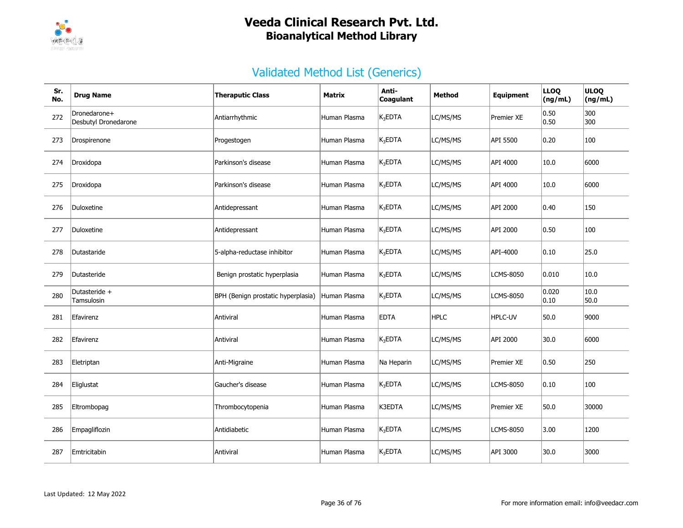

| Sr.<br>No. | <b>Drug Name</b>                     | <b>Theraputic Class</b>            | Matrix       | Anti-<br>Coagulant  | <b>Method</b> | Equipment        | <b>LLOQ</b><br>(ng/mL)  | <b>ULOQ</b><br>(ng/mL) |
|------------|--------------------------------------|------------------------------------|--------------|---------------------|---------------|------------------|-------------------------|------------------------|
| 272        | Dronedarone+<br>Desbutyl Dronedarone | Antiarrhythmic                     | Human Plasma | $K_3$ EDTA          | LC/MS/MS      | Premier XE       | 0.50 <br> 0.50          | 300<br>300             |
| 273        | Drospirenone                         | Progestogen                        | Human Plasma | $K_3$ EDTA          | LC/MS/MS      | API 5500         | 0.20                    | 100                    |
| 274        | Droxidopa                            | Parkinson's disease                | Human Plasma | $K_3$ EDTA          | LC/MS/MS      | API 4000         | 10.0                    | 6000                   |
| 275        | Droxidopa                            | Parkinson's disease                | Human Plasma | $K_3$ EDTA          | LC/MS/MS      | API 4000         | 10.0                    | 6000                   |
| 276        | Duloxetine                           | Antidepressant                     | Human Plasma | $K_3$ EDTA          | LC/MS/MS      | API 2000         | $ 0.40\rangle$          | 150                    |
| 277        | Duloxetine                           | Antidepressant                     | Human Plasma | $K_3$ EDTA          | LC/MS/MS      | API 2000         | 0.50                    | 100                    |
| 278        | Dutastaride                          | 5-alpha-reductase inhibitor        | Human Plasma | $K_3$ EDTA          | LC/MS/MS      | API-4000         | 0.10                    | 25.0                   |
| 279        | Dutasteride                          | Benign prostatic hyperplasia       | Human Plasma | $K_3$ EDTA          | LC/MS/MS      | <b>LCMS-8050</b> | 0.010                   | 10.0                   |
| 280        | Dutasteride +<br>Tamsulosin          | BPH (Benign prostatic hyperplasia) | Human Plasma | $K_3$ EDTA          | LC/MS/MS      | <b>LCMS-8050</b> | 0.020<br>$ 0.10\rangle$ | 10.0<br>50.0           |
| 281        | Efavirenz                            | Antiviral                          | Human Plasma | <b>EDTA</b>         | <b>HPLC</b>   | <b>HPLC-UV</b>   | 50.0                    | 9000                   |
| 282        | Efavirenz                            | Antiviral                          | Human Plasma | K <sub>3</sub> EDTA | LC/MS/MS      | API 2000         | 30.0                    | 6000                   |
| 283        | Eletriptan                           | Anti-Migraine                      | Human Plasma | Na Heparin          | LC/MS/MS      | Premier XE       | 0.50                    | 250                    |
| 284        | Eliglustat                           | Gaucher's disease                  | Human Plasma | K <sub>3</sub> EDTA | LC/MS/MS      | LCMS-8050        | $ 0.10\rangle$          | 100                    |
| 285        | Eltrombopag                          | Thrombocytopenia                   | Human Plasma | K3EDTA              | LC/MS/MS      | Premier XE       | 50.0                    | 30000                  |
| 286        | Empagliflozin                        | Antidiabetic                       | Human Plasma | $K_3$ EDTA          | LC/MS/MS      | <b>LCMS-8050</b> | 3.00                    | 1200                   |
| 287        | Emtricitabin                         | Antiviral                          | Human Plasma | $K_3EDTA$           | LC/MS/MS      | API 3000         | 30.0                    | 3000                   |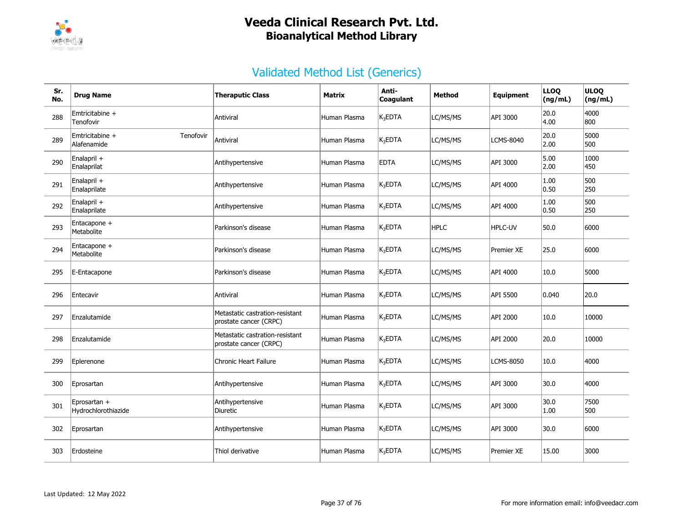

| Sr.<br>No. | <b>Drug Name</b>                            | <b>Theraputic Class</b>                                   | <b>Matrix</b> | Anti-<br>Coagulant  | Method      | Equipment        | <b>LLOQ</b><br>(ng/mL) | <b>ULOQ</b><br>(ng/mL) |
|------------|---------------------------------------------|-----------------------------------------------------------|---------------|---------------------|-------------|------------------|------------------------|------------------------|
| 288        | Emtricitabine +<br>Tenofovir                | Antiviral                                                 | Human Plasma  | K <sub>3</sub> EDTA | LC/MS/MS    | API 3000         | 20.0<br>4.00           | 4000<br>800            |
| 289        | Emtricitabine +<br>Tenofovir<br>Alafenamide | Antiviral                                                 | Human Plasma  | $K_3$ EDTA          | LC/MS/MS    | <b>LCMS-8040</b> | 20.0<br> 2.00          | 5000<br>500            |
| 290        | Enalapril +<br>Enalaprilat                  | Antihypertensive                                          | Human Plasma  | <b>EDTA</b>         | LC/MS/MS    | API 3000         | 5.00<br>2.00           | 1000<br>450            |
| 291        | Enalapril +<br>Enalaprilate                 | Antihypertensive                                          | Human Plasma  | K <sub>3</sub> EDTA | LC/MS/MS    | API 4000         | 1.00<br> 0.50          | 500<br>250             |
| 292        | Enalapril +<br>Enalaprilate                 | Antihypertensive                                          | Human Plasma  | $K_3$ EDTA          | LC/MS/MS    | API 4000         | 1.00<br> 0.50          | 500<br>250             |
| 293        | Entacapone +<br>Metabolite                  | Parkinson's disease                                       | Human Plasma  | $K_3$ EDTA          | <b>HPLC</b> | HPLC-UV          | 50.0                   | 6000                   |
| 294        | Entacapone +<br>Metabolite                  | Parkinson's disease                                       | Human Plasma  | $K_3EDTA$           | LC/MS/MS    | Premier XE       | 25.0                   | 6000                   |
| 295        | E-Entacapone                                | Parkinson's disease                                       | Human Plasma  | $K_3$ EDTA          | LC/MS/MS    | API 4000         | 10.0                   | 5000                   |
| 296        | Entecavir                                   | Antiviral                                                 | Human Plasma  | $K_3$ EDTA          | LC/MS/MS    | API 5500         | 0.040                  | 20.0                   |
| 297        | Enzalutamide                                | Metastatic castration-resistant<br>prostate cancer (CRPC) | Human Plasma  | K <sub>3</sub> EDTA | LC/MS/MS    | API 2000         | 10.0                   | 10000                  |
| 298        | Enzalutamide                                | Metastatic castration-resistant<br>prostate cancer (CRPC) | Human Plasma  | $K_3$ EDTA          | LC/MS/MS    | API 2000         | 20.0                   | 10000                  |
| 299        | Eplerenone                                  | <b>Chronic Heart Failure</b>                              | Human Plasma  | $K_3$ EDTA          | LC/MS/MS    | LCMS-8050        | 10.0                   | 4000                   |
| 300        | Eprosartan                                  | Antihypertensive                                          | Human Plasma  | $K_3EDTA$           | LC/MS/MS    | API 3000         | 30.0                   | 4000                   |
| 301        | Eprosartan +<br>Hydrochlorothiazide         | Antihypertensive<br>Diuretic                              | Human Plasma  | $K_3$ EDTA          | LC/MS/MS    | API 3000         | 30.0<br>1.00           | 7500<br>500            |
| 302        | Eprosartan                                  | Antihypertensive                                          | Human Plasma  | $K_3$ EDTA          | LC/MS/MS    | API 3000         | 30.0                   | 6000                   |
| 303        | Erdosteine                                  | Thiol derivative                                          | Human Plasma  | $K_3EDTA$           | LC/MS/MS    | Premier XE       | 15.00                  | 3000                   |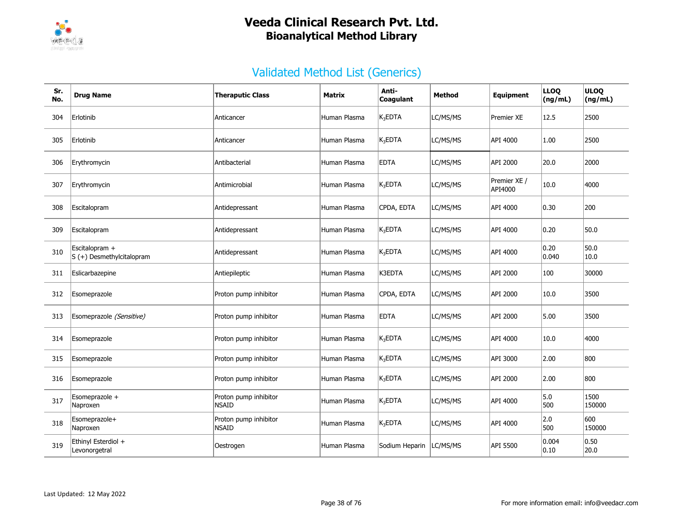

| Sr.<br>No. | <b>Drug Name</b>                            | <b>Theraputic Class</b>               | <b>Matrix</b> | Anti-<br>Coaqulant       | Method   | <b>Equipment</b>        | <b>LLOQ</b><br>(ng/mL) | <b>ULOQ</b><br>(ng/mL) |
|------------|---------------------------------------------|---------------------------------------|---------------|--------------------------|----------|-------------------------|------------------------|------------------------|
| 304        | Erlotinib                                   | Anticancer                            | Human Plasma  | $K_3EDTA$                | LC/MS/MS | <b>Premier XE</b>       | 12.5                   | 2500                   |
| 305        | Erlotinib                                   | Anticancer                            | Human Plasma  | $K_3$ EDTA               | LC/MS/MS | API 4000                | 1.00                   | 2500                   |
| 306        | Erythromycin                                | Antibacterial                         | Human Plasma  | <b>EDTA</b>              | LC/MS/MS | API 2000                | 20.0                   | 2000                   |
| 307        | Erythromycin                                | Antimicrobial                         | Human Plasma  | $K_3EDTA$                | LC/MS/MS | Premier XE /<br>API4000 | 10.0                   | 4000                   |
| 308        | Escitalopram                                | Antidepressant                        | Human Plasma  | CPDA, EDTA               | LC/MS/MS | API 4000                | 0.30                   | 200                    |
| 309        | Escitalopram                                | Antidepressant                        | Human Plasma  | $K_3EDTA$                | LC/MS/MS | API 4000                | 0.20                   | 50.0                   |
| 310        | Escitalopram +<br>S (+) Desmethylcitalopram | Antidepressant                        | Human Plasma  | $K_3$ EDTA               | LC/MS/MS | API 4000                | 0.20<br>0.040          | 50.0<br>10.0           |
| 311        | Eslicarbazepine                             | Antiepileptic                         | Human Plasma  | K3EDTA                   | LC/MS/MS | API 2000                | 100                    | 30000                  |
| 312        | Esomeprazole                                | Proton pump inhibitor                 | Human Plasma  | CPDA, EDTA               | LC/MS/MS | API 2000                | 10.0                   | 3500                   |
| 313        | Esomeprazole (Sensitive)                    | Proton pump inhibitor                 | Human Plasma  | <b>EDTA</b>              | LC/MS/MS | API 2000                | 5.00                   | 3500                   |
| 314        | Esomeprazole                                | Proton pump inhibitor                 | Human Plasma  | $K_3$ EDTA               | LC/MS/MS | API 4000                | 10.0                   | 4000                   |
| 315        | Esomeprazole                                | Proton pump inhibitor                 | Human Plasma  | $K_3EDTA$                | LC/MS/MS | API 3000                | 2.00                   | 800                    |
| 316        | Esomeprazole                                | Proton pump inhibitor                 | Human Plasma  | $K_3EDTA$                | LC/MS/MS | API 2000                | 2.00                   | 800                    |
| 317        | Esomeprazole +<br>Naproxen                  | Proton pump inhibitor<br><b>NSAID</b> | Human Plasma  | $K_3$ EDTA               | LC/MS/MS | API 4000                | 5.0<br>500             | 1500<br>150000         |
| 318        | Esomeprazole+<br>Naproxen                   | Proton pump inhibitor<br><b>NSAID</b> | Human Plasma  | <b>K<sub>3</sub>EDTA</b> | LC/MS/MS | API 4000                | 2.0<br>500             | 600<br>150000          |
| 319        | Ethinyl Esterdiol +<br>Levonorgetral        | Oestrogen                             | Human Plasma  | Sodium Heparin           | LC/MS/MS | API 5500                | 0.004<br> 0.10         | 0.50<br>20.0           |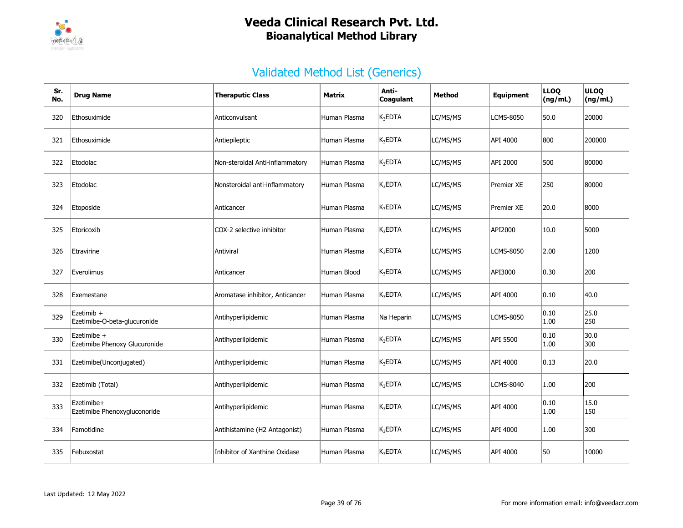

| Sr.<br>No. | <b>Drug Name</b>                             | <b>Theraputic Class</b>         | Matrix       | Anti-<br>Coagulant  | Method   | <b>Equipment</b>  | <b>LLOQ</b><br>(ng/mL) | <b>ULOQ</b><br>(ng/mL) |
|------------|----------------------------------------------|---------------------------------|--------------|---------------------|----------|-------------------|------------------------|------------------------|
| 320        | Ethosuximide                                 | Anticonvulsant                  | Human Plasma | $K_3$ EDTA          | LC/MS/MS | LCMS-8050         | 50.0                   | 20000                  |
| 321        | Ethosuximide                                 | Antiepileptic                   | Human Plasma | K <sub>3</sub> EDTA | LC/MS/MS | API 4000          | 800                    | 200000                 |
| 322        | Etodolac                                     | Non-steroidal Anti-inflammatory | Human Plasma | $K_3$ EDTA          | LC/MS/MS | API 2000          | 500                    | 80000                  |
| 323        | Etodolac                                     | Nonsteroidal anti-inflammatory  | Human Plasma | $K_3$ EDTA          | LC/MS/MS | <b>Premier XE</b> | 250                    | 80000                  |
| 324        | Etoposide                                    | Anticancer                      | Human Plasma | $K_3EDTA$           | LC/MS/MS | <b>Premier XE</b> | 20.0                   | 8000                   |
| 325        | Etoricoxib                                   | COX-2 selective inhibitor       | Human Plasma | $K_3$ EDTA          | LC/MS/MS | API2000           | 10.0                   | 5000                   |
| 326        | Etravirine                                   | Antiviral                       | Human Plasma | $K_3$ EDTA          | LC/MS/MS | LCMS-8050         | 2.00                   | 1200                   |
| 327        | Everolimus                                   | Anticancer                      | Human Blood  | K <sub>3</sub> EDTA | LC/MS/MS | API3000           | 0.30                   | 200                    |
| 328        | Exemestane                                   | Aromatase inhibitor, Anticancer | Human Plasma | $K_3$ EDTA          | LC/MS/MS | API 4000          | 0.10                   | 40.0                   |
| 329        | Ezetimib +<br>Ezetimibe-O-beta-glucuronide   | Antihyperlipidemic              | Human Plasma | Na Heparin          | LC/MS/MS | LCMS-8050         | 0.10<br>1.00           | 25.0<br>250            |
| 330        | Ezetimibe +<br>Ezetimibe Phenoxy Glucuronide | Antihyperlipidemic              | Human Plasma | $K_3EDTA$           | LC/MS/MS | API 5500          | 0.10<br>1.00           | 30.0<br>300            |
| 331        | Ezetimibe(Unconjugated)                      | Antihyperlipidemic              | Human Plasma | $K_3$ EDTA          | LC/MS/MS | API 4000          | 0.13                   | 20.0                   |
| 332        | Ezetimib (Total)                             | Antihyperlipidemic              | Human Plasma | $K_3EDTA$           | LC/MS/MS | LCMS-8040         | 1.00                   | 200                    |
| 333        | Ezetimibe+<br>Ezetimibe Phenoxygluconoride   | Antihyperlipidemic              | Human Plasma | $K_3$ EDTA          | LC/MS/MS | API 4000          | 0.10<br>1.00           | 15.0<br>150            |
| 334        | Famotidine                                   | Antihistamine (H2 Antagonist)   | Human Plasma | $K_3$ EDTA          | LC/MS/MS | API 4000          | 1.00                   | 300                    |
| 335        | Febuxostat                                   | Inhibitor of Xanthine Oxidase   | Human Plasma | $K_3EDTA$           | LC/MS/MS | API 4000          | 50                     | 10000                  |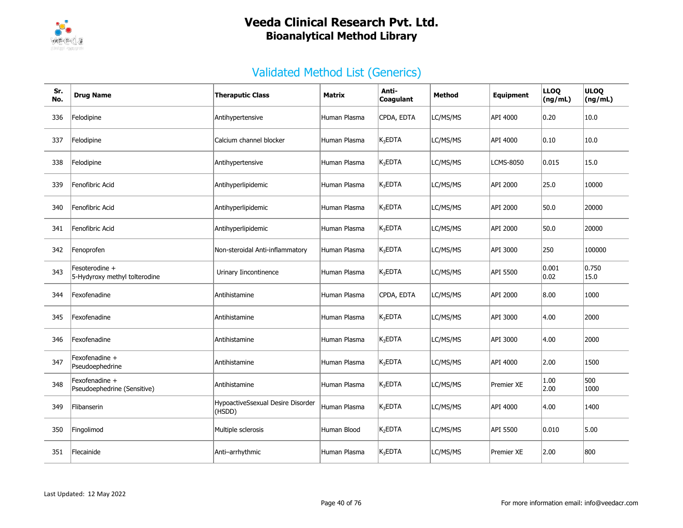

| Sr.<br>No. | <b>Drug Name</b>                                | <b>Theraputic Class</b>                     | <b>Matrix</b> | Anti-<br>Coagulant  | Method   | <b>Equipment</b>  | <b>LLOQ</b><br>(ng/mL) | <b>ULOQ</b><br>(ng/mL) |
|------------|-------------------------------------------------|---------------------------------------------|---------------|---------------------|----------|-------------------|------------------------|------------------------|
| 336        | Felodipine                                      | Antihypertensive                            | Human Plasma  | CPDA, EDTA          | LC/MS/MS | API 4000          | 0.20                   | 10.0                   |
| 337        | Felodipine                                      | Calcium channel blocker                     | Human Plasma  | K <sub>3</sub> EDTA | LC/MS/MS | API 4000          | 0.10                   | 10.0                   |
| 338        | Felodipine                                      | Antihypertensive                            | Human Plasma  | $K_3$ EDTA          | LC/MS/MS | <b>LCMS-8050</b>  | 0.015                  | 15.0                   |
| 339        | Fenofibric Acid                                 | Antihyperlipidemic                          | Human Plasma  | $K_3EDTA$           | LC/MS/MS | API 2000          | 25.0                   | 10000                  |
| 340        | Fenofibric Acid                                 | Antihyperlipidemic                          | Human Plasma  | K <sub>3</sub> EDTA | LC/MS/MS | API 2000          | 50.0                   | 20000                  |
| 341        | Fenofibric Acid                                 | Antihyperlipidemic                          | Human Plasma  | $K_3$ EDTA          | LC/MS/MS | API 2000          | 50.0                   | 20000                  |
| 342        | Fenoprofen                                      | Non-steroidal Anti-inflammatory             | Human Plasma  | $K_3EDTA$           | LC/MS/MS | API 3000          | 250                    | 100000                 |
| 343        | Fesoterodine +<br>5-Hydyroxy methyl tolterodine | Urinary Iincontinence                       | Human Plasma  | K <sub>3</sub> EDTA | LC/MS/MS | API 5500          | 0.001<br> 0.02         | 0.750<br>15.0          |
| 344        | Fexofenadine                                    | Antihistamine                               | Human Plasma  | CPDA, EDTA          | LC/MS/MS | API 2000          | 8.00                   | 1000                   |
| 345        | Fexofenadine                                    | Antihistamine                               | Human Plasma  | $K_3$ EDTA          | LC/MS/MS | API 3000          | 4.00                   | 2000                   |
| 346        | Fexofenadine                                    | Antihistamine                               | Human Plasma  | $K_3EDTA$           | LC/MS/MS | API 3000          | 4.00                   | 2000                   |
| 347        | Fexofenadine +<br>Pseudoephedrine               | Antihistamine                               | Human Plasma  | $K_3EDTA$           | LC/MS/MS | API 4000          | 2.00                   | 1500                   |
| 348        | Fexofenadine +<br>Pseudoephedrine (Sensitive)   | Antihistamine                               | Human Plasma  | $K_3EDTA$           | LC/MS/MS | Premier XE        | 1.00<br>2.00           | 500<br>1000            |
| 349        | Flibanserin                                     | HypoactiveSsexual Desire Disorder<br>(HSDD) | Human Plasma  | $K_3$ EDTA          | LC/MS/MS | API 4000          | 4.00                   | 1400                   |
| 350        | Fingolimod                                      | Multiple sclerosis                          | Human Blood   | K <sub>2</sub> EDTA | LC/MS/MS | API 5500          | 0.010                  | 5.00                   |
| 351        | Flecainide                                      | Anti-arrhythmic                             | Human Plasma  | $K_3EDTA$           | LC/MS/MS | <b>Premier XE</b> | 2.00                   | 800                    |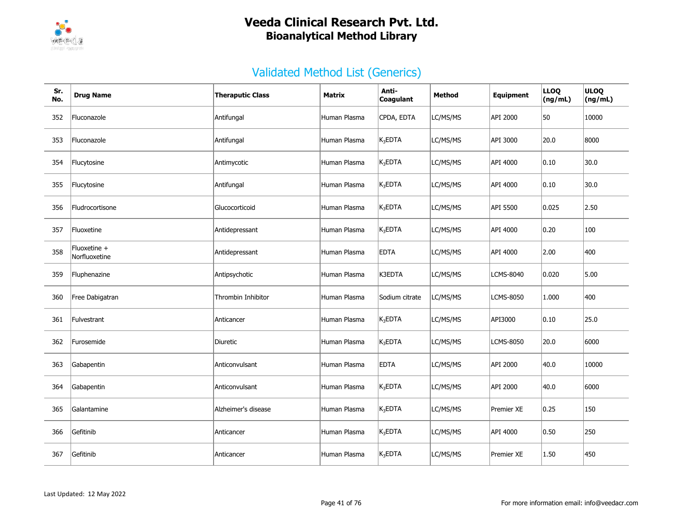

| Sr.<br>No. | <b>Drug Name</b>              | <b>Theraputic Class</b> | <b>Matrix</b> | Anti-<br>Coagulant  | Method   | Equipment         | <b>LLOQ</b><br>(ng/mL) | <b>ULOQ</b><br>(ng/mL) |
|------------|-------------------------------|-------------------------|---------------|---------------------|----------|-------------------|------------------------|------------------------|
| 352        | Fluconazole                   | Antifungal              | Human Plasma  | CPDA, EDTA          | LC/MS/MS | API 2000          | 50                     | 10000                  |
| 353        | Fluconazole                   | Antifungal              | Human Plasma  | $K_3EDTA$           | LC/MS/MS | API 3000          | 20.0                   | 8000                   |
| 354        | Flucytosine                   | Antimycotic             | Human Plasma  | $K_3EDTA$           | LC/MS/MS | API 4000          | 0.10                   | 30.0                   |
| 355        | Flucytosine                   | Antifungal              | Human Plasma  | K <sub>3</sub> EDTA | LC/MS/MS | API 4000          | 0.10                   | 30.0                   |
| 356        | Fludrocortisone               | Glucocorticoid          | Human Plasma  | $K_3$ EDTA          | LC/MS/MS | API 5500          | 0.025                  | 2.50                   |
| 357        | Fluoxetine                    | Antidepressant          | Human Plasma  | $K_3EDTA$           | LC/MS/MS | API 4000          | 0.20                   | 100                    |
| 358        | Fluoxetine +<br>Norfluoxetine | Antidepressant          | Human Plasma  | <b>EDTA</b>         | LC/MS/MS | API 4000          | 2.00                   | 400                    |
| 359        | Fluphenazine                  | Antipsychotic           | Human Plasma  | K3EDTA              | LC/MS/MS | LCMS-8040         | 0.020                  | 5.00                   |
| 360        | Free Dabigatran               | Thrombin Inhibitor      | Human Plasma  | Sodium citrate      | LC/MS/MS | <b>LCMS-8050</b>  | 1.000                  | 400                    |
| 361        | Fulvestrant                   | Anticancer              | Human Plasma  | $K_3EDTA$           | LC/MS/MS | API3000           | 0.10                   | 25.0                   |
| 362        | Furosemide                    | Diuretic                | Human Plasma  | $K_3EDTA$           | LC/MS/MS | LCMS-8050         | 20.0                   | 6000                   |
| 363        | Gabapentin                    | Anticonvulsant          | Human Plasma  | <b>EDTA</b>         | LC/MS/MS | <b>API 2000</b>   | 40.0                   | 10000                  |
| 364        | Gabapentin                    | Anticonvulsant          | Human Plasma  | $K_3$ EDTA          | LC/MS/MS | API 2000          | 40.0                   | 6000                   |
| 365        | Galantamine                   | Alzheimer's disease     | Human Plasma  | $K_3EDTA$           | LC/MS/MS | Premier XE        | 0.25                   | 150                    |
| 366        | Gefitinib                     | Anticancer              | Human Plasma  | $K_3EDTA$           | LC/MS/MS | API 4000          | 0.50                   | 250                    |
| 367        | Gefitinib                     | Anticancer              | Human Plasma  | $K_3$ EDTA          | LC/MS/MS | <b>Premier XE</b> | 1.50                   | 450                    |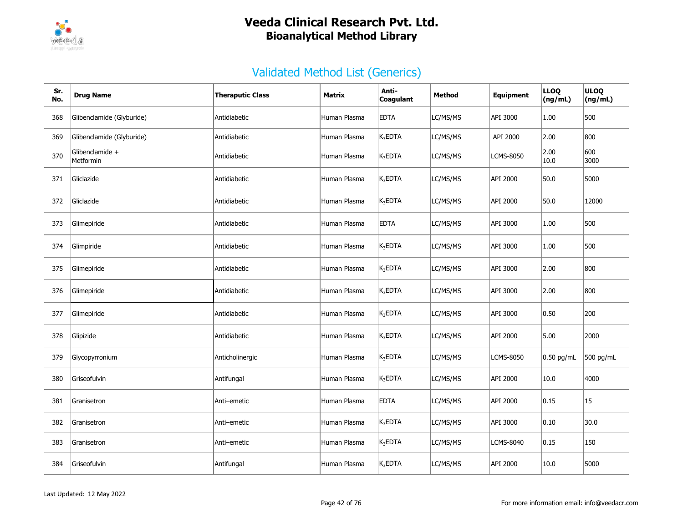

| Sr.<br>No. | <b>Drug Name</b>                    | <b>Theraputic Class</b> | Matrix       | Anti-<br>Coagulant | Method   | Equipment        | <b>LLOQ</b><br>(ng/mL) | <b>ULOQ</b><br>(ng/mL) |
|------------|-------------------------------------|-------------------------|--------------|--------------------|----------|------------------|------------------------|------------------------|
| 368        | Glibenclamide (Glyburide)           | Antidiabetic            | Human Plasma | <b>EDTA</b>        | LC/MS/MS | API 3000         | 1.00                   | 500                    |
| 369        | Glibenclamide (Glyburide)           | Antidiabetic            | Human Plasma | $K_3$ EDTA         | LC/MS/MS | API 2000         | 2.00                   | 800                    |
| 370        | Glibenclamide +<br><b>Metformin</b> | Antidiabetic            | Human Plasma | $K_3EDTA$          | LC/MS/MS | LCMS-8050        | 2.00<br>10.0           | 600<br>3000            |
| 371        | Gliclazide                          | Antidiabetic            | Human Plasma | $K_3$ EDTA         | LC/MS/MS | API 2000         | 50.0                   | 5000                   |
| 372        | Gliclazide                          | Antidiabetic            | Human Plasma | $K_3$ EDTA         | LC/MS/MS | API 2000         | 50.0                   | 12000                  |
| 373        | Glimepiride                         | Antidiabetic            | Human Plasma | <b>EDTA</b>        | LC/MS/MS | API 3000         | 1.00                   | 500                    |
| 374        | Glimpiride                          | Antidiabetic            | Human Plasma | $K_3$ EDTA         | LC/MS/MS | API 3000         | 1.00                   | 500                    |
| 375        | Glimepiride                         | Antidiabetic            | Human Plasma | $K_3$ EDTA         | LC/MS/MS | API 3000         | 2.00                   | 800                    |
| 376        | Glimepiride                         | Antidiabetic            | Human Plasma | $K_3$ EDTA         | LC/MS/MS | API 3000         | 2.00                   | 800                    |
| 377        | Glimepiride                         | Antidiabetic            | Human Plasma | $K_3EDTA$          | LC/MS/MS | API 3000         | 0.50                   | 200                    |
| 378        | Glipizide                           | Antidiabetic            | Human Plasma | $K_3$ EDTA         | LC/MS/MS | API 2000         | 5.00                   | 2000                   |
| 379        | Glycopyrronium                      | Anticholinergic         | Human Plasma | $K_3$ EDTA         | LC/MS/MS | <b>LCMS-8050</b> | 0.50 pg/mL             | 500 pg/mL              |
| 380        | Griseofulvin                        | Antifungal              | Human Plasma | $K_3$ EDTA         | LC/MS/MS | API 2000         | 10.0                   | 4000                   |
| 381        | Granisetron                         | Anti-emetic             | Human Plasma | <b>EDTA</b>        | LC/MS/MS | API 2000         | 0.15                   | 15                     |
| 382        | Granisetron                         | Anti-emetic             | Human Plasma | $K_3$ EDTA         | LC/MS/MS | API 3000         | 0.10                   | 30.0                   |
| 383        | Granisetron                         | Anti-emetic             | Human Plasma | $K_3$ EDTA         | LC/MS/MS | LCMS-8040        | 0.15                   | 150                    |
| 384        | Griseofulvin                        | Antifungal              | Human Plasma | $K_3$ EDTA         | LC/MS/MS | API 2000         | 10.0                   | 5000                   |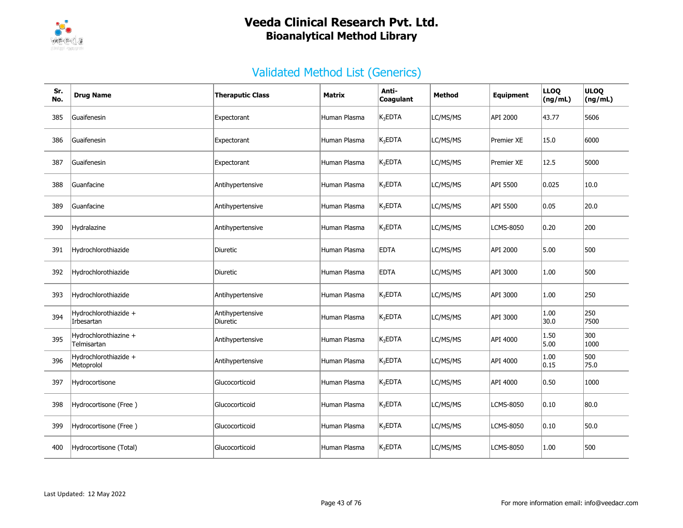

| Sr.<br>No. | <b>Drug Name</b>                     | <b>Theraputic Class</b>      | Matrix       | Anti-<br>Coagulant  | Method   | Equipment        | <b>LLOQ</b><br>(ng/mL) | <b>ULOQ</b><br>(ng/mL) |
|------------|--------------------------------------|------------------------------|--------------|---------------------|----------|------------------|------------------------|------------------------|
| 385        | Guaifenesin                          | Expectorant                  | Human Plasma | $K_3$ EDTA          | LC/MS/MS | API 2000         | 43.77                  | 5606                   |
| 386        | Guaifenesin                          | Expectorant                  | Human Plasma | $K_3$ EDTA          | LC/MS/MS | Premier XE       | 15.0                   | 6000                   |
| 387        | Guaifenesin                          | Expectorant                  | Human Plasma | $K_3$ EDTA          | LC/MS/MS | Premier XE       | 12.5                   | 5000                   |
| 388        | Guanfacine                           | Antihypertensive             | Human Plasma | $K_3$ EDTA          | LC/MS/MS | API 5500         | 0.025                  | 10.0                   |
| 389        | Guanfacine                           | Antihypertensive             | Human Plasma | K <sub>3</sub> EDTA | LC/MS/MS | API 5500         | 0.05                   | 20.0                   |
| 390        | Hydralazine                          | Antihypertensive             | Human Plasma | $K_3$ EDTA          | LC/MS/MS | LCMS-8050        | 0.20                   | 200                    |
| 391        | Hydrochlorothiazide                  | Diuretic                     | Human Plasma | <b>EDTA</b>         | LC/MS/MS | API 2000         | 5.00                   | 500                    |
| 392        | Hydrochlorothiazide                  | Diuretic                     | Human Plasma | <b>EDTA</b>         | LC/MS/MS | API 3000         | 1.00                   | 500                    |
| 393        | Hydrochlorothiazide                  | Antihypertensive             | Human Plasma | $K_3$ EDTA          | LC/MS/MS | API 3000         | 1.00                   | 250                    |
| 394        | Hydrochlorothiazide +<br>Irbesartan  | Antihypertensive<br>Diuretic | Human Plasma | $K_3$ EDTA          | LC/MS/MS | API 3000         | 1.00<br>30.0           | 250<br>7500            |
| 395        | Hydrochlorothiazine +<br>Telmisartan | Antihypertensive             | Human Plasma | $K_3$ EDTA          | LC/MS/MS | API 4000         | 1.50<br>5.00           | 300<br>1000            |
| 396        | Hydrochlorothiazide +<br>Metoprolol  | Antihypertensive             | Human Plasma | K <sub>3</sub> EDTA | LC/MS/MS | API 4000         | 1.00<br> 0.15          | 500<br>75.0            |
| 397        | Hydrocortisone                       | Glucocorticoid               | Human Plasma | $K_3$ EDTA          | LC/MS/MS | API 4000         | 0.50                   | 1000                   |
| 398        | Hydrocortisone (Free)                | Glucocorticoid               | Human Plasma | $K_3$ EDTA          | LC/MS/MS | <b>LCMS-8050</b> | $ 0.10\rangle$         | 80.0                   |
| 399        | Hydrocortisone (Free)                | Glucocorticoid               | Human Plasma | $K_3$ EDTA          | LC/MS/MS | <b>LCMS-8050</b> | 0.10                   | 50.0                   |
| 400        | Hydrocortisone (Total)               | Glucocorticoid               | Human Plasma | K <sub>3</sub> EDTA | LC/MS/MS | <b>LCMS-8050</b> | 1.00                   | 500                    |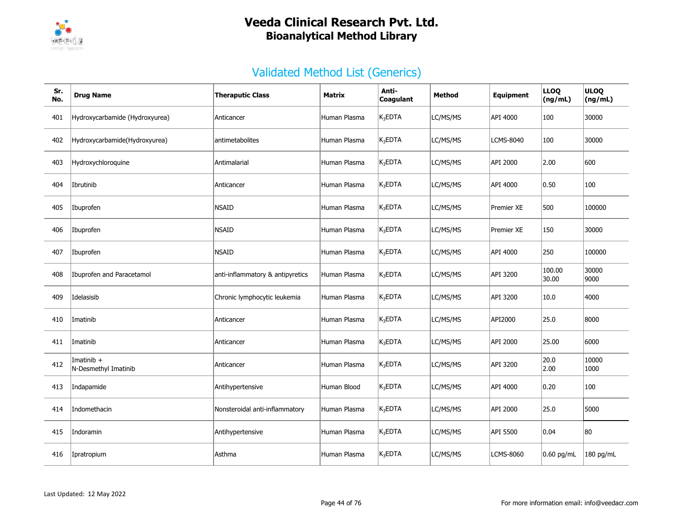

| Sr.<br>No. | <b>Drug Name</b>                     | <b>Theraputic Class</b>          | Matrix       | Anti-<br>Coagulant  | Method   | Equipment         | <b>LLOQ</b><br>(ng/mL) | <b>ULOQ</b><br>(ng/mL) |
|------------|--------------------------------------|----------------------------------|--------------|---------------------|----------|-------------------|------------------------|------------------------|
| 401        | Hydroxycarbamide (Hydroxyurea)       | Anticancer                       | Human Plasma | $K_3$ EDTA          | LC/MS/MS | API 4000          | 100                    | 30000                  |
| 402        | Hydroxycarbamide(Hydroxyurea)        | antimetabolites                  | Human Plasma | $K_3$ EDTA          | LC/MS/MS | <b>LCMS-8040</b>  | 100                    | 30000                  |
| 403        | Hydroxychloroquine                   | Antimalarial                     | Human Plasma | $K_3EDTA$           | LC/MS/MS | API 2000          | 2.00                   | 600                    |
| 404        | Ibrutinib                            | Anticancer                       | Human Plasma | $K_3$ EDTA          | LC/MS/MS | API 4000          | 0.50                   | 100                    |
| 405        | Ibuprofen                            | <b>NSAID</b>                     | Human Plasma | $K_3EDTA$           | LC/MS/MS | Premier XE        | 500                    | 100000                 |
| 406        | Ibuprofen                            | <b>NSAID</b>                     | Human Plasma | $K_3EDTA$           | LC/MS/MS | <b>Premier XE</b> | 150                    | 30000                  |
| 407        | Ibuprofen                            | <b>NSAID</b>                     | Human Plasma | K <sub>3</sub> EDTA | LC/MS/MS | API 4000          | 250                    | 100000                 |
| 408        | Ibuprofen and Paracetamol            | anti-inflammatory & antipyretics | Human Plasma | $K_3$ EDTA          | LC/MS/MS | API 3200          | 100.00<br>30.00        | 30000<br>9000          |
| 409        | Idelasisib                           | Chronic lymphocytic leukemia     | Human Plasma | $K_3$ EDTA          | LC/MS/MS | API 3200          | 10.0                   | 4000                   |
| 410        | Imatinib                             | Anticancer                       | Human Plasma | $K_3$ EDTA          | LC/MS/MS | API2000           | 25.0                   | 8000                   |
| 411        | Imatinib                             | Anticancer                       | Human Plasma | K <sub>3</sub> EDTA | LC/MS/MS | API 2000          | 25.00                  | 6000                   |
| 412        | Imatinib $+$<br>N-Desmethyl Imatinib | Anticancer                       | Human Plasma | $K_3$ EDTA          | LC/MS/MS | API 3200          | 20.0<br> 2.00          | 10000<br>1000          |
| 413        | Indapamide                           | Antihypertensive                 | Human Blood  | $K_3$ EDTA          | LC/MS/MS | API 4000          | 0.20                   | 100                    |
| 414        | Indomethacin                         | Nonsteroidal anti-inflammatory   | Human Plasma | $K_3$ EDTA          | LC/MS/MS | API 2000          | 25.0                   | 5000                   |
| 415        | Indoramin                            | Antihypertensive                 | Human Plasma | $K_3$ EDTA          | LC/MS/MS | API 5500          | 0.04                   | 80                     |
| 416        | Ipratropium                          | Asthma                           | Human Plasma | $K_3$ EDTA          | LC/MS/MS | <b>LCMS-8060</b>  | $0.60$ pg/mL           | $180$ pg/mL            |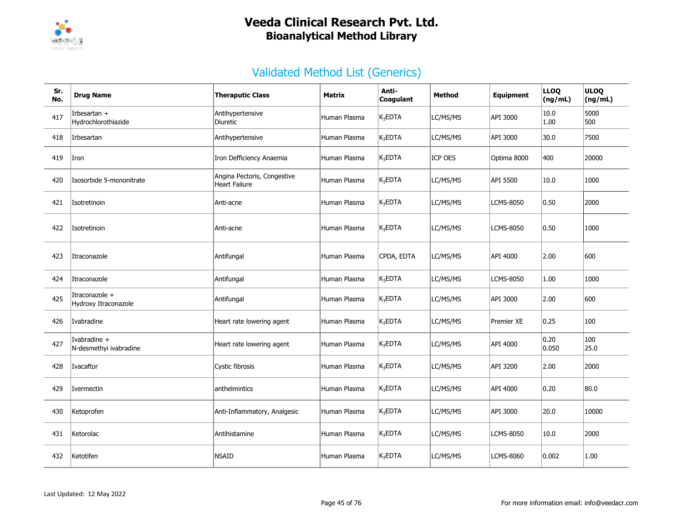

| Sr.<br>No. | <b>Drug Name</b>                       | <b>Theraputic Class</b>                      | <b>Matrix</b> | Anti-<br>Coagulant  | Method   | Equipment         | <b>LLOQ</b><br>(ng/mL) | <b>ULOQ</b><br>(ng/mL) |
|------------|----------------------------------------|----------------------------------------------|---------------|---------------------|----------|-------------------|------------------------|------------------------|
| 417        | Irbesartan +<br>Hydrochlorothiazide    | Antihypertensive<br>Diuretic                 | Human Plasma  | $K_3$ EDTA          | LC/MS/MS | API 3000          | 10.0<br>1.00           | 5000<br>500            |
| 418        | Irbesartan                             | Antihypertensive                             | Human Plasma  | K <sub>3</sub> EDTA | LC/MS/MS | API 3000          | 30.0                   | 7500                   |
| 419        | Iron                                   | Iron Defficiency Anaemia                     | Human Plasma  | $K_3$ EDTA          | ICP OES  | Optima 8000       | 400                    | 20000                  |
| 420        | Isosorbide 5-mononitrate               | Angina Pectoris, Congestive<br>Heart Failure | Human Plasma  | $K_3$ EDTA          | LC/MS/MS | API 5500          | 10.0                   | 1000                   |
| 421        | Isotretinoin                           | Anti-acne                                    | Human Plasma  | $K_3EDTA$           | LC/MS/MS | <b>LCMS-8050</b>  | 0.50                   | 2000                   |
| 422        | Isotretinoin                           | Anti-acne                                    | Human Plasma  | $K_3$ EDTA          | LC/MS/MS | <b>LCMS-8050</b>  | 0.50                   | 1000                   |
| 423        | Itraconazole                           | Antifungal                                   | Human Plasma  | CPDA, EDTA          | LC/MS/MS | API 4000          | 2.00                   | 600                    |
| 424        | Itraconazole                           | Antifungal                                   | Human Plasma  | $K_3$ EDTA          | LC/MS/MS | <b>LCMS-8050</b>  | 1.00                   | 1000                   |
| 425        | Itraconazole +<br>Hydroxy Itraconazole | Antifungal                                   | Human Plasma  | $K_3$ EDTA          | LC/MS/MS | API 3000          | 2.00                   | 600                    |
| 426        | Ivabradine                             | Heart rate lowering agent                    | Human Plasma  | $K_3$ EDTA          | LC/MS/MS | <b>Premier XE</b> | 0.25                   | 100                    |
| 427        | Ivabradine +<br>N-desmethyi ivabradine | Heart rate lowering agent                    | Human Plasma  | $K_3$ EDTA          | LC/MS/MS | API 4000          | 0.20<br>0.050          | 100<br>25.0            |
| 428        | Ivacaftor                              | Cystic fibrosis                              | Human Plasma  | K <sub>3</sub> EDTA | LC/MS/MS | API 3200          | 2.00                   | 2000                   |
| 429        | Ivermectin                             | anthelmintics                                | Human Plasma  | $K_3$ EDTA          | LC/MS/MS | API 4000          | 0.20                   | 80.0                   |
| 430        | Ketoprofen                             | Anti-Inflammatory, Analgesic                 | Human Plasma  | $K_3$ EDTA          | LC/MS/MS | API 3000          | 20.0                   | 10000                  |
| 431        | Ketorolac                              | Antihistamine                                | Human Plasma  | $K_3EDTA$           | LC/MS/MS | <b>LCMS-8050</b>  | 10.0                   | 2000                   |
| 432        | Ketotifen                              | <b>NSAID</b>                                 | Human Plasma  | $K_3$ EDTA          | LC/MS/MS | <b>LCMS-8060</b>  | 0.002                  | 1.00                   |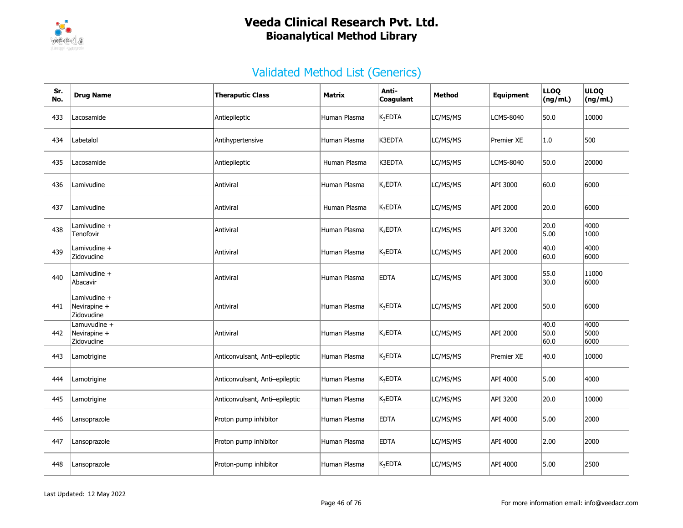

| Sr.<br>No. | <b>Drug Name</b>                           | <b>Theraputic Class</b>        | Matrix       | Anti-<br>Coagulant  | <b>Method</b> | <b>Equipment</b> | <b>LLOQ</b><br>(ng/mL) | <b>ULOQ</b><br>(ng/mL) |
|------------|--------------------------------------------|--------------------------------|--------------|---------------------|---------------|------------------|------------------------|------------------------|
| 433        | Lacosamide                                 | Antiepileptic                  | Human Plasma | $K_3$ EDTA          | LC/MS/MS      | <b>LCMS-8040</b> | 50.0                   | 10000                  |
| 434        | Labetalol                                  | Antihypertensive               | Human Plasma | K3EDTA              | LC/MS/MS      | Premier XE       | 1.0                    | 500                    |
| 435        | Lacosamide                                 | Antiepileptic                  | Human Plasma | K3EDTA              | LC/MS/MS      | <b>LCMS-8040</b> | 50.0                   | 20000                  |
| 436        | Lamivudine                                 | Antiviral                      | Human Plasma | $K_3$ EDTA          | LC/MS/MS      | API 3000         | 60.0                   | 6000                   |
| 437        | Lamivudine                                 | Antiviral                      | Human Plasma | $K_3$ EDTA          | LC/MS/MS      | API 2000         | 20.0                   | 6000                   |
| 438        | Lamivudine +<br>Tenofovir                  | Antiviral                      | Human Plasma | $K_3$ EDTA          | LC/MS/MS      | API 3200         | 20.0<br>5.00           | 4000<br>1000           |
| 439        | Lamivudine +<br>Zidovudine                 | Antiviral                      | Human Plasma | $K_3EDTA$           | LC/MS/MS      | API 2000         | 40.0<br>60.0           | 4000<br>6000           |
| 440        | Lamivudine +<br>Abacavir                   | Antiviral                      | Human Plasma | <b>EDTA</b>         | LC/MS/MS      | API 3000         | 55.0<br>30.0           | 11000<br>6000          |
| 441        | Lamivudine +<br>Nevirapine +<br>Zidovudine | Antiviral                      | Human Plasma | $K_3$ EDTA          | LC/MS/MS      | API 2000         | 50.0                   | 6000                   |
| 442        | Lamuvudine +<br>Nevirapine +<br>Zidovudine | Antiviral                      | Human Plasma | $K_3$ EDTA          | LC/MS/MS      | API 2000         | 40.0<br>50.0<br>60.0   | 4000<br>5000<br>6000   |
| 443        | Lamotrigine                                | Anticonvulsant, Anti-epileptic | Human Plasma | K <sub>2</sub> EDTA | LC/MS/MS      | Premier XE       | 40.0                   | 10000                  |
| 444        | Lamotrigine                                | Anticonvulsant, Anti-epileptic | Human Plasma | $K_3$ EDTA          | LC/MS/MS      | API 4000         | 5.00                   | 4000                   |
| 445        | Lamotrigine                                | Anticonvulsant, Anti-epileptic | Human Plasma | $K_3$ EDTA          | LC/MS/MS      | API 3200         | 20.0                   | 10000                  |
| 446        | Lansoprazole                               | Proton pump inhibitor          | Human Plasma | <b>EDTA</b>         | LC/MS/MS      | API 4000         | 5.00                   | 2000                   |
| 447        | Lansoprazole                               | Proton pump inhibitor          | Human Plasma | <b>EDTA</b>         | LC/MS/MS      | API 4000         | 2.00                   | 2000                   |
| 448        | Lansoprazole                               | Proton-pump inhibitor          | Human Plasma | $K_3EDTA$           | LC/MS/MS      | API 4000         | 5.00                   | 2500                   |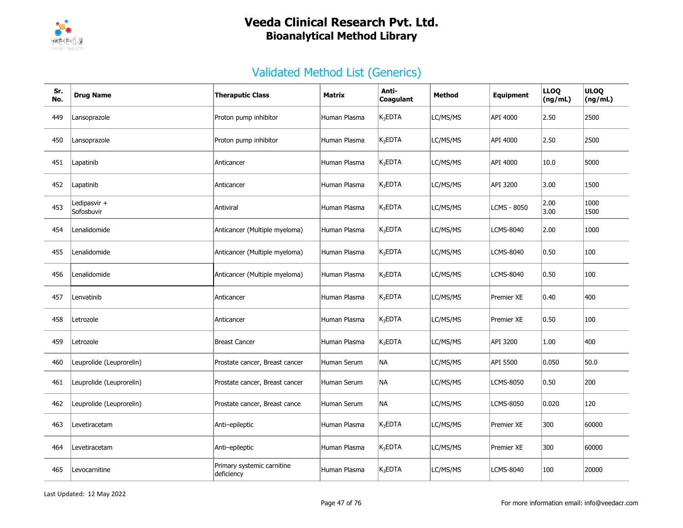

| Sr.<br>No. | <b>Drug Name</b>           | <b>Theraputic Class</b>                  | Matrix       | Anti-<br>Coagulant | Method   | Equipment         | <b>LLOQ</b><br>(ng/mL) | <b>ULOQ</b><br>(ng/mL) |
|------------|----------------------------|------------------------------------------|--------------|--------------------|----------|-------------------|------------------------|------------------------|
| 449        | Lansoprazole               | Proton pump inhibitor                    | Human Plasma | $K_3EDTA$          | LC/MS/MS | API 4000          | 2.50                   | 2500                   |
| 450        | Lansoprazole               | Proton pump inhibitor                    | Human Plasma | $K_3EDTA$          | LC/MS/MS | API 4000          | 2.50                   | 2500                   |
| 451        | Lapatinib                  | Anticancer                               | Human Plasma | $K_3$ EDTA         | LC/MS/MS | API 4000          | 10.0                   | 5000                   |
| 452        | Lapatinib                  | Anticancer                               | Human Plasma | $K_3EDTA$          | LC/MS/MS | API 3200          | 3.00                   | 1500                   |
| 453        | Ledipasvir +<br>Sofosbuvir | Antiviral                                | Human Plasma | $K_3$ EDTA         | LC/MS/MS | LCMS - 8050       | 2.00<br>3.00           | 1000<br>1500           |
| 454        | Lenalidomide               | Anticancer (Multiple myeloma)            | Human Plasma | $K_3EDTA$          | LC/MS/MS | LCMS-8040         | 2.00                   | 1000                   |
| 455        | Lenalidomide               | Anticancer (Multiple myeloma)            | Human Plasma | $K_3EDTA$          | LC/MS/MS | <b>LCMS-8040</b>  | 0.50                   | 100                    |
| 456        | Lenalidomide               | Anticancer (Multiple myeloma)            | Human Plasma | $K_3EDTA$          | LC/MS/MS | <b>LCMS-8040</b>  | 0.50                   | 100                    |
| 457        | Lenvatinib                 | Anticancer                               | Human Plasma | $K_3$ EDTA         | LC/MS/MS | Premier XE        | 0.40                   | 400                    |
| 458        | Letrozole                  | Anticancer                               | Human Plasma | $K_3EDTA$          | LC/MS/MS | Premier XE        | 0.50                   | 100                    |
| 459        | Letrozole                  | <b>Breast Cancer</b>                     | Human Plasma | $K_3$ EDTA         | LC/MS/MS | API 3200          | 1.00                   | 400                    |
| 460        | Leuprolide (Leuprorelin)   | Prostate cancer, Breast cancer           | Human Serum  | <b>NA</b>          | LC/MS/MS | API 5500          | 0.050                  | 50.0                   |
| 461        | Leuprolide (Leuprorelin)   | Prostate cancer, Breast cancer           | Human Serum  | NA)                | LC/MS/MS | LCMS-8050         | 0.50                   | 200                    |
| 462        | Leuprolide (Leuprorelin)   | Prostate cancer, Breast cance            | Human Serum  | NA)                | LC/MS/MS | LCMS-8050         | 0.020                  | 120                    |
| 463        | Levetiracetam              | Anti-epileptic                           | Human Plasma | $K_3EDTA$          | LC/MS/MS | Premier XE        | 300                    | 60000                  |
| 464        | Levetiracetam              | Anti-epileptic                           | Human Plasma | $K_3$ EDTA         | LC/MS/MS | <b>Premier XE</b> | 300                    | 60000                  |
| 465        | Levocarnitine              | Primary systemic carnitine<br>deficiency | Human Plasma | $K_3EDTA$          | LC/MS/MS | <b>LCMS-8040</b>  | 100                    | 20000                  |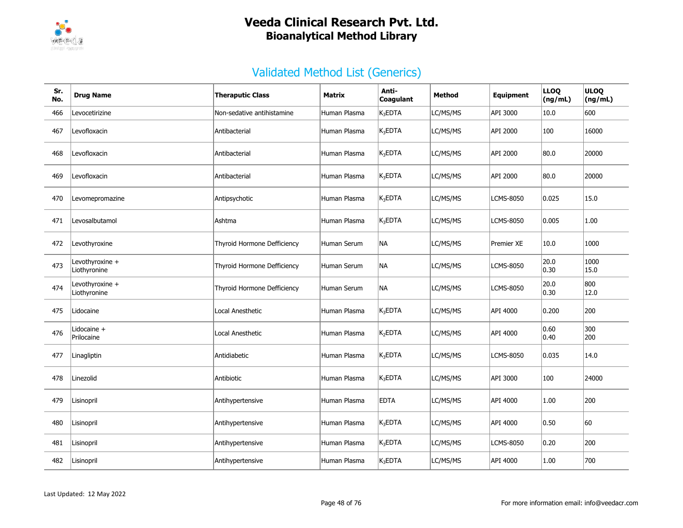

| Sr.<br>No. | <b>Drug Name</b>                | <b>Theraputic Class</b>     | Matrix       | Anti-<br>Coagulant  | <b>Method</b> | <b>Equipment</b>  | <b>LLOQ</b><br>(ng/mL) | <b>ULOQ</b><br>(ng/mL) |
|------------|---------------------------------|-----------------------------|--------------|---------------------|---------------|-------------------|------------------------|------------------------|
| 466        | Levocetirizine                  | Non-sedative antihistamine  | Human Plasma | $K_3EDTA$           | LC/MS/MS      | API 3000          | 10.0                   | 600                    |
| 467        | Levofloxacin                    | Antibacterial               | Human Plasma | $K_3$ EDTA          | LC/MS/MS      | API 2000          | 100                    | 16000                  |
| 468        | Levofloxacin                    | Antibacterial               | Human Plasma | $K_3$ EDTA          | LC/MS/MS      | API 2000          | 80.0                   | 20000                  |
| 469        | Levofloxacin                    | Antibacterial               | Human Plasma | $K_3$ EDTA          | LC/MS/MS      | API 2000          | 80.0                   | 20000                  |
| 470        | Levomepromazine                 | Antipsychotic               | Human Plasma | K <sub>3</sub> EDTA | LC/MS/MS      | <b>LCMS-8050</b>  | 0.025                  | 15.0                   |
| 471        | Levosalbutamol                  | Ashtma                      | Human Plasma | $K_3$ EDTA          | LC/MS/MS      | <b>LCMS-8050</b>  | 0.005                  | 1.00                   |
| 472        | Levothyroxine                   | Thyroid Hormone Defficiency | Human Serum  | NA)                 | LC/MS/MS      | <b>Premier XE</b> | 10.0                   | 1000                   |
| 473        | Levothyroxine +<br>Liothyronine | Thyroid Hormone Defficiency | Human Serum  | NA                  | LC/MS/MS      | <b>LCMS-8050</b>  | 20.0<br>0.30           | 1000<br>15.0           |
| 474        | Levothyroxine +<br>Liothyronine | Thyroid Hormone Defficiency | Human Serum  | NA                  | LC/MS/MS      | <b>LCMS-8050</b>  | 20.0<br> 0.30          | 800<br>12.0            |
| 475        | Lidocaine                       | <b>Local Anesthetic</b>     | Human Plasma | $K_3$ EDTA          | LC/MS/MS      | API 4000          | 0.200                  | 200                    |
| 476        | Lidocaine +<br>Prilocaine       | Local Anesthetic            | Human Plasma | K <sub>2</sub> EDTA | LC/MS/MS      | API 4000          | 0.60<br>0.40           | 300<br>200             |
| 477        | Linagliptin                     | Antidiabetic                | Human Plasma | $K_3$ EDTA          | LC/MS/MS      | <b>LCMS-8050</b>  | 0.035                  | 14.0                   |
| 478        | Linezolid                       | Antibiotic                  | Human Plasma | $K_3$ EDTA          | LC/MS/MS      | API 3000          | 100                    | 24000                  |
| 479        | Lisinopril                      | Antihypertensive            | Human Plasma | <b>EDTA</b>         | LC/MS/MS      | API 4000          | 1.00                   | 200                    |
| 480        | Lisinopril                      | Antihypertensive            | Human Plasma | $K_3EDTA$           | LC/MS/MS      | API 4000          | 0.50                   | 60                     |
| 481        | Lisinopril                      | Antihypertensive            | Human Plasma | $K_3$ EDTA          | LC/MS/MS      | <b>LCMS-8050</b>  | 0.20                   | 200                    |
| 482        | Lisinopril                      | Antihypertensive            | Human Plasma | K <sub>3</sub> EDTA | LC/MS/MS      | API 4000          | 1.00                   | 700                    |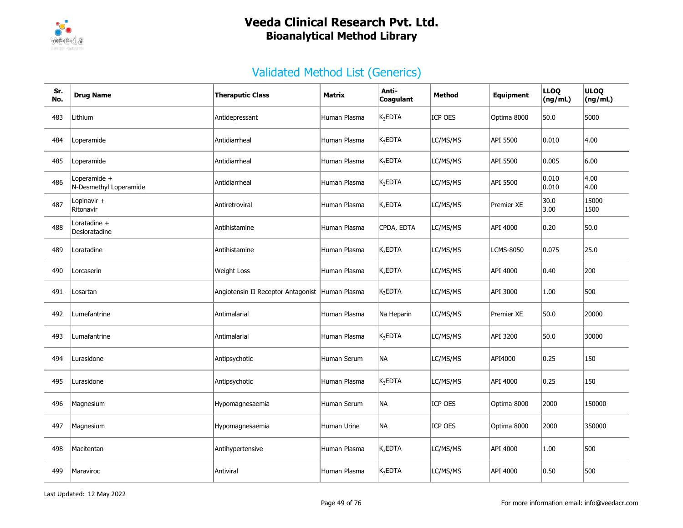

| Sr.<br>No. | <b>Drug Name</b>                       | <b>Theraputic Class</b>                         | Matrix       | Anti-<br>Coagulant | <b>Method</b>  | <b>Equipment</b> | <b>LLOQ</b><br>(ng/mL) | <b>ULOQ</b><br>(ng/mL) |
|------------|----------------------------------------|-------------------------------------------------|--------------|--------------------|----------------|------------------|------------------------|------------------------|
| 483        | Lithium                                | Antidepressant                                  | Human Plasma | $K_3$ EDTA         | ICP OES        | Optima 8000      | 50.0                   | 5000                   |
| 484        | Loperamide                             | Antidiarrheal                                   | Human Plasma | $K_3$ EDTA         | LC/MS/MS       | API 5500         | 0.010                  | 4.00                   |
| 485        | Loperamide                             | Antidiarrheal                                   | Human Plasma | $K_3$ EDTA         | LC/MS/MS       | API 5500         | 0.005                  | 6.00                   |
| 486        | Loperamide +<br>N-Desmethyl Loperamide | Antidiarrheal                                   | Human Plasma | $K_3EDTA$          | LC/MS/MS       | API 5500         | 0.010<br> 0.010        | 4.00<br>4.00           |
| 487        | Lopinavir +<br>Ritonavir               | Antiretroviral                                  | Human Plasma | $K_3$ EDTA         | LC/MS/MS       | Premier XE       | 30.0<br>3.00           | 15000<br>1500          |
| 488        | Loratadine +<br>Desloratadine          | Antihistamine                                   | Human Plasma | CPDA, EDTA         | LC/MS/MS       | API 4000         | 0.20                   | 50.0                   |
| 489        | Loratadine                             | Antihistamine                                   | Human Plasma | $K_3$ EDTA         | LC/MS/MS       | LCMS-8050        | 0.075                  | 25.0                   |
| 490        | Lorcaserin                             | <b>Weight Loss</b>                              | Human Plasma | $K_3$ EDTA         | LC/MS/MS       | API 4000         | 0.40                   | 200                    |
| 491        | Losartan                               | Angiotensin II Receptor Antagonist Human Plasma |              | $K_3$ EDTA         | LC/MS/MS       | API 3000         | 1.00                   | 500                    |
| 492        | Lumefantrine                           | Antimalarial                                    | Human Plasma | Na Heparin         | LC/MS/MS       | Premier XE       | 50.0                   | 20000                  |
| 493        | Lumafantrine                           | Antimalarial                                    | Human Plasma | $K_3$ EDTA         | LC/MS/MS       | API 3200         | 50.0                   | 30000                  |
| 494        | Lurasidone                             | Antipsychotic                                   | Human Serum  | NA                 | LC/MS/MS       | API4000          | 0.25                   | 150                    |
| 495        | Lurasidone                             | Antipsychotic                                   | Human Plasma | $K_3EDTA$          | LC/MS/MS       | API 4000         | 0.25                   | 150                    |
| 496        | Magnesium                              | Hypomagnesaemia                                 | Human Serum  | <b>NA</b>          | <b>ICP OES</b> | Optima 8000      | 2000                   | 150000                 |
| 497        | Magnesium                              | Hypomagnesaemia                                 | Human Urine  | <b>NA</b>          | <b>ICP OES</b> | Optima 8000      | 2000                   | 350000                 |
| 498        | Macitentan                             | Antihypertensive                                | Human Plasma | $K_3$ EDTA         | LC/MS/MS       | API 4000         | 1.00                   | 500                    |
| 499        | Maraviroc                              | Antiviral                                       | Human Plasma | $K_3EDTA$          | LC/MS/MS       | API 4000         | 0.50                   | 500                    |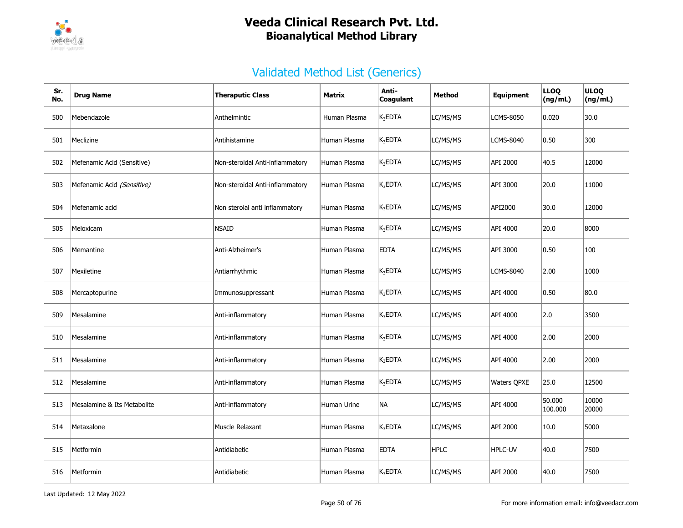

| Sr.<br>No. | <b>Drug Name</b>            | <b>Theraputic Class</b>         | Matrix       | Anti-<br>Coagulant | <b>Method</b> | <b>Equipment</b>   | <b>LLOQ</b><br>(ng/mL) | <b>ULOQ</b><br>(ng/mL) |
|------------|-----------------------------|---------------------------------|--------------|--------------------|---------------|--------------------|------------------------|------------------------|
| 500        | Mebendazole                 | Anthelmintic                    | Human Plasma | $K_3$ EDTA         | LC/MS/MS      | <b>LCMS-8050</b>   | 0.020                  | 30.0                   |
| 501        | Meclizine                   | Antihistamine                   | Human Plasma | $K_3$ EDTA         | LC/MS/MS      | <b>LCMS-8040</b>   | 0.50                   | 300                    |
| 502        | Mefenamic Acid (Sensitive)  | Non-steroidal Anti-inflammatory | Human Plasma | $K_3EDTA$          | LC/MS/MS      | API 2000           | 40.5                   | 12000                  |
| 503        | Mefenamic Acid (Sensitive)  | Non-steroidal Anti-inflammatory | Human Plasma | $K_3$ EDTA         | LC/MS/MS      | API 3000           | 20.0                   | 11000                  |
| 504        | Mefenamic acid              | Non steroial anti inflammatory  | Human Plasma | $K_3EDTA$          | LC/MS/MS      | API2000            | 30.0                   | 12000                  |
| 505        | Meloxicam                   | <b>NSAID</b>                    | Human Plasma | $K_3EDTA$          | LC/MS/MS      | API 4000           | 20.0                   | 8000                   |
| 506        | Memantine                   | Anti-Alzheimer's                | Human Plasma | <b>EDTA</b>        | LC/MS/MS      | API 3000           | 0.50                   | 100                    |
| 507        | Mexiletine                  | Antiarrhythmic                  | Human Plasma | $K_3$ EDTA         | LC/MS/MS      | <b>LCMS-8040</b>   | 2.00                   | 1000                   |
| 508        | Mercaptopurine              | Immunosuppressant               | Human Plasma | $K_3$ EDTA         | LC/MS/MS      | API 4000           | 0.50                   | 80.0                   |
| 509        | Mesalamine                  | Anti-inflammatory               | Human Plasma | $K_3EDTA$          | LC/MS/MS      | API 4000           | 2.0                    | 3500                   |
| 510        | Mesalamine                  | Anti-inflammatory               | Human Plasma | $K_3$ EDTA         | LC/MS/MS      | API 4000           | 2.00                   | 2000                   |
| 511        | Mesalamine                  | Anti-inflammatory               | Human Plasma | $K_3$ EDTA         | LC/MS/MS      | API 4000           | 2.00                   | 2000                   |
| 512        | Mesalamine                  | Anti-inflammatory               | Human Plasma | $K_3$ EDTA         | LC/MS/MS      | <b>Waters QPXE</b> | 25.0                   | 12500                  |
| 513        | Mesalamine & Its Metabolite | Anti-inflammatory               | Human Urine  | <b>NA</b>          | LC/MS/MS      | API 4000           | 50.000<br>100.000      | 10000<br>20000         |
| 514        | Metaxalone                  | Muscle Relaxant                 | Human Plasma | $K_3$ EDTA         | LC/MS/MS      | API 2000           | 10.0                   | 5000                   |
| 515        | Metformin                   | Antidiabetic                    | Human Plasma | <b>EDTA</b>        | <b>HPLC</b>   | <b>HPLC-UV</b>     | 40.0                   | 7500                   |
| 516        | Metformin                   | Antidiabetic                    | Human Plasma | $K_3$ EDTA         | LC/MS/MS      | API 2000           | 40.0                   | 7500                   |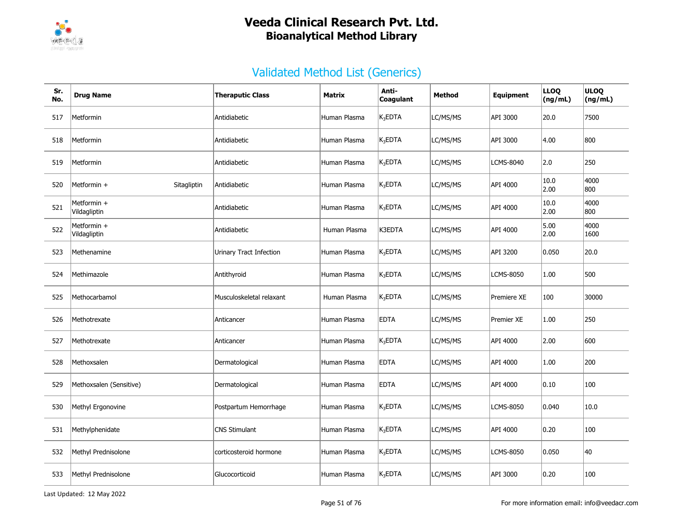

| Sr.<br>No. | <b>Drug Name</b>            | <b>Theraputic Class</b>  | <b>Matrix</b> | Anti-<br>Coaqulant | <b>Method</b> | <b>Equipment</b>   | <b>LLOQ</b><br>(ng/mL) | <b>ULOQ</b><br>(ng/mL) |
|------------|-----------------------------|--------------------------|---------------|--------------------|---------------|--------------------|------------------------|------------------------|
| 517        | Metformin                   | Antidiabetic             | Human Plasma  | $K_3$ EDTA         | LC/MS/MS      | API 3000           | 20.0                   | 7500                   |
| 518        | Metformin                   | Antidiabetic             | Human Plasma  | $K_3$ EDTA         | LC/MS/MS      | API 3000           | 4.00                   | 800                    |
| 519        | Metformin                   | Antidiabetic             | Human Plasma  | $K_3$ EDTA         | LC/MS/MS      | <b>LCMS-8040</b>   | 2.0                    | 250                    |
| 520        | Metformin +<br>Sitagliptin  | Antidiabetic             | Human Plasma  | $K_3$ EDTA         | LC/MS/MS      | API 4000           | 10.0<br>2.00           | 4000<br>800            |
| 521        | Metformin +<br>Vildagliptin | Antidiabetic             | Human Plasma  | $K_3$ EDTA         | LC/MS/MS      | API 4000           | 10.0<br>2.00           | 4000<br>800            |
| 522        | Metformin +<br>Vildagliptin | Antidiabetic             | Human Plasma  | K3EDTA             | LC/MS/MS      | API 4000           | 5.00<br>2.00           | 4000<br>1600           |
| 523        | Methenamine                 | Urinary Tract Infection  | Human Plasma  | $K_3$ EDTA         | LC/MS/MS      | API 3200           | 0.050                  | 20.0                   |
| 524        | Methimazole                 | Antithyroid              | Human Plasma  | $K_3$ EDTA         | LC/MS/MS      | <b>LCMS-8050</b>   | 1.00                   | 500                    |
| 525        | Methocarbamol               | Musculoskeletal relaxant | Human Plasma  | $K_3$ EDTA         | LC/MS/MS      | <b>Premiere XE</b> | 100                    | 30000                  |
| 526        | Methotrexate                | Anticancer               | Human Plasma  | <b>EDTA</b>        | LC/MS/MS      | Premier XE         | 1.00                   | 250                    |
| 527        | Methotrexate                | Anticancer               | Human Plasma  | $K_3$ EDTA         | LC/MS/MS      | API 4000           | 2.00                   | 600                    |
| 528        | Methoxsalen                 | Dermatological           | Human Plasma  | <b>EDTA</b>        | LC/MS/MS      | API 4000           | 1.00                   | 200                    |
| 529        | Methoxsalen (Sensitive)     | Dermatological           | Human Plasma  | <b>EDTA</b>        | LC/MS/MS      | API 4000           | 0.10                   | 100                    |
| 530        | Methyl Ergonovine           | Postpartum Hemorrhage    | Human Plasma  | $K_3$ EDTA         | LC/MS/MS      | <b>LCMS-8050</b>   | 0.040                  | 10.0                   |
| 531        | Methylphenidate             | <b>CNS Stimulant</b>     | Human Plasma  | $K_3$ EDTA         | LC/MS/MS      | API 4000           | 0.20                   | 100                    |
| 532        | Methyl Prednisolone         | corticosteroid hormone   | Human Plasma  | $K_3$ EDTA         | LC/MS/MS      | <b>LCMS-8050</b>   | 0.050                  | 40                     |
| 533        | Methyl Prednisolone         | Glucocorticoid           | Human Plasma  | $K_3$ EDTA         | LC/MS/MS      | API 3000           | 0.20                   | 100                    |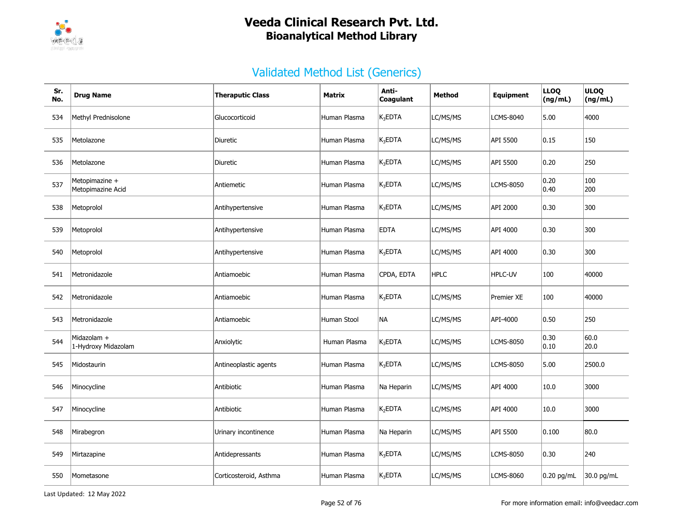

| Sr.<br>No. | <b>Drug Name</b>                    | <b>Theraputic Class</b> | <b>Matrix</b> | Anti-<br>Coagulant  | <b>Method</b> | <b>Equipment</b> | <b>LLOQ</b><br>(ng/mL) | <b>ULOQ</b><br>(ng/mL) |
|------------|-------------------------------------|-------------------------|---------------|---------------------|---------------|------------------|------------------------|------------------------|
| 534        | Methyl Prednisolone                 | Glucocorticoid          | Human Plasma  | $K_3$ EDTA          | LC/MS/MS      | <b>LCMS-8040</b> | 5.00                   | 4000                   |
| 535        | Metolazone                          | Diuretic                | Human Plasma  | $K_3$ EDTA          | LC/MS/MS      | API 5500         | 0.15                   | 150                    |
| 536        | Metolazone                          | Diuretic                | Human Plasma  | $K_3$ EDTA          | LC/MS/MS      | API 5500         | 0.20                   | 250                    |
| 537        | Metopimazine +<br>Metopimazine Acid | Antiemetic              | Human Plasma  | $K_3$ EDTA          | LC/MS/MS      | LCMS-8050        | 0.20<br> 0.40          | 100<br>200             |
| 538        | Metoprolol                          | Antihypertensive        | Human Plasma  | $K_3$ EDTA          | LC/MS/MS      | API 2000         | 0.30                   | 300                    |
| 539        | Metoprolol                          | Antihypertensive        | Human Plasma  | <b>EDTA</b>         | LC/MS/MS      | API 4000         | 0.30                   | 300                    |
| 540        | Metoprolol                          | Antihypertensive        | Human Plasma  | $K_3$ EDTA          | LC/MS/MS      | API 4000         | 0.30                   | 300                    |
| 541        | Metronidazole                       | Antiamoebic             | Human Plasma  | CPDA, EDTA          | <b>HPLC</b>   | HPLC-UV          | 100                    | 40000                  |
| 542        | Metronidazole                       | Antiamoebic             | Human Plasma  | $K_3$ EDTA          | LC/MS/MS      | Premier XE       | 100                    | 40000                  |
| 543        | Metronidazole                       | Antiamoebic             | Human Stool   | NА                  | LC/MS/MS      | API-4000         | 0.50                   | 250                    |
| 544        | Midazolam +<br>1-Hydroxy Midazolam  | Anxiolytic              | Human Plasma  | $K_3$ EDTA          | LC/MS/MS      | <b>LCMS-8050</b> | 0.30<br> 0.10          | 60.0<br>20.0           |
| 545        | Midostaurin                         | Antineoplastic agents   | Human Plasma  | $K_3$ EDTA          | LC/MS/MS      | LCMS-8050        | 5.00                   | 2500.0                 |
| 546        | Minocycline                         | Antibiotic              | Human Plasma  | Na Heparin          | LC/MS/MS      | API 4000         | 10.0                   | 3000                   |
| 547        | Minocycline                         | Antibiotic              | Human Plasma  | K <sub>2</sub> EDTA | LC/MS/MS      | API 4000         | 10.0                   | 3000                   |
| 548        | Mirabegron                          | Urinary incontinence    | Human Plasma  | Na Heparin          | LC/MS/MS      | API 5500         | 0.100                  | 80.0                   |
| 549        | Mirtazapine                         | Antidepressants         | Human Plasma  | $K_3$ EDTA          | LC/MS/MS      | <b>LCMS-8050</b> | 0.30                   | 240                    |
| 550        | Mometasone                          | Corticosteroid, Asthma  | Human Plasma  | $K_3$ EDTA          | LC/MS/MS      | LCMS-8060        | $0.20$ pg/mL           | 30.0 pg/mL             |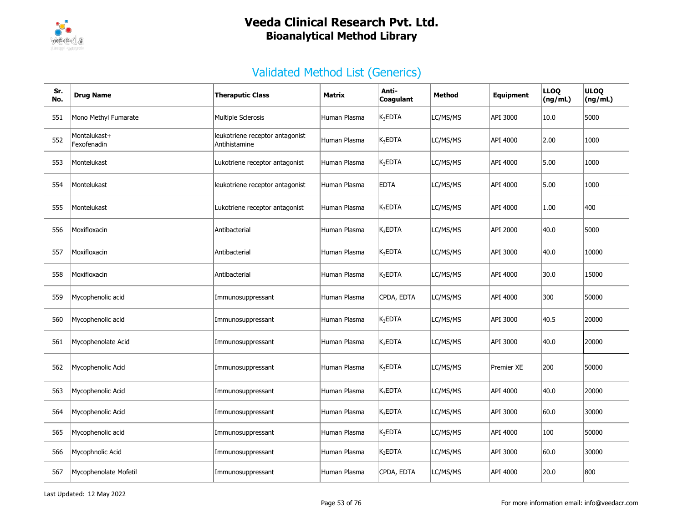

| Sr.<br>No. | <b>Drug Name</b>            | <b>Theraputic Class</b>                          | <b>Matrix</b> | Anti-<br>Coagulant  | <b>Method</b> | <b>Equipment</b>  | <b>LLOQ</b><br>(ng/mL) | <b>ULOQ</b><br>(ng/mL) |
|------------|-----------------------------|--------------------------------------------------|---------------|---------------------|---------------|-------------------|------------------------|------------------------|
| 551        | Mono Methyl Fumarate        | Multiple Sclerosis                               | Human Plasma  | $K_3EDTA$           | LC/MS/MS      | API 3000          | 10.0                   | 5000                   |
| 552        | Montalukast+<br>Fexofenadin | leukotriene receptor antagonist<br>Antihistamine | Human Plasma  | $K_3$ EDTA          | LC/MS/MS      | API 4000          | 2.00                   | 1000                   |
| 553        | Montelukast                 | Lukotriene receptor antagonist                   | Human Plasma  | $K_3EDTA$           | LC/MS/MS      | API 4000          | 5.00                   | 1000                   |
| 554        | Montelukast                 | leukotriene receptor antagonist                  | Human Plasma  | <b>EDTA</b>         | LC/MS/MS      | API 4000          | 5.00                   | 1000                   |
| 555        | Montelukast                 | Lukotriene receptor antagonist                   | Human Plasma  | K <sub>3</sub> EDTA | LC/MS/MS      | API 4000          | 1.00                   | 400                    |
| 556        | Moxifloxacin                | Antibacterial                                    | Human Plasma  | K <sub>3</sub> EDTA | LC/MS/MS      | API 2000          | 40.0                   | 5000                   |
| 557        | Moxifloxacin                | Antibacterial                                    | Human Plasma  | K <sub>3</sub> EDTA | LC/MS/MS      | API 3000          | 40.0                   | 10000                  |
| 558        | Moxifloxacin                | Antibacterial                                    | Human Plasma  | $K_3$ EDTA          | LC/MS/MS      | API 4000          | 30.0                   | 15000                  |
| 559        | Mycophenolic acid           | Immunosuppressant                                | Human Plasma  | CPDA, EDTA          | LC/MS/MS      | API 4000          | 300                    | 50000                  |
| 560        | Mycophenolic acid           | Immunosuppressant                                | Human Plasma  | $K_3$ EDTA          | LC/MS/MS      | API 3000          | 40.5                   | 20000                  |
| 561        | Mycophenolate Acid          | Immunosuppressant                                | Human Plasma  | K <sub>3</sub> EDTA | LC/MS/MS      | API 3000          | 40.0                   | 20000                  |
| 562        | Mycophenolic Acid           | Immunosuppressant                                | Human Plasma  | $K_3EDTA$           | LC/MS/MS      | <b>Premier XE</b> | 200                    | 50000                  |
| 563        | Mycophenolic Acid           | Immunosuppressant                                | Human Plasma  | $K_3$ EDTA          | LC/MS/MS      | API 4000          | 40.0                   | 20000                  |
| 564        | Mycophenolic Acid           | Immunosuppressant                                | Human Plasma  | K <sub>3</sub> EDTA | LC/MS/MS      | API 3000          | 60.0                   | 30000                  |
| 565        | Mycophenolic acid           | Immunosuppressant                                | Human Plasma  | $K_3EDTA$           | LC/MS/MS      | API 4000          | 100                    | 50000                  |
| 566        | Mycophnolic Acid            | Immunosuppressant                                | Human Plasma  | $K_3EDTA$           | LC/MS/MS      | API 3000          | 60.0                   | 30000                  |
| 567        | Mycophenolate Mofetil       | Immunosuppressant                                | Human Plasma  | CPDA, EDTA          | LC/MS/MS      | API 4000          | 20.0                   | 800                    |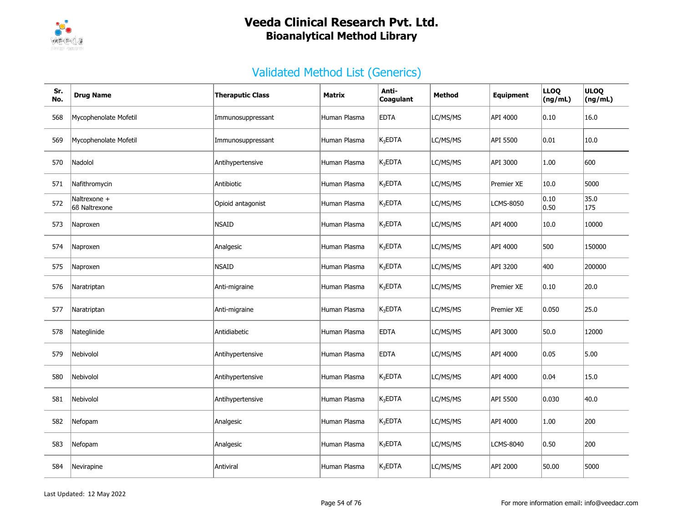

| Sr.<br>No. | <b>Drug Name</b>              | <b>Theraputic Class</b> | Matrix       | Anti-<br>Coagulant  | Method   | Equipment         | <b>LLOQ</b><br>(ng/mL) | <b>ULOQ</b><br>(ng/mL) |
|------------|-------------------------------|-------------------------|--------------|---------------------|----------|-------------------|------------------------|------------------------|
| 568        | Mycophenolate Mofetil         | Immunosuppressant       | Human Plasma | <b>EDTA</b>         | LC/MS/MS | API 4000          | 0.10                   | 16.0                   |
| 569        | Mycophenolate Mofetil         | Immunosuppressant       | Human Plasma | $K_3$ EDTA          | LC/MS/MS | API 5500          | 0.01                   | 10.0                   |
| 570        | Nadolol                       | Antihypertensive        | Human Plasma | K <sub>3</sub> EDTA | LC/MS/MS | API 3000          | 1.00                   | 600                    |
| 571        | Nafithromycin                 | Antibiotic              | Human Plasma | $K_3$ EDTA          | LC/MS/MS | <b>Premier XE</b> | 10.0                   | 5000                   |
| 572        | Naltrexone +<br>66 Naltrexone | Opioid antagonist       | Human Plasma | K <sub>3</sub> EDTA | LC/MS/MS | <b>LCMS-8050</b>  | 0.10<br> 0.50          | 35.0<br>175            |
| 573        | Naproxen                      | <b>NSAID</b>            | Human Plasma | $K_3$ EDTA          | LC/MS/MS | API 4000          | 10.0                   | 10000                  |
| 574        | Naproxen                      | Analgesic               | Human Plasma | $K_3EDTA$           | LC/MS/MS | API 4000          | 500                    | 150000                 |
| 575        | Naproxen                      | <b>NSAID</b>            | Human Plasma | $K_3$ EDTA          | LC/MS/MS | API 3200          | 400                    | 200000                 |
| 576        | Naratriptan                   | Anti-migraine           | Human Plasma | $K_3$ EDTA          | LC/MS/MS | Premier XE        | 0.10                   | 20.0                   |
| 577        | Naratriptan                   | Anti-migraine           | Human Plasma | $K_3$ EDTA          | LC/MS/MS | <b>Premier XE</b> | 0.050                  | 25.0                   |
| 578        | Nateglinide                   | Antidiabetic            | Human Plasma | <b>EDTA</b>         | LC/MS/MS | API 3000          | 50.0                   | 12000                  |
| 579        | Nebivolol                     | Antihypertensive        | Human Plasma | <b>EDTA</b>         | LC/MS/MS | API 4000          | 0.05                   | 5.00                   |
| 580        | Nebivolol                     | Antihypertensive        | Human Plasma | $K_3$ EDTA          | LC/MS/MS | API 4000          | 0.04                   | 15.0                   |
| 581        | Nebivolol                     | Antihypertensive        | Human Plasma | $K_3$ EDTA          | LC/MS/MS | API 5500          | 0.030                  | 40.0                   |
| 582        | Nefopam                       | Analgesic               | Human Plasma | $K_3$ EDTA          | LC/MS/MS | API 4000          | 1.00                   | 200                    |
| 583        | Nefopam                       | Analgesic               | Human Plasma | $K_3$ EDTA          | LC/MS/MS | <b>LCMS-8040</b>  | 0.50                   | 200                    |
| 584        | Nevirapine                    | Antiviral               | Human Plasma | $K_3$ EDTA          | LC/MS/MS | API 2000          | 50.00                  | 5000                   |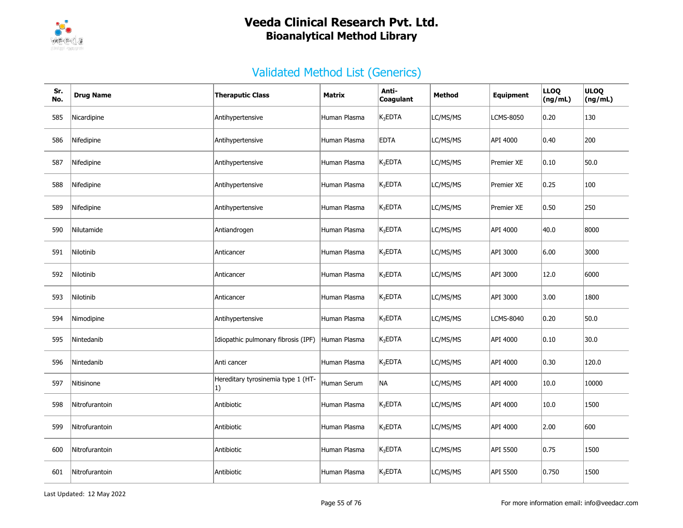

| Sr.<br>No. | <b>Drug Name</b> | <b>Theraputic Class</b>                  | Matrix       | Anti-<br>Coagulant | <b>Method</b> | <b>Equipment</b> | <b>LLOQ</b><br>(ng/mL) | <b>ULOQ</b><br>(ng/mL) |
|------------|------------------|------------------------------------------|--------------|--------------------|---------------|------------------|------------------------|------------------------|
| 585        | Nicardipine      | Antihypertensive                         | Human Plasma | $K_3$ EDTA         | LC/MS/MS      | <b>LCMS-8050</b> | $ 0.20\rangle$         | 130                    |
| 586        | Nifedipine       | Antihypertensive                         | Human Plasma | <b>EDTA</b>        | LC/MS/MS      | API 4000         | 0.40                   | 200                    |
| 587        | Nifedipine       | Antihypertensive                         | Human Plasma | $K_3EDTA$          | LC/MS/MS      | Premier XE       | $ 0.10\rangle$         | 50.0                   |
| 588        | Nifedipine       | Antihypertensive                         | Human Plasma | $K_3$ EDTA         | LC/MS/MS      | Premier XE       | 0.25                   | 100                    |
| 589        | Nifedipine       | Antihypertensive                         | Human Plasma | $K_3$ EDTA         | LC/MS/MS      | Premier XE       | 0.50                   | 250                    |
| 590        | Nilutamide       | Antiandrogen                             | Human Plasma | $K_3$ EDTA         | LC/MS/MS      | API 4000         | 40.0                   | 8000                   |
| 591        | Nilotinib        | Anticancer                               | Human Plasma | $K_3$ EDTA         | LC/MS/MS      | API 3000         | 6.00                   | 3000                   |
| 592        | Nilotinib        | Anticancer                               | Human Plasma | $K_3$ EDTA         | LC/MS/MS      | API 3000         | 12.0                   | 6000                   |
| 593        | Nilotinib        | Anticancer                               | Human Plasma | $K_3$ EDTA         | LC/MS/MS      | API 3000         | 3.00                   | 1800                   |
| 594        | Nimodipine       | Antihypertensive                         | Human Plasma | $K_3$ EDTA         | LC/MS/MS      | LCMS-8040        | 0.20                   | 50.0                   |
| 595        | Nintedanib       | Idiopathic pulmonary fibrosis (IPF)      | Human Plasma | $K_3$ EDTA         | LC/MS/MS      | API 4000         | 0.10                   | 30.0                   |
| 596        | Nintedanib       | Anti cancer                              | Human Plasma | $K_3$ EDTA         | LC/MS/MS      | API 4000         | $ 0.30\rangle$         | 120.0                  |
| 597        | Nitisinone       | Hereditary tyrosinemia type 1 (HT-<br>1) | Human Serum  | <b>NA</b>          | LC/MS/MS      | API 4000         | 10.0                   | 10000                  |
| 598        | Nitrofurantoin   | Antibiotic                               | Human Plasma | $K_3$ EDTA         | LC/MS/MS      | API 4000         | 10.0                   | 1500                   |
| 599        | Nitrofurantoin   | Antibiotic                               | Human Plasma | $K_3$ EDTA         | LC/MS/MS      | API 4000         | 2.00                   | 600                    |
| 600        | Nitrofurantoin   | Antibiotic                               | Human Plasma | $K_3$ EDTA         | LC/MS/MS      | API 5500         | 0.75                   | 1500                   |
| 601        | Nitrofurantoin   | Antibiotic                               | Human Plasma | $K_3$ EDTA         | LC/MS/MS      | API 5500         | 0.750                  | 1500                   |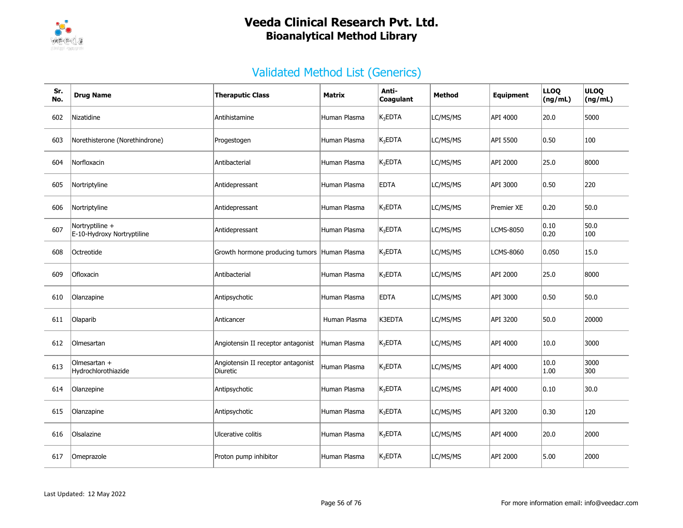

| Sr.<br>No. | <b>Drug Name</b>                              | <b>Theraputic Class</b>                        | <b>Matrix</b> | Anti-<br>Coagulant  | Method   | Equipment        | <b>LLOQ</b><br>(ng/mL) | <b>ULOQ</b><br>(ng/mL) |
|------------|-----------------------------------------------|------------------------------------------------|---------------|---------------------|----------|------------------|------------------------|------------------------|
| 602        | Nizatidine                                    | Antihistamine                                  | Human Plasma  | $K_3$ EDTA          | LC/MS/MS | API 4000         | 20.0                   | 5000                   |
| 603        | Norethisterone (Norethindrone)                | Progestogen                                    | Human Plasma  | K <sub>3</sub> EDTA | LC/MS/MS | API 5500         | 0.50                   | 100                    |
| 604        | Norfloxacin                                   | Antibacterial                                  | Human Plasma  | $K_3$ EDTA          | LC/MS/MS | API 2000         | 25.0                   | 8000                   |
| 605        | Nortriptyline                                 | Antidepressant                                 | Human Plasma  | <b>EDTA</b>         | LC/MS/MS | API 3000         | 0.50                   | 220                    |
| 606        | Nortriptyline                                 | Antidepressant                                 | Human Plasma  | $K_3$ EDTA          | LC/MS/MS | Premier XE       | 0.20                   | 50.0                   |
| 607        | Nortryptiline +<br>E-10-Hydroxy Nortryptiline | Antidepressant                                 | Human Plasma  | $K_3$ EDTA          | LC/MS/MS | <b>LCMS-8050</b> | 0.10<br>0.20           | 50.0<br>100            |
| 608        | Octreotide                                    | Growth hormone producing tumors Human Plasma   |               | $K_3$ EDTA          | LC/MS/MS | <b>LCMS-8060</b> | 0.050                  | 15.0                   |
| 609        | Ofloxacin                                     | Antibacterial                                  | Human Plasma  | K <sub>3</sub> EDTA | LC/MS/MS | API 2000         | 25.0                   | 8000                   |
| 610        | Olanzapine                                    | Antipsychotic                                  | Human Plasma  | <b>EDTA</b>         | LC/MS/MS | API 3000         | 0.50                   | 50.0                   |
| 611        | Olaparib                                      | Anticancer                                     | Human Plasma  | K3EDTA              | LC/MS/MS | API 3200         | 50.0                   | 20000                  |
| 612        | Olmesartan                                    | Angiotensin II receptor antagonist             | Human Plasma  | $K_3$ EDTA          | LC/MS/MS | API 4000         | 10.0                   | 3000                   |
| 613        | Olmesartan $+$<br>Hydrochlorothiazide         | Angiotensin II receptor antagonist<br>Diuretic | Human Plasma  | $K_3$ EDTA          | LC/MS/MS | API 4000         | 10.0<br>1.00           | 3000<br>300            |
| 614        | Olanzepine                                    | Antipsychotic                                  | Human Plasma  | $K_3$ EDTA          | LC/MS/MS | API 4000         | 0.10                   | 30.0                   |
| 615        | Olanzapine                                    | Antipsychotic                                  | Human Plasma  | K <sub>3</sub> EDTA | LC/MS/MS | API 3200         | 0.30                   | 120                    |
| 616        | Olsalazine                                    | Ulcerative colitis                             | Human Plasma  | $K_3$ EDTA          | LC/MS/MS | API 4000         | 20.0                   | 2000                   |
| 617        | Omeprazole                                    | Proton pump inhibitor                          | Human Plasma  | $K_3$ EDTA          | LC/MS/MS | API 2000         | 5.00                   | 2000                   |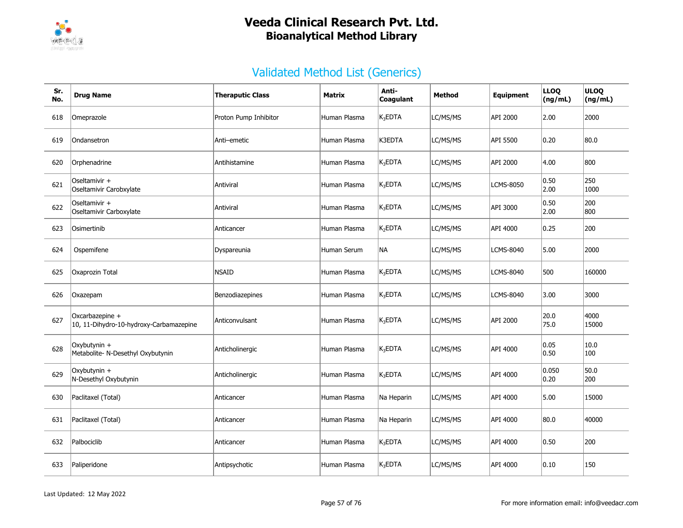

| Sr.<br>No. | <b>Drug Name</b>                                           | <b>Theraputic Class</b> | Matrix       | Anti-<br>Coagulant  | Method   | Equipment        | <b>LLOQ</b><br>(ng/mL) | <b>ULOQ</b><br>(ng/mL) |
|------------|------------------------------------------------------------|-------------------------|--------------|---------------------|----------|------------------|------------------------|------------------------|
| 618        | Omeprazole                                                 | Proton Pump Inhibitor   | Human Plasma | $K_3$ EDTA          | LC/MS/MS | API 2000         | 2.00                   | 2000                   |
| 619        | Ondansetron                                                | Anti-emetic             | Human Plasma | K3EDTA              | LC/MS/MS | API 5500         | 0.20                   | 80.0                   |
| 620        | Orphenadrine                                               | Antihistamine           | Human Plasma | K <sub>3</sub> EDTA | LC/MS/MS | API 2000         | 4.00                   | 800                    |
| 621        | Oseltamivir +<br>Oseltamivir Carobxylate                   | Antiviral               | Human Plasma | $K_3$ EDTA          | LC/MS/MS | <b>LCMS-8050</b> | 0.50<br>2.00           | 250<br>1000            |
| 622        | Oseltamivir +<br>Oseltamivir Carboxylate                   | Antiviral               | Human Plasma | $K_3$ EDTA          | LC/MS/MS | API 3000         | 0.50<br>2.00           | 200<br>800             |
| 623        | Osimertinib                                                | Anticancer              | Human Plasma | K <sub>2</sub> EDTA | LC/MS/MS | API 4000         | 0.25                   | 200                    |
| 624        | Ospemifene                                                 | Dyspareunia             | Human Serum  | NА                  | LC/MS/MS | <b>LCMS-8040</b> | 5.00                   | 2000                   |
| 625        | Oxaprozin Total                                            | <b>NSAID</b>            | Human Plasma | $K_3$ EDTA          | LC/MS/MS | <b>LCMS-8040</b> | 500                    | 160000                 |
| 626        | Oxazepam                                                   | Benzodiazepines         | Human Plasma | $K_3EDTA$           | LC/MS/MS | <b>LCMS-8040</b> | 3.00                   | 3000                   |
| 627        | Oxcarbazepine +<br>10, 11-Dihydro-10-hydroxy-Carbamazepine | Anticonvulsant          | Human Plasma | $K_3$ EDTA          | LC/MS/MS | API 2000         | 20.0<br>75.0           | 4000<br>15000          |
| 628        | Oxybutynin +<br>Metabolite- N-Desethyl Oxybutynin          | Anticholinergic         | Human Plasma | $K_3$ EDTA          | LC/MS/MS | API 4000         | 0.05<br>0.50           | 10.0<br>100            |
| 629        | Oxybutynin +<br>N-Desethyl Oxybutynin                      | Anticholinergic         | Human Plasma | $K_3$ EDTA          | LC/MS/MS | API 4000         | 0.050<br> 0.20         | 50.0<br>200            |
| 630        | Paclitaxel (Total)                                         | Anticancer              | Human Plasma | Na Heparin          | LC/MS/MS | API 4000         | 5.00                   | 15000                  |
| 631        | Paclitaxel (Total)                                         | Anticancer              | Human Plasma | Na Heparin          | LC/MS/MS | API 4000         | 80.0                   | 40000                  |
| 632        | Palbociclib                                                | Anticancer              | Human Plasma | $K_3$ EDTA          | LC/MS/MS | API 4000         | 0.50                   | 200                    |
| 633        | Paliperidone                                               | Antipsychotic           | Human Plasma | $K_3$ EDTA          | LC/MS/MS | API 4000         | 0.10                   | 150                    |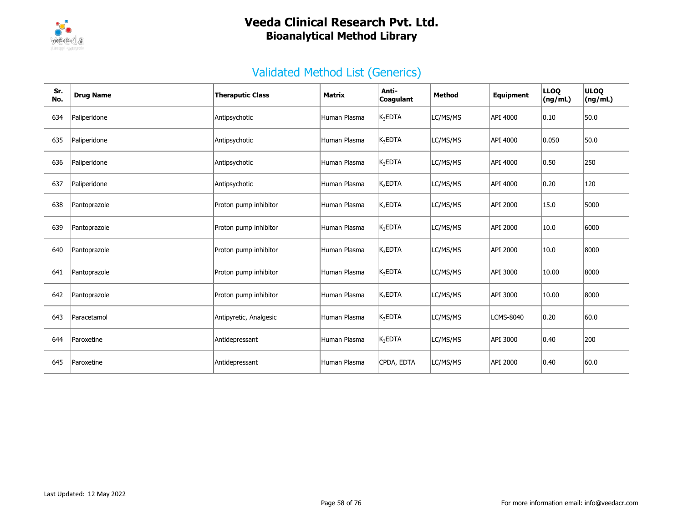

| Sr.<br>No. | <b>Drug Name</b> | <b>Theraputic Class</b> | <b>Matrix</b> | Anti-<br>Coagulant  | Method   | Equipment        | <b>LLOQ</b><br>(ng/mL) | <b>ULOQ</b><br>(ng/mL) |
|------------|------------------|-------------------------|---------------|---------------------|----------|------------------|------------------------|------------------------|
| 634        | Paliperidone     | Antipsychotic           | Human Plasma  | $K_3$ EDTA          | LC/MS/MS | API 4000         | 0.10                   | 50.0                   |
| 635        | Paliperidone     | Antipsychotic           | Human Plasma  | $K_3EDTA$           | LC/MS/MS | API 4000         | 0.050                  | 50.0                   |
| 636        | Paliperidone     | Antipsychotic           | Human Plasma  | $K_3EDTA$           | LC/MS/MS | API 4000         | 0.50                   | 250                    |
| 637        | Paliperidone     | Antipsychotic           | Human Plasma  | K <sub>2</sub> EDTA | LC/MS/MS | API 4000         | 0.20                   | 120                    |
| 638        | Pantoprazole     | Proton pump inhibitor   | Human Plasma  | $K_3EDTA$           | LC/MS/MS | API 2000         | 15.0                   | 5000                   |
| 639        | Pantoprazole     | Proton pump inhibitor   | Human Plasma  | $K_3EDTA$           | LC/MS/MS | <b>API 2000</b>  | 10.0                   | 6000                   |
| 640        | Pantoprazole     | Proton pump inhibitor   | Human Plasma  | $K_3$ EDTA          | LC/MS/MS | API 2000         | 10.0                   | 8000                   |
| 641        | Pantoprazole     | Proton pump inhibitor   | Human Plasma  | $K_3$ EDTA          | LC/MS/MS | API 3000         | 10.00                  | 8000                   |
| 642        | Pantoprazole     | Proton pump inhibitor   | Human Plasma  | $K_3EDTA$           | LC/MS/MS | API 3000         | 10.00                  | 8000                   |
| 643        | Paracetamol      | Antipyretic, Analgesic  | Human Plasma  | $K_3EDTA$           | LC/MS/MS | <b>LCMS-8040</b> | 0.20                   | 60.0                   |
| 644        | Paroxetine       | Antidepressant          | Human Plasma  | $K_3EDTA$           | LC/MS/MS | API 3000         | 0.40                   | 200                    |
| 645        | Paroxetine       | Antidepressant          | Human Plasma  | CPDA, EDTA          | LC/MS/MS | API 2000         | 0.40                   | 60.0                   |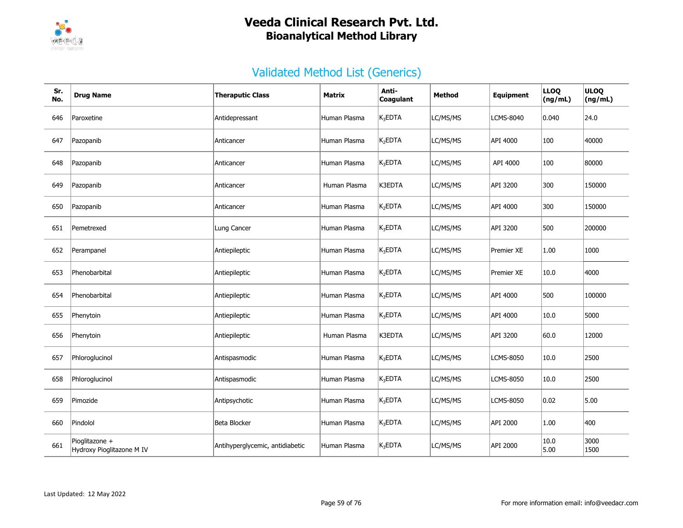

| Sr.<br>No. | <b>Drug Name</b>                            | <b>Theraputic Class</b>         | Matrix       | Anti-<br>Coagulant  | Method   | Equipment  | <b>LLOQ</b><br>(ng/mL) | <b>ULOQ</b><br>(ng/mL) |
|------------|---------------------------------------------|---------------------------------|--------------|---------------------|----------|------------|------------------------|------------------------|
| 646        | Paroxetine                                  | Antidepressant                  | Human Plasma | K <sub>3</sub> EDTA | LC/MS/MS | LCMS-8040  | 0.040                  | 24.0                   |
| 647        | Pazopanib                                   | Anticancer                      | Human Plasma | K <sub>2</sub> EDTA | LC/MS/MS | API 4000   | 100                    | 40000                  |
| 648        | Pazopanib                                   | Anticancer                      | Human Plasma | $K_3$ EDTA          | LC/MS/MS | API 4000   | 100                    | 80000                  |
| 649        | Pazopanib                                   | Anticancer                      | Human Plasma | K3EDTA              | LC/MS/MS | API 3200   | 300                    | 150000                 |
| 650        | Pazopanib                                   | Anticancer                      | Human Plasma | K <sub>2</sub> EDTA | LC/MS/MS | API 4000   | 300                    | 150000                 |
| 651        | Pemetrexed                                  | Lung Cancer                     | Human Plasma | $K_3$ EDTA          | LC/MS/MS | API 3200   | 500                    | 200000                 |
| 652        | Perampanel                                  | Antiepileptic                   | Human Plasma | $K_3$ EDTA          | LC/MS/MS | Premier XE | 1.00                   | 1000                   |
| 653        | Phenobarbital                               | Antiepileptic                   | Human Plasma | K <sub>2</sub> EDTA | LC/MS/MS | Premier XE | 10.0                   | 4000                   |
| 654        | Phenobarbital                               | Antiepileptic                   | Human Plasma | $K_3EDTA$           | LC/MS/MS | API 4000   | 500                    | 100000                 |
| 655        | Phenytoin                                   | Antiepileptic                   | Human Plasma | $K_3$ EDTA          | LC/MS/MS | API 4000   | 10.0                   | 5000                   |
| 656        | Phenytoin                                   | Antiepileptic                   | Human Plasma | K3EDTA              | LC/MS/MS | API 3200   | 60.0                   | 12000                  |
| 657        | Phloroglucinol                              | Antispasmodic                   | Human Plasma | $K_3EDTA$           | LC/MS/MS | LCMS-8050  | 10.0                   | 2500                   |
| 658        | Phloroglucinol                              | Antispasmodic                   | Human Plasma | $K_3$ EDTA          | LC/MS/MS | LCMS-8050  | 10.0                   | 2500                   |
| 659        | Pimozide                                    | Antipsychotic                   | Human Plasma | $K_3$ EDTA          | LC/MS/MS | LCMS-8050  | 0.02                   | 5.00                   |
| 660        | Pindolol                                    | Beta Blocker                    | Human Plasma | $K_3$ EDTA          | LC/MS/MS | API 2000   | 1.00                   | 400                    |
| 661        | Pioglitazone +<br>Hydroxy Pioglitazone M IV | Antihyperglycemic, antidiabetic | Human Plasma | $K_3EDTA$           | LC/MS/MS | API 2000   | 10.0<br>5.00           | 3000<br>1500           |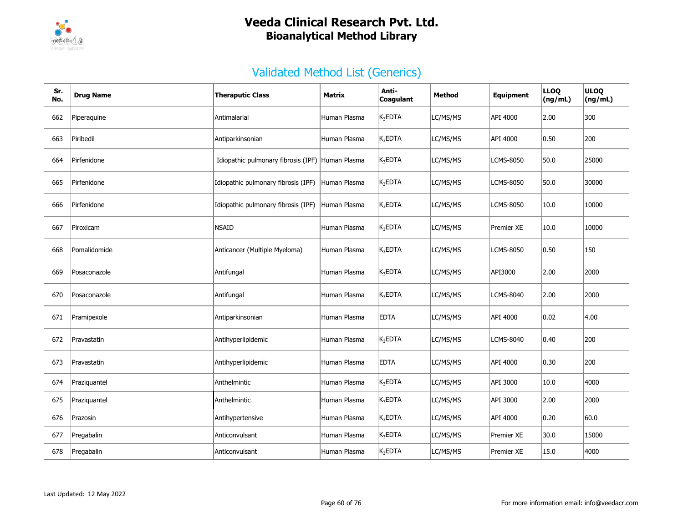

| Sr.<br>No. | <b>Drug Name</b> | <b>Theraputic Class</b>                          | Matrix       | Anti-<br>Coagulant  | Method   | Equipment        | <b>LLOQ</b><br>(ng/mL) | <b>ULOQ</b><br>(ng/mL) |
|------------|------------------|--------------------------------------------------|--------------|---------------------|----------|------------------|------------------------|------------------------|
| 662        | Piperaquine      | Antimalarial                                     | Human Plasma | $K_3$ EDTA          | LC/MS/MS | API 4000         | 2.00                   | 300                    |
| 663        | Piribedil        | Antiparkinsonian                                 | Human Plasma | $K_3$ EDTA          | LC/MS/MS | API 4000         | 0.50                   | 200                    |
| 664        | Pirfenidone      | Idiopathic pulmonary fibrosis (IPF) Human Plasma |              | $K_3$ EDTA          | LC/MS/MS | <b>LCMS-8050</b> | 50.0                   | 25000                  |
| 665        | Pirfenidone      | Idiopathic pulmonary fibrosis (IPF)              | Human Plasma | K <sub>3</sub> EDTA | LC/MS/MS | LCMS-8050        | 50.0                   | 30000                  |
| 666        | Pirfenidone      | Idiopathic pulmonary fibrosis (IPF)              | Human Plasma | $K_3$ EDTA          | LC/MS/MS | LCMS-8050        | 10.0                   | 10000                  |
| 667        | Piroxicam        | <b>NSAID</b>                                     | Human Plasma | $K_3$ EDTA          | LC/MS/MS | Premier XE       | 10.0                   | 10000                  |
| 668        | Pomalidomide     | Anticancer (Multiple Myeloma)                    | Human Plasma | K <sub>3</sub> EDTA | LC/MS/MS | LCMS-8050        | 0.50                   | 150                    |
| 669        | Posaconazole     | Antifungal                                       | Human Plasma | $K_3$ EDTA          | LC/MS/MS | API3000          | 2.00                   | 2000                   |
| 670        | Posaconazole     | Antifungal                                       | Human Plasma | K <sub>3</sub> EDTA | LC/MS/MS | LCMS-8040        | 2.00                   | 2000                   |
| 671        | Pramipexole      | Antiparkinsonian                                 | Human Plasma | <b>EDTA</b>         | LC/MS/MS | API 4000         | 0.02                   | 4.00                   |
| 672        | Pravastatin      | Antihyperlipidemic                               | Human Plasma | $K_3EDTA$           | LC/MS/MS | LCMS-8040        | 0.40                   | 200                    |
| 673        | Pravastatin      | Antihyperlipidemic                               | Human Plasma | <b>EDTA</b>         | LC/MS/MS | API 4000         | 0.30                   | 200                    |
| 674        | Praziquantel     | Anthelmintic                                     | Human Plasma | $K_3EDTA$           | LC/MS/MS | API 3000         | 10.0                   | 4000                   |
| 675        | Praziquantel     | Anthelmintic                                     | Human Plasma | $K_3$ EDTA          | LC/MS/MS | API 3000         | 2.00                   | 2000                   |
| 676        | Prazosin         | Antihypertensive                                 | Human Plasma | $K_3$ EDTA          | LC/MS/MS | API 4000         | 0.20                   | 60.0                   |
| 677        | Pregabalin       | Anticonvulsant                                   | Human Plasma | $K_3$ EDTA          | LC/MS/MS | Premier XE       | 30.0                   | 15000                  |
| 678        | Pregabalin       | Anticonvulsant                                   | Human Plasma | $K_3EDTA$           | LC/MS/MS | Premier XE       | 15.0                   | 4000                   |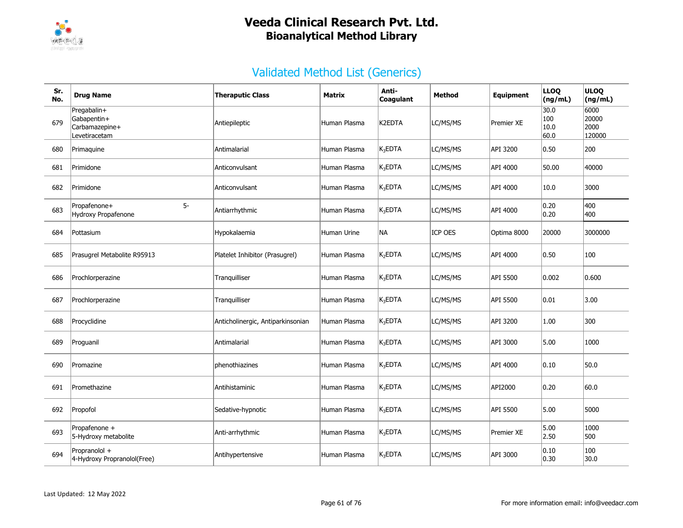

| Sr.<br>No. | <b>Drug Name</b>                                              | <b>Theraputic Class</b>           | <b>Matrix</b> | Anti-<br>Coagulant  | Method   | <b>Equipment</b>  | <b>LLOQ</b><br>(ng/mL)      | <b>ULOQ</b><br>(ng/mL)          |
|------------|---------------------------------------------------------------|-----------------------------------|---------------|---------------------|----------|-------------------|-----------------------------|---------------------------------|
| 679        | Pregabalin+<br>Gabapentin+<br>Carbamazepine+<br>Levetiracetam | Antiepileptic                     | Human Plasma  | K2EDTA              | LC/MS/MS | Premier XE        | 30.0<br>100<br>10.0<br>60.0 | 6000<br>20000<br>2000<br>120000 |
| 680        | Primaquine                                                    | Antimalarial                      | Human Plasma  | $K_3$ EDTA          | LC/MS/MS | API 3200          | 0.50                        | 200                             |
| 681        | Primidone                                                     | Anticonvulsant                    | Human Plasma  | K <sub>3</sub> EDTA | LC/MS/MS | API 4000          | 50.00                       | 40000                           |
| 682        | Primidone                                                     | Anticonvulsant                    | Human Plasma  | K <sub>3</sub> EDTA | LC/MS/MS | API 4000          | 10.0                        | 3000                            |
| 683        | $5-$<br>Propafenone+<br>Hydroxy Propafenone                   | Antiarrhythmic                    | Human Plasma  | $K_3$ EDTA          | LC/MS/MS | API 4000          | 0.20<br>0.20                | 400<br>400                      |
| 684        | Pottasium                                                     | Hypokalaemia                      | Human Urine   | NA                  | ICP OES  | Optima 8000       | 20000                       | 3000000                         |
| 685        | Prasugrel Metabolite R95913                                   | Platelet Inhibitor (Prasugrel)    | Human Plasma  | $K_2EDTA$           | LC/MS/MS | API 4000          | $ 0.50\rangle$              | 100                             |
| 686        | Prochlorperazine                                              | Tranquilliser                     | Human Plasma  | $K_3$ EDTA          | LC/MS/MS | API 5500          | 0.002                       | 0.600                           |
| 687        | Prochlorperazine                                              | Tranquilliser                     | Human Plasma  | $K_3EDTA$           | LC/MS/MS | API 5500          | $ 0.01\rangle$              | 3.00                            |
| 688        | Procyclidine                                                  | Anticholinergic, Antiparkinsonian | Human Plasma  | $K_3EDTA$           | LC/MS/MS | API 3200          | 1.00                        | 300                             |
| 689        | Proguanil                                                     | Antimalarial                      | Human Plasma  | $K_3$ EDTA          | LC/MS/MS | API 3000          | 5.00                        | 1000                            |
| 690        | Promazine                                                     | phenothiazines                    | Human Plasma  | $K_3$ EDTA          | LC/MS/MS | API 4000          | 0.10                        | 50.0                            |
| 691        | Promethazine                                                  | Antihistaminic                    | Human Plasma  | K <sub>3</sub> EDTA | LC/MS/MS | API2000           | $ 0.20\rangle$              | 60.0                            |
| 692        | Propofol                                                      | Sedative-hypnotic                 | Human Plasma  | $K_3$ EDTA          | LC/MS/MS | API 5500          | 5.00                        | 5000                            |
| 693        | Propafenone +<br>5-Hydroxy metabolite                         | Anti-arrhythmic                   | Human Plasma  | $K_3$ EDTA          | LC/MS/MS | <b>Premier XE</b> | 5.00<br>2.50                | 1000<br>500                     |
| 694        | Propranolol +<br>4-Hydroxy Propranolol(Free)                  | Antihypertensive                  | Human Plasma  | $K_3$ EDTA          | LC/MS/MS | API 3000          | 0.10<br> 0.30               | 100<br>30.0                     |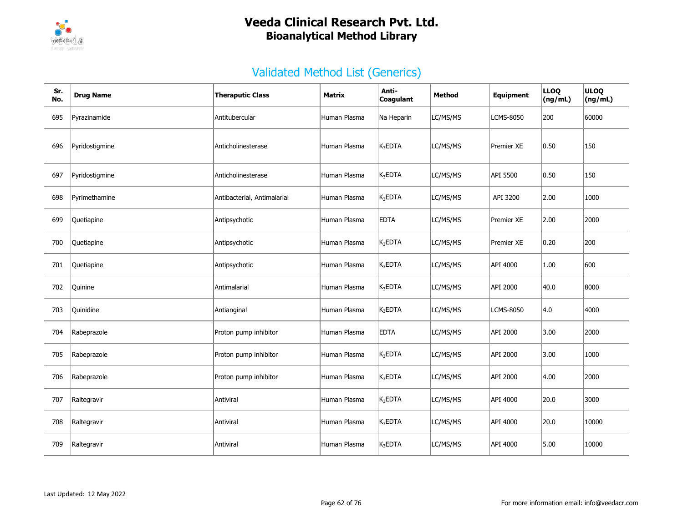

| Sr.<br>No. | <b>Drug Name</b> | <b>Theraputic Class</b>     | Matrix       | Anti-<br>Coagulant  | <b>Method</b> | <b>Equipment</b>  | <b>LLOQ</b><br>(ng/mL) | <b>ULOQ</b><br>(ng/mL) |
|------------|------------------|-----------------------------|--------------|---------------------|---------------|-------------------|------------------------|------------------------|
| 695        | Pyrazinamide     | Antitubercular              | Human Plasma | Na Heparin          | LC/MS/MS      | <b>LCMS-8050</b>  | 200                    | 60000                  |
| 696        | Pyridostigmine   | Anticholinesterase          | Human Plasma | $K_3EDTA$           | LC/MS/MS      | Premier XE        | 0.50                   | 150                    |
| 697        | Pyridostigmine   | Anticholinesterase          | Human Plasma | $K_3EDTA$           | LC/MS/MS      | API 5500          | 0.50                   | 150                    |
| 698        | Pyrimethamine    | Antibacterial, Antimalarial | Human Plasma | $K_3EDTA$           | LC/MS/MS      | API 3200          | 2.00                   | 1000                   |
| 699        | Quetiapine       | Antipsychotic               | Human Plasma | <b>EDTA</b>         | LC/MS/MS      | <b>Premier XE</b> | 2.00                   | 2000                   |
| 700        | Quetiapine       | Antipsychotic               | Human Plasma | $K_3$ EDTA          | LC/MS/MS      | <b>Premier XE</b> | 0.20                   | 200                    |
| 701        | Quetiapine       | Antipsychotic               | Human Plasma | $K_3$ EDTA          | LC/MS/MS      | API 4000          | 1.00                   | 600                    |
| 702        | Quinine          | Antimalarial                | Human Plasma | $K_3$ EDTA          | LC/MS/MS      | API 2000          | 40.0                   | 8000                   |
| 703        | Quinidine        | Antianginal                 | Human Plasma | $K_3$ EDTA          | LC/MS/MS      | <b>LCMS-8050</b>  | 4.0                    | 4000                   |
| 704        | Rabeprazole      | Proton pump inhibitor       | Human Plasma | <b>EDTA</b>         | LC/MS/MS      | API 2000          | 3.00                   | 2000                   |
| 705        | Rabeprazole      | Proton pump inhibitor       | Human Plasma | $K_3$ EDTA          | LC/MS/MS      | API 2000          | 3.00                   | 1000                   |
| 706        | Rabeprazole      | Proton pump inhibitor       | Human Plasma | $K_3$ EDTA          | LC/MS/MS      | API 2000          | 4.00                   | 2000                   |
| 707        | Raltegravir      | Antiviral                   | Human Plasma | $K_3EDTA$           | LC/MS/MS      | API 4000          | 20.0                   | 3000                   |
| 708        | Raltegravir      | Antiviral                   | Human Plasma | $K_3$ EDTA          | LC/MS/MS      | API 4000          | 20.0                   | 10000                  |
| 709        | Raltegravir      | Antiviral                   | Human Plasma | K <sub>3</sub> EDTA | LC/MS/MS      | API 4000          | 5.00                   | 10000                  |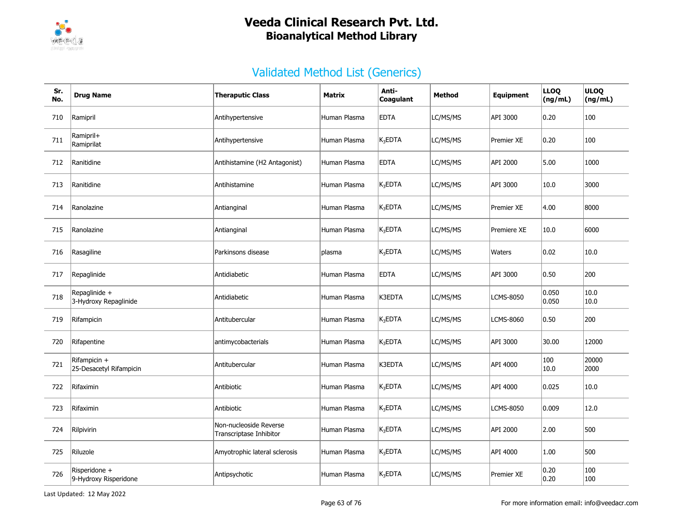

| Sr.<br>No. | <b>Drug Name</b>                        | <b>Theraputic Class</b>                           | <b>Matrix</b> | Anti-<br>Coagulant  | <b>Method</b> | <b>Equipment</b> | <b>LLOQ</b><br>(ng/mL) | <b>ULOQ</b><br>(ng/mL) |
|------------|-----------------------------------------|---------------------------------------------------|---------------|---------------------|---------------|------------------|------------------------|------------------------|
| 710        | Ramipril                                | Antihypertensive                                  | Human Plasma  | <b>EDTA</b>         | LC/MS/MS      | API 3000         | 0.20                   | 100                    |
| 711        | Ramipril+<br>Ramiprilat                 | Antihypertensive                                  | Human Plasma  | $K_3$ EDTA          | LC/MS/MS      | Premier XE       | 0.20                   | 100                    |
| 712        | Ranitidine                              | Antihistamine (H2 Antagonist)                     | Human Plasma  | <b>EDTA</b>         | LC/MS/MS      | API 2000         | 5.00                   | 1000                   |
| 713        | Ranitidine                              | Antihistamine                                     | Human Plasma  | $K_3EDTA$           | LC/MS/MS      | API 3000         | 10.0                   | 3000                   |
| 714        | Ranolazine                              | Antianginal                                       | Human Plasma  | $K_3$ EDTA          | LC/MS/MS      | Premier XE       | 4.00                   | 8000                   |
| 715        | Ranolazine                              | Antianginal                                       | Human Plasma  | $K_3$ EDTA          | LC/MS/MS      | Premiere XE      | 10.0                   | 6000                   |
| 716        | Rasagiline                              | Parkinsons disease                                | plasma        | $K_3$ EDTA          | LC/MS/MS      | Waters           | $ 0.02\rangle$         | 10.0                   |
| 717        | Repaglinide                             | Antidiabetic                                      | Human Plasma  | <b>EDTA</b>         | LC/MS/MS      | API 3000         | 0.50                   | 200                    |
| 718        | Repaglinide +<br>3-Hydroxy Repaglinide  | Antidiabetic                                      | Human Plasma  | K3EDTA              | LC/MS/MS      | LCMS-8050        | 0.050<br>0.050         | 10.0<br> 10.0          |
| 719        | Rifampicin                              | Antitubercular                                    | Human Plasma  | K <sub>3</sub> EDTA | LC/MS/MS      | <b>LCMS-8060</b> | 0.50                   | 200                    |
| 720        | Rifapentine                             | antimycobacterials                                | Human Plasma  | $K_3$ EDTA          | LC/MS/MS      | API 3000         | 30.00                  | 12000                  |
| 721        | Rifampicin +<br>25-Desacetyl Rifampicin | Antitubercular                                    | Human Plasma  | K3EDTA              | LC/MS/MS      | API 4000         | 100<br>10.0            | 20000<br>2000          |
| 722        | Rifaximin                               | Antibiotic                                        | Human Plasma  | K <sub>3</sub> EDTA | LC/MS/MS      | API 4000         | 0.025                  | 10.0                   |
| 723        | Rifaximin                               | Antibiotic                                        | Human Plasma  | $K_3$ EDTA          | LC/MS/MS      | <b>LCMS-8050</b> | 0.009                  | 12.0                   |
| 724        | Rilpivirin                              | Non-nucleoside Reverse<br>Transcriptase Inhibitor | Human Plasma  | $K_3$ EDTA          | LC/MS/MS      | API 2000         | 2.00                   | 500                    |
| 725        | Riluzole                                | Amyotrophic lateral sclerosis                     | Human Plasma  | $K_3EDTA$           | LC/MS/MS      | API 4000         | 1.00                   | 500                    |
| 726        | Risperidone +<br>9-Hydroxy Risperidone  | Antipsychotic                                     | Human Plasma  | $K_3EDTA$           | LC/MS/MS      | Premier XE       | 0.20<br> 0.20          | 100<br>100             |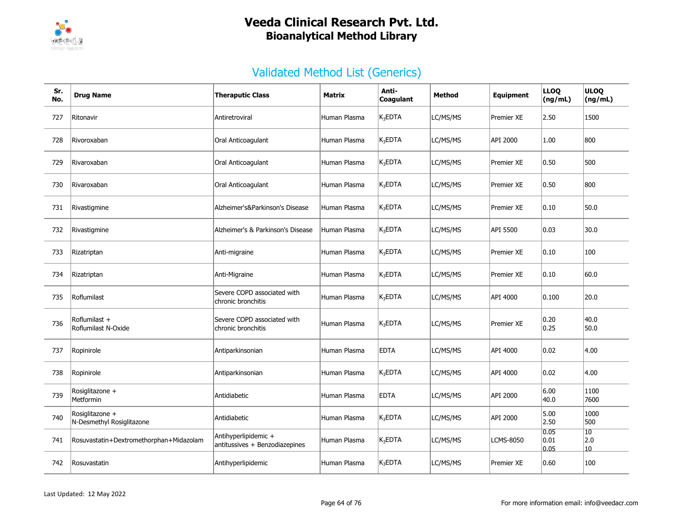

| Sr.<br>No. | <b>Drug Name</b>                             | <b>Theraputic Class</b>                                | Matrix       | Anti-<br>Coagulant  | Method   | <b>Equipment</b> | <b>LLOQ</b><br>(ng/mL) | <b>ULOQ</b><br>(ng/mL)        |
|------------|----------------------------------------------|--------------------------------------------------------|--------------|---------------------|----------|------------------|------------------------|-------------------------------|
| 727        | Ritonavir                                    | Antiretroviral                                         | Human Plasma | K <sub>3</sub> EDTA | LC/MS/MS | Premier XE       | 2.50                   | 1500                          |
| 728        | Rivoroxaban                                  | Oral Anticoagulant                                     | Human Plasma | $K_3$ EDTA          | LC/MS/MS | API 2000         | 1.00                   | 800                           |
| 729        | Rivaroxaban                                  | Oral Anticoagulant                                     | Human Plasma | $K_3$ EDTA          | LC/MS/MS | Premier XE       | $ 0.50\rangle$         | 500                           |
| 730        | Rivaroxaban                                  | Oral Anticoagulant                                     | Human Plasma | $K_3$ EDTA          | LC/MS/MS | Premier XE       | $ 0.50\rangle$         | 800                           |
| 731        | Rivastigmine                                 | Alzheimer's&Parkinson's Disease                        | Human Plasma | $K_3$ EDTA          | LC/MS/MS | Premier XE       | 0.10                   | 50.0                          |
| 732        | Rivastigmine                                 | Alzheimer's & Parkinson's Disease                      | Human Plasma | $K_3$ EDTA          | LC/MS/MS | API 5500         | 0.03                   | 30.0                          |
| 733        | Rizatriptan                                  | Anti-migraine                                          | Human Plasma | K <sub>3</sub> EDTA | LC/MS/MS | Premier XE       | 0.10                   | 100                           |
| 734        | Rizatriptan                                  | Anti-Migraine                                          | Human Plasma | K <sub>3</sub> EDTA | LC/MS/MS | Premier XE       | $ 0.10\rangle$         | 60.0                          |
| 735        | Roflumilast                                  | Severe COPD associated with<br>chronic bronchitis      | Human Plasma | $K_3$ EDTA          | LC/MS/MS | API 4000         | 0.100                  | 20.0                          |
| 736        | Roflumilast +<br>Roflumilast N-Oxide         | Severe COPD associated with<br>chronic bronchitis      | Human Plasma | $K_3$ EDTA          | LC/MS/MS | Premier XE       | 0.20<br> 0.25          | 40.0<br>50.0                  |
| 737        | Ropinirole                                   | Antiparkinsonian                                       | Human Plasma | <b>EDTA</b>         | LC/MS/MS | API 4000         | 0.02                   | 4.00                          |
| 738        | Ropinirole                                   | Antiparkinsonian                                       | Human Plasma | $K_3$ EDTA          | LC/MS/MS | API 4000         | 0.02                   | 4.00                          |
| 739        | Rosiglitazone +<br>Metformin                 | Antidiabetic                                           | Human Plasma | <b>EDTA</b>         | LC/MS/MS | API 2000         | 6.00<br>40.0           | 1100<br>7600                  |
| 740        | Rosiglitazone +<br>N-Desmethyl Rosiglitazone | Antidiabetic                                           | Human Plasma | $K_3$ EDTA          | LC/MS/MS | API 2000         | 5.00<br> 2.50          | 1000<br>500                   |
| 741        | Rosuvastatin+Dextromethorphan+Midazolam      | Antihyperlipidemic +<br>antitussives + Benzodiazepines | Human Plasma | $K_3$ EDTA          | LC/MS/MS | <b>LCMS-8050</b> | 0.05<br> 0.01<br>0.05  | 10<br> 2.0<br>10 <sup>1</sup> |
| 742        | Rosuvastatin                                 | Antihyperlipidemic                                     | Human Plasma | K <sub>3</sub> EDTA | LC/MS/MS | Premier XE       | 0.60                   | 100                           |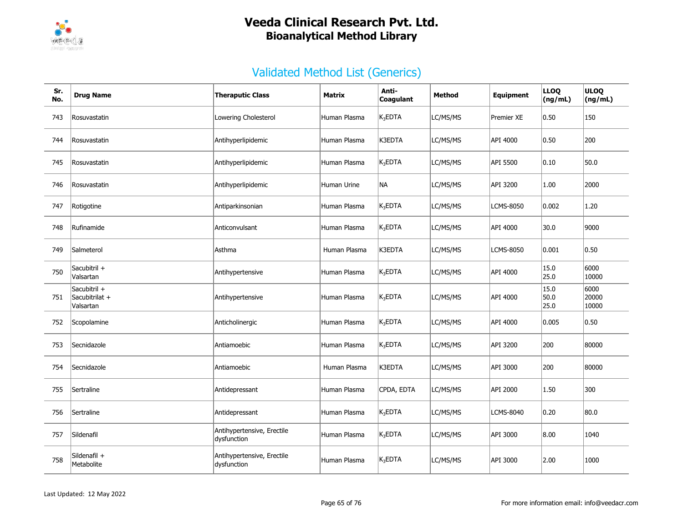

| Sr.<br>No. | <b>Drug Name</b>                            | <b>Theraputic Class</b>                   | Matrix       | Anti-<br>Coagulant | <b>Method</b> | Equipment        | <b>LLOQ</b><br>(ng/mL) | <b>ULOQ</b><br>(ng/mL) |
|------------|---------------------------------------------|-------------------------------------------|--------------|--------------------|---------------|------------------|------------------------|------------------------|
| 743        | Rosuvastatin                                | Lowering Cholesterol                      | Human Plasma | $K_3$ EDTA         | LC/MS/MS      | Premier XE       | 0.50                   | 150                    |
| 744        | Rosuvastatin                                | Antihyperlipidemic                        | Human Plasma | K3EDTA             | LC/MS/MS      | API 4000         | 0.50                   | 200                    |
| 745        | Rosuvastatin                                | Antihyperlipidemic                        | Human Plasma | $K_3$ EDTA         | LC/MS/MS      | API 5500         | 0.10                   | 50.0                   |
| 746        | Rosuvastatin                                | Antihyperlipidemic                        | Human Urine  | NA                 | LC/MS/MS      | API 3200         | 1.00                   | 2000                   |
| 747        | Rotigotine                                  | Antiparkinsonian                          | Human Plasma | $K_3$ EDTA         | LC/MS/MS      | <b>LCMS-8050</b> | 0.002                  | 1.20                   |
| 748        | Rufinamide                                  | Anticonvulsant                            | Human Plasma | $K_3$ EDTA         | LC/MS/MS      | API 4000         | 30.0                   | 9000                   |
| 749        | Salmeterol                                  | Asthma                                    | Human Plasma | K3EDTA             | LC/MS/MS      | <b>LCMS-8050</b> | $ 0.001\rangle$        | 0.50                   |
| 750        | Sacubitril +<br>Valsartan                   | Antihypertensive                          | Human Plasma | $K_3$ EDTA         | LC/MS/MS      | API 4000         | 15.0<br>25.0           | 6000<br>10000          |
| 751        | Sacubitril +<br>Sacubitrilat +<br>Valsartan | Antihypertensive                          | Human Plasma | $K_3$ EDTA         | LC/MS/MS      | API 4000         | 15.0<br>50.0<br>25.0   | 6000<br>20000<br>10000 |
| 752        | Scopolamine                                 | Anticholinergic                           | Human Plasma | $K_3$ EDTA         | LC/MS/MS      | API 4000         | 0.005                  | 0.50                   |
| 753        | Secnidazole                                 | Antiamoebic                               | Human Plasma | $K_3$ EDTA         | LC/MS/MS      | API 3200         | 200                    | 80000                  |
| 754        | Secnidazole                                 | Antiamoebic                               | Human Plasma | K3EDTA             | LC/MS/MS      | API 3000         | 200                    | 80000                  |
| 755        | Sertraline                                  | Antidepressant                            | Human Plasma | CPDA, EDTA         | LC/MS/MS      | API 2000         | 1.50                   | 300                    |
| 756        | Sertraline                                  | Antidepressant                            | Human Plasma | $K_3$ EDTA         | LC/MS/MS      | <b>LCMS-8040</b> | 0.20                   | 80.0                   |
| 757        | Sildenafil                                  | Antihypertensive, Erectile<br>dysfunction | Human Plasma | $K_3EDTA$          | LC/MS/MS      | API 3000         | 8.00                   | 1040                   |
| 758        | Sildenafil +<br>Metabolite                  | Antihypertensive, Erectile<br>dysfunction | Human Plasma | $K_3$ EDTA         | LC/MS/MS      | API 3000         | 2.00                   | 1000                   |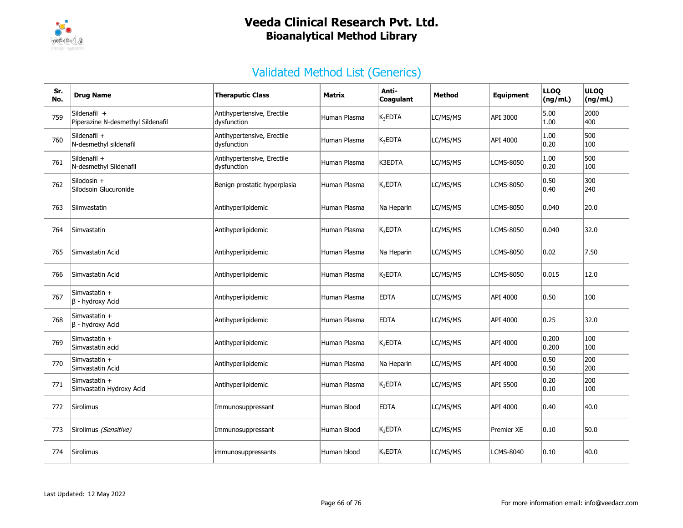

| Sr.<br>No. | <b>Drug Name</b>                                  | <b>Theraputic Class</b>                   | Matrix       | Anti-<br>Coaqulant  | Method   | <b>Equipment</b> | <b>LLOQ</b><br>(ng/mL) | <b>ULOQ</b><br>(ng/mL) |
|------------|---------------------------------------------------|-------------------------------------------|--------------|---------------------|----------|------------------|------------------------|------------------------|
| 759        | Sildenafil +<br>Piperazine N-desmethyl Sildenafil | Antihypertensive, Erectile<br>dysfunction | Human Plasma | $K_3$ EDTA          | LC/MS/MS | API 3000         | 5.00<br>1.00           | 2000<br>400            |
| 760        | Sildenafil +<br>N-desmethyl sildenafil            | Antihypertensive, Erectile<br>dysfunction | Human Plasma | K <sub>3</sub> EDTA | LC/MS/MS | API 4000         | 1.00<br> 0.20          | 500<br>100             |
| 761        | Sildenafil +<br>N-desmethyl Sildenafil            | Antihypertensive, Erectile<br>dysfunction | Human Plasma | K3EDTA              | LC/MS/MS | <b>LCMS-8050</b> | 1.00<br> 0.20          | 500<br>100             |
| 762        | Silodosin $+$<br>Silodsoin Glucuronide            | Benign prostatic hyperplasia              | Human Plasma | K <sub>3</sub> EDTA | LC/MS/MS | <b>LCMS-8050</b> | 0.50<br> 0.40          | 300<br>240             |
| 763        | Siimvastatin                                      | Antihyperlipidemic                        | Human Plasma | Na Heparin          | LC/MS/MS | <b>LCMS-8050</b> | 0.040                  | 20.0                   |
| 764        | Simvastatin                                       | Antihyperlipidemic                        | Human Plasma | $K_3EDTA$           | LC/MS/MS | <b>LCMS-8050</b> | 0.040                  | 32.0                   |
| 765        | Simvastatin Acid                                  | Antihyperlipidemic                        | Human Plasma | Na Heparin          | LC/MS/MS | LCMS-8050        | 0.02                   | 7.50                   |
| 766        | Simvastatin Acid                                  | Antihyperlipidemic                        | Human Plasma | K <sub>3</sub> EDTA | LC/MS/MS | <b>LCMS-8050</b> | 0.015                  | 12.0                   |
| 767        | Simvastatin +<br>$\beta$ - hydroxy Acid           | Antihyperlipidemic                        | Human Plasma | <b>EDTA</b>         | LC/MS/MS | API 4000         | 0.50                   | 100                    |
| 768        | Simvastatin +<br>$\beta$ - hydroxy Acid           | Antihyperlipidemic                        | Human Plasma | <b>EDTA</b>         | LC/MS/MS | API 4000         | 0.25                   | 32.0                   |
| 769        | Simvastatin +<br>Simvastatin acid                 | Antihyperlipidemic                        | Human Plasma | $K_3$ EDTA          | LC/MS/MS | API 4000         | 0.200<br>0.200         | 100<br>100             |
| 770        | Simvastatin +<br>Simvastatin Acid                 | Antihyperlipidemic                        | Human Plasma | Na Heparin          | LC/MS/MS | API 4000         | 0.50<br> 0.50          | 200<br>200             |
| 771        | Simvastatin +<br>Simvastatin Hydroxy Acid         | Antihyperlipidemic                        | Human Plasma | $K_3$ EDTA          | LC/MS/MS | API 5500         | 0.20<br> 0.10          | 200<br>100             |
| 772        | Sirolimus                                         | Immunosuppressant                         | Human Blood  | <b>EDTA</b>         | LC/MS/MS | API 4000         | 0.40                   | 40.0                   |
| 773        | Sirolimus (Sensitive)                             | Immunosuppressant                         | Human Blood  | K <sub>3</sub> EDTA | LC/MS/MS | Premier XE       | 0.10                   | 50.0                   |
| 774        | Sirolimus                                         | immunosuppressants                        | Human blood  | K <sub>3</sub> EDTA | LC/MS/MS | <b>LCMS-8040</b> | 0.10                   | 40.0                   |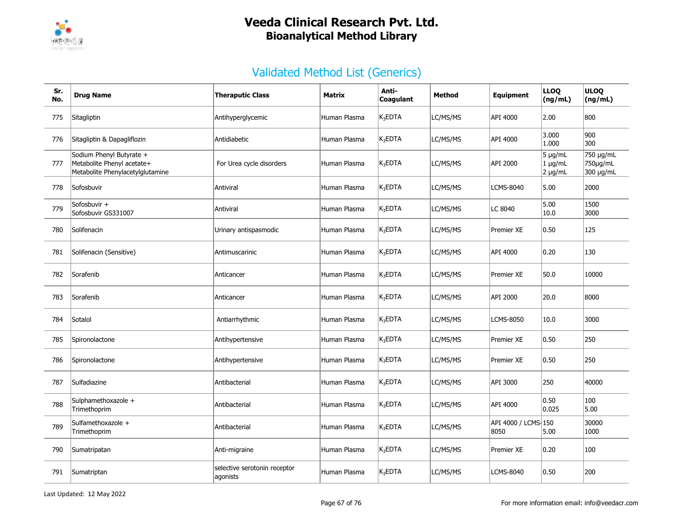

| Sr.<br>No. | <b>Drug Name</b>                                                                           | <b>Theraputic Class</b>                  | Matrix       | Anti-<br>Coagulant | <b>Method</b> | <b>Equipment</b>            | <b>LLOQ</b><br>(ng/mL)                       | <b>ULOQ</b><br>(ng/mL)             |
|------------|--------------------------------------------------------------------------------------------|------------------------------------------|--------------|--------------------|---------------|-----------------------------|----------------------------------------------|------------------------------------|
| 775        | Sitagliptin                                                                                | Antihyperglycemic                        | Human Plasma | $K_3$ EDTA         | LC/MS/MS      | API 4000                    | 2.00                                         | 800                                |
| 776        | Sitagliptin & Dapagliflozin                                                                | Antidiabetic                             | Human Plasma | $K_3$ EDTA         | LC/MS/MS      | API 4000                    | 3.000<br>1.000                               | 900<br>300                         |
| 777        | Sodium Phenyl Butyrate +<br>Metabolite Phenyl acetate+<br>Metabolite Phenylacetylglutamine | For Urea cycle disorders                 | Human Plasma | $K_3$ EDTA         | LC/MS/MS      | API 2000                    | $5 \mu g/mL$<br>$1 \mu g/mL$<br>$2 \mu g/mL$ | 750 µg/mL<br>750µg/mL<br>300 µg/mL |
| 778        | Sofosbuvir                                                                                 | Antiviral                                | Human Plasma | $K_3EDTA$          | LC/MS/MS      | LCMS-8040                   | 5.00                                         | 2000                               |
| 779        | Sofosbuvir +<br>Sofosbuvir GS331007                                                        | Antiviral                                | Human Plasma | $K_3$ EDTA         | LC/MS/MS      | LC 8040                     | 5.00<br>10.0                                 | 1500<br>3000                       |
| 780        | Solifenacin                                                                                | Urinary antispasmodic                    | Human Plasma | $K_3$ EDTA         | LC/MS/MS      | Premier XE                  | 0.50                                         | 125                                |
| 781        | Solifenacin (Sensitive)                                                                    | Antimuscarinic                           | Human Plasma | $K_3$ EDTA         | LC/MS/MS      | API 4000                    | 0.20                                         | 130                                |
| 782        | Sorafenib                                                                                  | Anticancer                               | Human Plasma | $K_3$ EDTA         | LC/MS/MS      | <b>Premier XE</b>           | 50.0                                         | 10000                              |
| 783        | Sorafenib                                                                                  | Anticancer                               | Human Plasma | $K_3$ EDTA         | LC/MS/MS      | API 2000                    | 20.0                                         | 8000                               |
| 784        | Sotalol                                                                                    | Antiarrhythmic                           | Human Plasma | $K_3$ EDTA         | LC/MS/MS      | <b>LCMS-8050</b>            | 10.0                                         | 3000                               |
| 785        | Spironolactone                                                                             | Antihypertensive                         | Human Plasma | $K_3$ EDTA         | LC/MS/MS      | Premier XE                  | 0.50                                         | 250                                |
| 786        | Spironolactone                                                                             | Antihypertensive                         | Human Plasma | $K_3$ EDTA         | LC/MS/MS      | Premier XE                  | 0.50                                         | 250                                |
| 787        | Sulfadiazine                                                                               | Antibacterial                            | Human Plasma | $K_3$ EDTA         | LC/MS/MS      | API 3000                    | 250                                          | 40000                              |
| 788        | Sulphamethoxazole +<br>Trimethoprim                                                        | Antibacterial                            | Human Plasma | $K_3$ EDTA         | LC/MS/MS      | API 4000                    | 0.50<br>0.025                                | 100<br>5.00                        |
| 789        | Sulfamethoxazole +<br>Trimethoprim                                                         | Antibacterial                            | Human Plasma | $K_3$ EDTA         | LC/MS/MS      | API 4000 / LCMS-150<br>8050 | 5.00                                         | 30000<br>1000                      |
| 790        | Sumatripatan                                                                               | Anti-migraine                            | Human Plasma | $K_3$ EDTA         | LC/MS/MS      | Premier XE                  | 0.20                                         | 100                                |
| 791        | Sumatriptan                                                                                | selective serotonin receptor<br>agonists | Human Plasma | $K_3$ EDTA         | LC/MS/MS      | LCMS-8040                   | 0.50                                         | 200                                |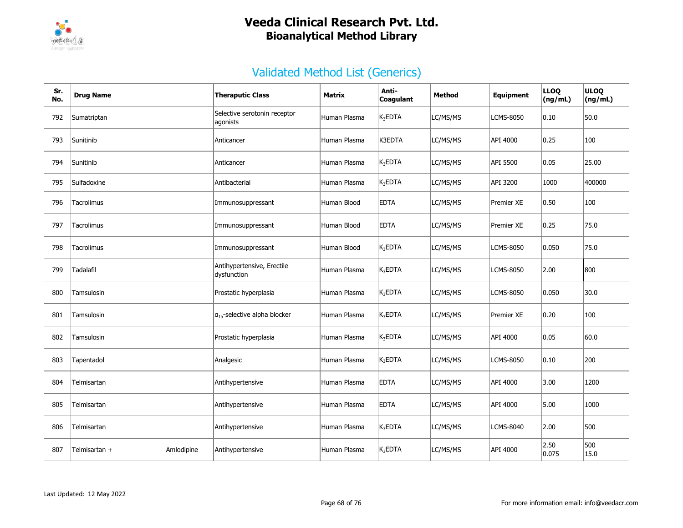

| Sr.<br>No. | <b>Drug Name</b>            | <b>Theraputic Class</b>                   | Matrix       | Anti-<br>Coagulant | Method   | Equipment        | <b>LLOQ</b><br>(ng/mL) | <b>ULOQ</b><br>(ng/mL) |
|------------|-----------------------------|-------------------------------------------|--------------|--------------------|----------|------------------|------------------------|------------------------|
| 792        | Sumatriptan                 | Selective serotonin receptor<br>agonists  | Human Plasma | $K_3$ EDTA         | LC/MS/MS | <b>LCMS-8050</b> | 0.10                   | 50.0                   |
| 793        | Sunitinib                   | Anticancer                                | Human Plasma | K3EDTA             | LC/MS/MS | API 4000         | 0.25                   | 100                    |
| 794        | Sunitinib                   | Anticancer                                | Human Plasma | $K_3$ EDTA         | LC/MS/MS | API 5500         | 0.05                   | 25.00                  |
| 795        | Sulfadoxine                 | Antibacterial                             | Human Plasma | $K_3$ EDTA         | LC/MS/MS | API 3200         | 1000                   | 400000                 |
| 796        | Tacrolimus                  | Immunosuppressant                         | Human Blood  | <b>EDTA</b>        | LC/MS/MS | Premier XE       | 0.50                   | 100                    |
| 797        | Tacrolimus                  | Immunosuppressant                         | Human Blood  | <b>EDTA</b>        | LC/MS/MS | Premier XE       | 0.25                   | 75.0                   |
| 798        | Tacrolimus                  | Immunosuppressant                         | Human Blood  | $K_3$ EDTA         | LC/MS/MS | <b>LCMS-8050</b> | 0.050                  | 75.0                   |
| 799        | Tadalafil                   | Antihypertensive, Erectile<br>dysfunction | Human Plasma | $K_3$ EDTA         | LC/MS/MS | LCMS-8050        | 2.00                   | 800                    |
| 800        | Tamsulosin                  | Prostatic hyperplasia                     | Human Plasma | $K_3$ EDTA         | LC/MS/MS | <b>LCMS-8050</b> | 0.050                  | 30.0                   |
| 801        | Tamsulosin                  | $a_{1a}$ -selective alpha blocker         | Human Plasma | $K_3$ EDTA         | LC/MS/MS | Premier XE       | 0.20                   | 100                    |
| 802        | Tamsulosin                  | Prostatic hyperplasia                     | Human Plasma | $K_3$ EDTA         | LC/MS/MS | API 4000         | 0.05                   | 60.0                   |
| 803        | Tapentadol                  | Analgesic                                 | Human Plasma | $K_3$ EDTA         | LC/MS/MS | LCMS-8050        | 0.10                   | 200                    |
| 804        | Telmisartan                 | Antihypertensive                          | Human Plasma | <b>EDTA</b>        | LC/MS/MS | API 4000         | 3.00                   | 1200                   |
| 805        | Telmisartan                 | Antihypertensive                          | Human Plasma | <b>EDTA</b>        | LC/MS/MS | API 4000         | 5.00                   | 1000                   |
| 806        | Telmisartan                 | Antihypertensive                          | Human Plasma | $K_3$ EDTA         | LC/MS/MS | LCMS-8040        | 2.00                   | 500                    |
| 807        | Amlodipine<br>Telmisartan + | Antihypertensive                          | Human Plasma | $K_3$ EDTA         | LC/MS/MS | API 4000         | 2.50<br>0.075          | 500<br>15.0            |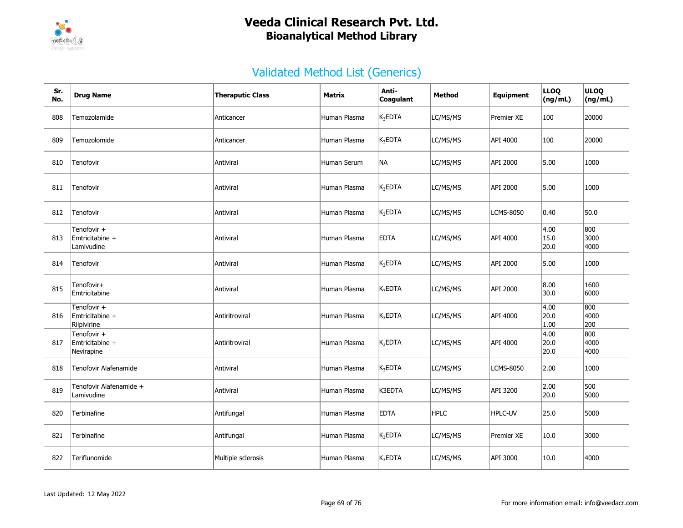

| Sr.<br>No. | <b>Drug Name</b>                              | <b>Theraputic Class</b> | Matrix       | Anti-<br>Coagulant  | <b>Method</b> | Equipment         | <b>LLOQ</b><br>(ng/mL) | <b>ULOQ</b><br>(ng/mL) |
|------------|-----------------------------------------------|-------------------------|--------------|---------------------|---------------|-------------------|------------------------|------------------------|
| 808        | Temozolamide                                  | Anticancer              | Human Plasma | $K_3$ EDTA          | LC/MS/MS      | <b>Premier XE</b> | 100                    | 20000                  |
| 809        | Temozolomide                                  | Anticancer              | Human Plasma | $K_3EDTA$           | LC/MS/MS      | API 4000          | 100                    | 20000                  |
| 810        | Tenofovir                                     | Antiviral               | Human Serum  | NA                  | LC/MS/MS      | API 2000          | 5.00                   | 1000                   |
| 811        | Tenofovir                                     | Antiviral               | Human Plasma | $K_3EDTA$           | LC/MS/MS      | API 2000          | 5.00                   | 1000                   |
| 812        | Tenofovir                                     | Antiviral               | Human Plasma | $K_3$ EDTA          | LC/MS/MS      | LCMS-8050         | 0.40                   | 50.0                   |
| 813        | Tenofovir +<br>Emtricitabine +<br>Lamivudine  | Antiviral               | Human Plasma | <b>EDTA</b>         | LC/MS/MS      | API 4000          | 4.00<br>15.0<br>20.0   | 800<br>3000<br>4000    |
| 814        | Tenofovir                                     | Antiviral               | Human Plasma | $\mathsf{K}_3$ EDTA | LC/MS/MS      | API 2000          | 5.00                   | 1000                   |
| 815        | Tenofovir+<br>Emtricitabine                   | Antiviral               | Human Plasma | $K_3EDTA$           | LC/MS/MS      | API 2000          | 8.00<br>30.0           | 1600<br>6000           |
| 816        | Tenofovir +<br>Emtricitabine +<br>Rilpivirine | Antiritroviral          | Human Plasma | $K_3EDTA$           | LC/MS/MS      | API 4000          | 4.00<br>20.0<br>1.00   | 800<br>4000<br>200     |
| 817        | Tenofovir +<br>Emtricitabine +<br>Nevirapine  | Antiritroviral          | Human Plasma | $K_3EDTA$           | LC/MS/MS      | API 4000          | 4.00<br>20.0<br>20.0   | 800<br>4000<br>4000    |
| 818        | Tenofovir Alafenamide                         | Antiviral               | Human Plasma | $ K_3EDTA$          | LC/MS/MS      | LCMS-8050         | 2.00                   | 1000                   |
| 819        | Tenofovir Alafenamide +<br>Lamivudine         | Antiviral               | Human Plasma | K3EDTA              | LC/MS/MS      | API 3200          | 2.00<br>20.0           | 500<br>5000            |
| 820        | Terbinafine                                   | Antifungal              | Human Plasma | <b>EDTA</b>         | <b>HPLC</b>   | HPLC-UV           | 25.0                   | 5000                   |
| 821        | Terbinafine                                   | Antifungal              | Human Plasma | $K_3$ EDTA          | LC/MS/MS      | Premier XE        | 10.0                   | 3000                   |
| 822        | Teriflunomide                                 | Multiple sclerosis      | Human Plasma | $K_3$ EDTA          | LC/MS/MS      | API 3000          | 10.0                   | 4000                   |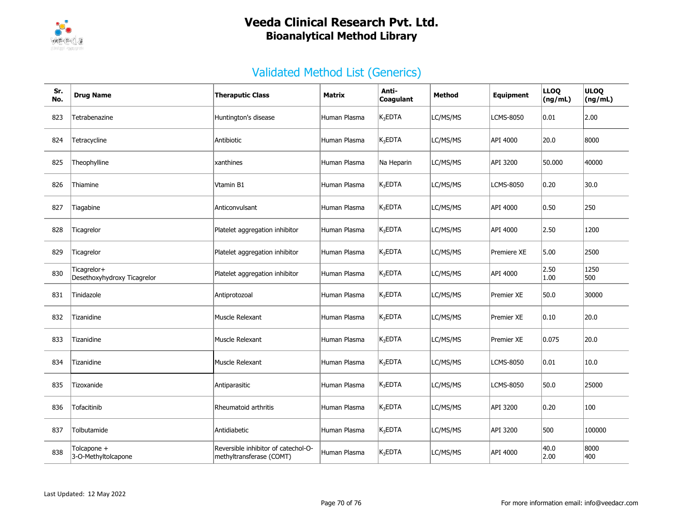

| Sr.<br>No. | <b>Drug Name</b>                           | <b>Theraputic Class</b>                                         | Matrix       | Anti-<br>Coagulant  | Method   | Equipment        | <b>LLOQ</b><br>(ng/mL) | <b>ULOQ</b><br>(ng/mL) |
|------------|--------------------------------------------|-----------------------------------------------------------------|--------------|---------------------|----------|------------------|------------------------|------------------------|
| 823        | Tetrabenazine                              | Huntington's disease                                            | Human Plasma | $K_3$ EDTA          | LC/MS/MS | LCMS-8050        | 0.01                   | 2.00                   |
| 824        | Tetracycline                               | Antibiotic                                                      | Human Plasma | K <sub>3</sub> EDTA | LC/MS/MS | API 4000         | 20.0                   | 8000                   |
| 825        | Theophylline                               | xanthines                                                       | Human Plasma | Na Heparin          | LC/MS/MS | API 3200         | 50.000                 | 40000                  |
| 826        | Thiamine                                   | Vtamin B1                                                       | Human Plasma | $K_3EDTA$           | LC/MS/MS | <b>LCMS-8050</b> | 0.20                   | 30.0                   |
| 827        | Tiagabine                                  | Anticonvulsant                                                  | Human Plasma | $K_3$ EDTA          | LC/MS/MS | API 4000         | 0.50                   | 250                    |
| 828        | Ticagrelor                                 | Platelet aggregation inhibitor                                  | Human Plasma | $K_3$ EDTA          | LC/MS/MS | API 4000         | 2.50                   | 1200                   |
| 829        | Ticagrelor                                 | Platelet aggregation inhibitor                                  | Human Plasma | K <sub>3</sub> EDTA | LC/MS/MS | Premiere XE      | 5.00                   | 2500                   |
| 830        | Ticagrelor+<br>Desethoxyhydroxy Ticagrelor | Platelet aggregation inhibitor                                  | Human Plasma | $K_3$ EDTA          | LC/MS/MS | API 4000         | 2.50<br> 1.00          | 1250<br>500            |
| 831        | Tinidazole                                 | Antiprotozoal                                                   | Human Plasma | K <sub>3</sub> EDTA | LC/MS/MS | Premier XE       | 50.0                   | 30000                  |
| 832        | Tizanidine                                 | Muscle Relexant                                                 | Human Plasma | $K_3$ EDTA          | LC/MS/MS | Premier XE       | 0.10                   | 20.0                   |
| 833        | Tizanidine                                 | Muscle Relexant                                                 | Human Plasma | $K_3$ EDTA          | LC/MS/MS | Premier XE       | 0.075                  | 20.0                   |
| 834        | Tizanidine                                 | Muscle Relexant                                                 | Human Plasma | $K_3EDTA$           | LC/MS/MS | <b>LCMS-8050</b> | 0.01                   | 10.0                   |
| 835        | Tizoxanide                                 | Antiparasitic                                                   | Human Plasma | $K_3$ EDTA          | LC/MS/MS | <b>LCMS-8050</b> | 50.0                   | 25000                  |
| 836        | Tofacitinib                                | Rheumatoid arthritis                                            | Human Plasma | $K_3EDTA$           | LC/MS/MS | API 3200         | 0.20                   | 100                    |
| 837        | Tolbutamide                                | Antidiabetic                                                    | Human Plasma | $K_3$ EDTA          | LC/MS/MS | API 3200         | 500                    | 100000                 |
| 838        | Tolcapone +<br>3-O-Methyltolcapone         | Reversible inhibitor of catechol-O-<br>methyltransferase (COMT) | Human Plasma | $K_3$ EDTA          | LC/MS/MS | API 4000         | 40.0<br> 2.00          | 8000<br>400            |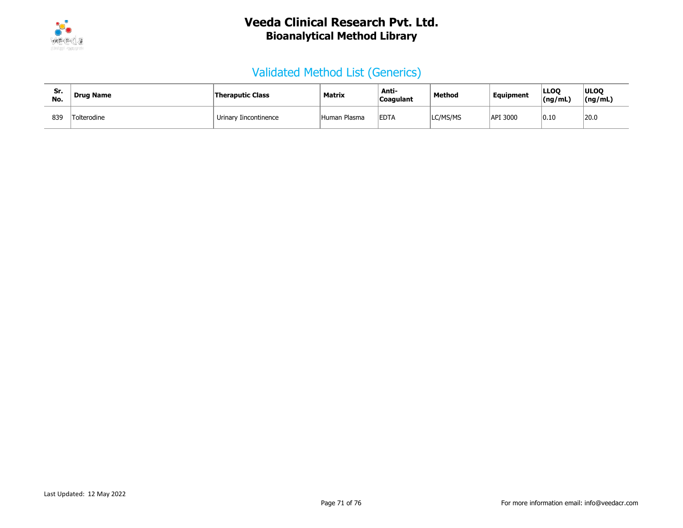

| Sr<br>No. | <b>Drug Name</b> | Theraputic Class      | Matrix       | Anti-<br>Coagulant | Method   | <b>Equipment</b> | <b>LLOO</b><br>(ng/mL) | <b>ULOO</b><br>(ng/mL) |
|-----------|------------------|-----------------------|--------------|--------------------|----------|------------------|------------------------|------------------------|
| 839       | Tolterodine      | Urinary Iincontinence | Human Plasma | <b>EDTA</b>        | LC/MS/MS | API 3000         | 0.10                   | 20.0                   |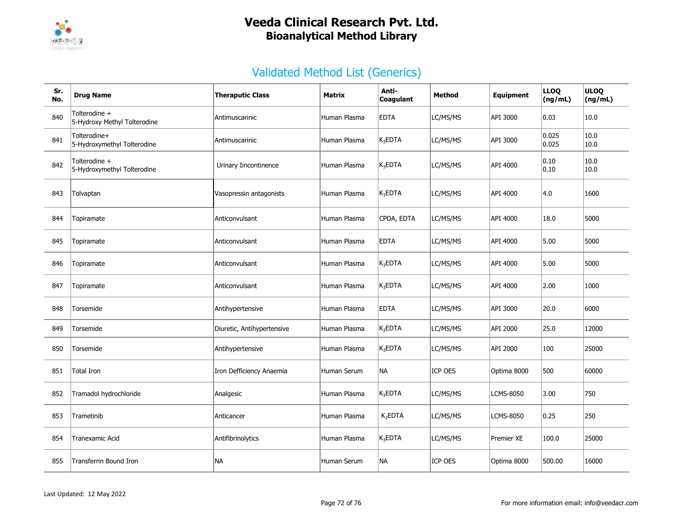

| Sr.<br>No. | <b>Drug Name</b>                              | <b>Theraputic Class</b>    | <b>Matrix</b> | Anti-<br>Coaqulant  | <b>Method</b> | <b>Equipment</b> | <b>LLOQ</b><br>(ng/mL) | <b>ULOQ</b><br>(ng/mL) |
|------------|-----------------------------------------------|----------------------------|---------------|---------------------|---------------|------------------|------------------------|------------------------|
| 840        | Tolterodine +<br>5-Hydroxy Methyl Tolterodine | Antimuscarinic             | Human Plasma  | <b>EDTA</b>         | LC/MS/MS      | API 3000         | 0.03                   | 10.0                   |
| 841        | Tolterodine+<br>5-Hydroxymethyl Tolterodine   | Antimuscarinic             | Human Plasma  | $K_3$ EDTA          | LC/MS/MS      | API 3000         | 0.025<br>0.025         | 10.0<br> 10.0          |
| 842        | Tolterodine +<br>5-Hydroxymethyl Tolterodine  | Urinary Iincontinence      | Human Plasma  | $K_3$ EDTA          | LC/MS/MS      | API 4000         | 0.10<br> 0.10          | 10.0<br>10.0           |
| 843        | Tolvaptan                                     | Vasopressin antagonists    | Human Plasma  | $K_3EDTA$           | LC/MS/MS      | API 4000         | 4.0                    | 1600                   |
| 844        | Topiramate                                    | Anticonvulsant             | Human Plasma  | CPDA, EDTA          | LC/MS/MS      | API 4000         | 18.0                   | 5000                   |
| 845        | Topiramate                                    | Anticonvulsant             | Human Plasma  | <b>EDTA</b>         | LC/MS/MS      | API 4000         | 5.00                   | 5000                   |
| 846        | Topiramate                                    | Anticonvulsant             | Human Plasma  | $K_3EDTA$           | LC/MS/MS      | API 4000         | 5.00                   | 5000                   |
| 847        | Topiramate                                    | Anticonvulsant             | Human Plasma  | $K_3$ EDTA          | LC/MS/MS      | API 4000         | 2.00                   | 1000                   |
| 848        | Torsemide                                     | Antihypertensive           | Human Plasma  | <b>EDTA</b>         | LC/MS/MS      | API 3000         | 20.0                   | 6000                   |
| 849        | Torsemide                                     | Diuretic, Antihypertensive | Human Plasma  | $K_3$ EDTA          | LC/MS/MS      | API 2000         | 25.0                   | 12000                  |
| 850        | Torsemide                                     | Antihypertensive           | Human Plasma  | $K_3$ EDTA          | LC/MS/MS      | API 2000         | 100                    | 25000                  |
| 851        | <b>Total Iron</b>                             | Iron Defficiency Anaemia   | Human Serum   | <b>NA</b>           | ICP OES       | Optima 8000      | 500                    | 60000                  |
| 852        | Tramadol hydrochloride                        | Analgesic                  | Human Plasma  | $K_3$ EDTA          | LC/MS/MS      | <b>LCMS-8050</b> | 3.00                   | 750                    |
| 853        | Trametinib                                    | Anticancer                 | Human Plasma  | K <sub>2</sub> EDTA | LC/MS/MS      | <b>LCMS-8050</b> | 0.25                   | 250                    |
| 854        | Tranexamic Acid                               | Antifibrinolytics          | Human Plasma  | $K_3$ EDTA          | LC/MS/MS      | Premier XE       | 100.0                  | 25000                  |
| 855        | Transferrin Bound Iron                        | <b>NA</b>                  | Human Serum   | <b>NA</b>           | ICP OES       | Optima 8000      | 500.00                 | 16000                  |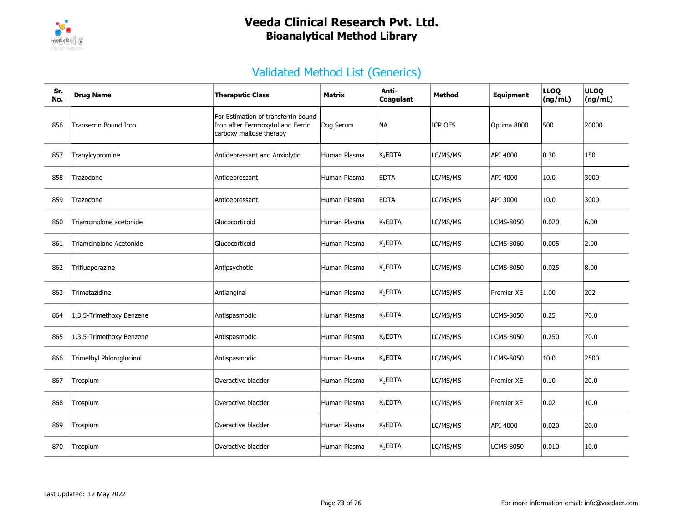

| Sr.<br>No. | <b>Drug Name</b>         | <b>Theraputic Class</b>                                                                             | Matrix       | Anti-<br>Coagulant  | Method         | <b>Equipment</b>  | <b>LLOQ</b><br>(ng/mL) | <b>ULOQ</b><br>(ng/mL) |
|------------|--------------------------|-----------------------------------------------------------------------------------------------------|--------------|---------------------|----------------|-------------------|------------------------|------------------------|
| 856        | Transerrin Bound Iron    | For Estimation of transferrin bound<br>Iron after Ferrmoxytol and Ferric<br>carboxy maltose therapy | Dog Serum    | <b>NA</b>           | <b>ICP OES</b> | Optima 8000       | 500                    | 20000                  |
| 857        | Tranylcypromine          | Antidepressant and Anxiolytic                                                                       | Human Plasma | $K_3$ EDTA          | LC/MS/MS       | API 4000          | 0.30                   | 150                    |
| 858        | Trazodone                | Antidepressant                                                                                      | Human Plasma | <b>EDTA</b>         | LC/MS/MS       | API 4000          | 10.0                   | 3000                   |
| 859        | Trazodone                | Antidepressant                                                                                      | Human Plasma | <b>EDTA</b>         | LC/MS/MS       | API 3000          | 10.0                   | 3000                   |
| 860        | Triamcinolone acetonide  | Glucocorticoid                                                                                      | Human Plasma | $K_3$ EDTA          | LC/MS/MS       | <b>LCMS-8050</b>  | 0.020                  | 6.00                   |
| 861        | Triamcinolone Acetonide  | Glucocorticoid                                                                                      | Human Plasma | K <sub>3</sub> EDTA | LC/MS/MS       | <b>LCMS-8060</b>  | 0.005                  | 2.00                   |
| 862        | Trifluoperazine          | Antipsychotic                                                                                       | Human Plasma | K <sub>3</sub> EDTA | LC/MS/MS       | LCMS-8050         | 0.025                  | 8.00                   |
| 863        | Trimetazidine            | Antianginal                                                                                         | Human Plasma | K <sub>3</sub> EDTA | LC/MS/MS       | <b>Premier XE</b> | 1.00                   | 202                    |
| 864        | 1,3,5-Trimethoxy Benzene | Antispasmodic                                                                                       | Human Plasma | $K_3$ EDTA          | LC/MS/MS       | <b>LCMS-8050</b>  | 0.25                   | 70.0                   |
| 865        | 1,3,5-Trimethoxy Benzene | Antispasmodic                                                                                       | Human Plasma | K <sub>2</sub> EDTA | LC/MS/MS       | <b>LCMS-8050</b>  | 0.250                  | 70.0                   |
| 866        | Trimethyl Phloroglucinol | Antispasmodic                                                                                       | Human Plasma | $K_3EDTA$           | LC/MS/MS       | <b>LCMS-8050</b>  | 10.0                   | 2500                   |
| 867        | Trospium                 | Overactive bladder                                                                                  | Human Plasma | $K_3$ EDTA          | LC/MS/MS       | Premier XE        | 0.10                   | 20.0                   |
| 868        | Trospium                 | Overactive bladder                                                                                  | Human Plasma | K <sub>3</sub> EDTA | LC/MS/MS       | Premier XE        | 0.02                   | 10.0                   |
| 869        | Trospium                 | Overactive bladder                                                                                  | Human Plasma | $K_3$ EDTA          | LC/MS/MS       | API 4000          | 0.020                  | 20.0                   |
| 870        | Trospium                 | Overactive bladder                                                                                  | Human Plasma | $K_3$ EDTA          | LC/MS/MS       | <b>LCMS-8050</b>  | 0.010                  | 10.0                   |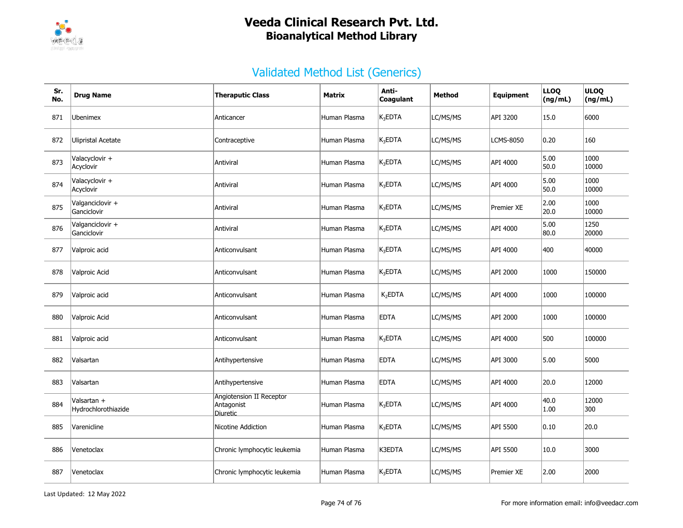

| Sr.<br>No. | <b>Drug Name</b>                   | <b>Theraputic Class</b>                            |              | Anti-<br>Coagulant  | Method   | <b>Equipment</b>  | <b>LLOQ</b><br>(ng/mL) | <b>ULOQ</b><br>(ng/mL) |
|------------|------------------------------------|----------------------------------------------------|--------------|---------------------|----------|-------------------|------------------------|------------------------|
| 871        | Ubenimex                           | Anticancer                                         | Human Plasma | $K_3$ EDTA          | LC/MS/MS | API 3200          | 15.0                   | 6000                   |
| 872        | Ulipristal Acetate                 | Contraceptive                                      | Human Plasma | $K_3$ EDTA          | LC/MS/MS | <b>LCMS-8050</b>  | 0.20                   | 160                    |
| 873        | Valacyclovir +<br>Acyclovir        | Antiviral                                          | Human Plasma | $K_3EDTA$           | LC/MS/MS | API 4000          | 5.00<br>50.0           | 1000<br>10000          |
| 874        | Valacyclovir +<br>Acyclovir        | Antiviral                                          | Human Plasma | $K_3$ EDTA          | LC/MS/MS | API 4000          | 5.00<br>50.0           | 1000<br>10000          |
| 875        | Valganciclovir +<br>Ganciclovir    | Antiviral                                          | Human Plasma | $K_3EDTA$           | LC/MS/MS | <b>Premier XE</b> | 2.00<br>20.0           | 1000<br>10000          |
| 876        | Valganciclovir +<br>Ganciclovir    | Antiviral                                          | Human Plasma | $K_3EDTA$           | LC/MS/MS | API 4000          | 5.00<br>80.0           | 1250<br>20000          |
| 877        | Valproic acid                      | Anticonvulsant                                     | Human Plasma | $K_3$ EDTA          | LC/MS/MS | API 4000          | 400                    | 40000                  |
| 878        | Valproic Acid                      | Anticonvulsant                                     | Human Plasma | $K_3$ EDTA          | LC/MS/MS | API 2000          | 1000                   | 150000                 |
| 879        | Valproic acid                      | Anticonvulsant                                     | Human Plasma | K <sub>2</sub> EDTA | LC/MS/MS | API 4000          | 1000                   | 100000                 |
| 880        | Valproic Acid                      | Anticonvulsant                                     | Human Plasma | <b>EDTA</b>         | LC/MS/MS | API 2000          | 1000                   | 100000                 |
| 881        | Valproic acid                      | Anticonvulsant                                     | Human Plasma | $K_3$ EDTA          | LC/MS/MS | API 4000          | 500                    | 100000                 |
| 882        | Valsartan                          | Antihypertensive                                   | Human Plasma | <b>EDTA</b>         | LC/MS/MS | API 3000          | 5.00                   | 5000                   |
| 883        | Valsartan                          | Antihypertensive                                   | Human Plasma | <b>EDTA</b>         | LC/MS/MS | API 4000          | 20.0                   | 12000                  |
| 884        | Valsartan +<br>Hydrochlorothiazide | Angiotension II Receptor<br>Antagonist<br>Diuretic | Human Plasma | $K_3EDTA$           | LC/MS/MS | API 4000          | 40.0<br>1.00           | 12000<br>300           |
| 885        | Varenicline                        | Nicotine Addiction                                 | Human Plasma | $K_3$ EDTA          | LC/MS/MS | API 5500          | 0.10                   | 20.0                   |
| 886        | Venetoclax                         | Chronic lymphocytic leukemia                       | Human Plasma | K3EDTA              | LC/MS/MS | API 5500          | $10.0\,$               | 3000                   |
| 887        | Venetoclax                         | Chronic lymphocytic leukemia                       | Human Plasma | $K_3$ EDTA          | LC/MS/MS | <b>Premier XE</b> | 2.00                   | 2000                   |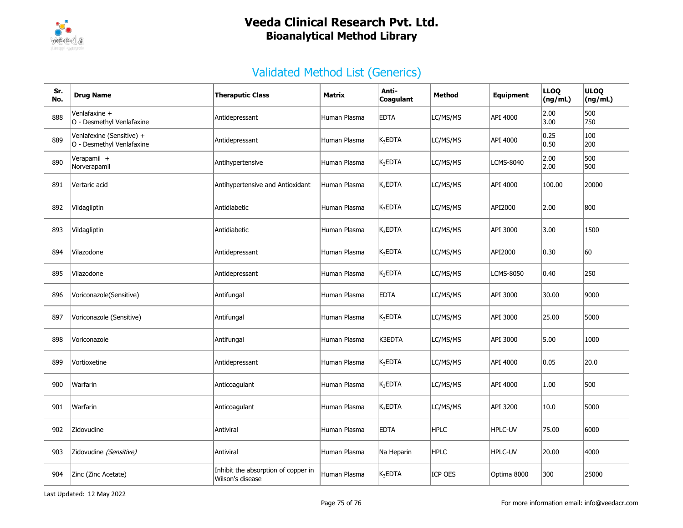

| Sr.<br>No. | <b>Drug Name</b>                                       | <b>Theraputic Class</b>                                 | Matrix       | Anti-<br>Coagulant  | <b>Method</b>  | <b>Equipment</b> | <b>LLOQ</b><br>(ng/mL) | <b>ULOQ</b><br>(ng/mL) |
|------------|--------------------------------------------------------|---------------------------------------------------------|--------------|---------------------|----------------|------------------|------------------------|------------------------|
| 888        | Venlafaxine +<br>O - Desmethyl Venlafaxine             | Antidepressant                                          | Human Plasma | <b>EDTA</b>         | LC/MS/MS       | API 4000         | 2.00<br>3.00           | 500<br>750             |
| 889        | Venlafexine (Sensitive) +<br>O - Desmethyl Venlafaxine | Antidepressant                                          | Human Plasma | K <sub>3</sub> EDTA | LC/MS/MS       | API 4000         | 0.25<br> 0.50          | 100<br>200             |
| 890        | Verapamil +<br>Norverapamil                            | Antihypertensive                                        | Human Plasma | $K_3$ EDTA          | LC/MS/MS       | LCMS-8040        | 2.00<br> 2.00          | 500<br>500             |
| 891        | Vertaric acid                                          | Antihypertensive and Antioxidant                        | Human Plasma | $K_3$ EDTA          | LC/MS/MS       | API 4000         | 100.00                 | 20000                  |
| 892        | Vildagliptin                                           | Antidiabetic                                            | Human Plasma | $K_3$ EDTA          | LC/MS/MS       | API2000          | 2.00                   | 800                    |
| 893        | Vildagliptin                                           | Antidiabetic                                            | Human Plasma | K <sub>3</sub> EDTA | LC/MS/MS       | API 3000         | 3.00                   | 1500                   |
| 894        | Vilazodone                                             | Antidepressant                                          | Human Plasma | $K_3$ EDTA          | LC/MS/MS       | API2000          | $ 0.30\rangle$         | 60                     |
| 895        | Vilazodone                                             | Antidepressant                                          | Human Plasma | K <sub>3</sub> EDTA | LC/MS/MS       | LCMS-8050        | 0.40                   | 250                    |
| 896        | Voriconazole(Sensitive)                                | Antifungal                                              | Human Plasma | <b>EDTA</b>         | LC/MS/MS       | API 3000         | 30.00                  | 9000                   |
| 897        | Voriconazole (Sensitive)                               | Antifungal                                              | Human Plasma | K <sub>3</sub> EDTA | LC/MS/MS       | API 3000         | 25.00                  | 5000                   |
| 898        | Voriconazole                                           | Antifungal                                              | Human Plasma | K3EDTA              | LC/MS/MS       | API 3000         | 5.00                   | 1000                   |
| 899        | Vortioxetine                                           | Antidepressant                                          | Human Plasma | $K_3$ EDTA          | LC/MS/MS       | API 4000         | 0.05                   | 20.0                   |
| 900        | Warfarin                                               | Anticoagulant                                           | Human Plasma | $K_3$ EDTA          | LC/MS/MS       | API 4000         | 1.00                   | 500                    |
| 901        | Warfarin                                               | Anticoagulant                                           | Human Plasma | $K_3$ EDTA          | LC/MS/MS       | API 3200         | 10.0                   | 5000                   |
| 902        | Zidovudine                                             | Antiviral                                               | Human Plasma | <b>EDTA</b>         | <b>HPLC</b>    | HPLC-UV          | 75.00                  | 6000                   |
| 903        | Zidovudine (Sensitive)                                 | Antiviral                                               | Human Plasma | Na Heparin          | <b>HPLC</b>    | HPLC-UV          | 20.00                  | 4000                   |
| 904        | Zinc (Zinc Acetate)                                    | Inhibit the absorption of copper in<br>Wilson's disease | Human Plasma | K <sub>3</sub> EDTA | <b>ICP OES</b> | Optima 8000      | 300                    | 25000                  |